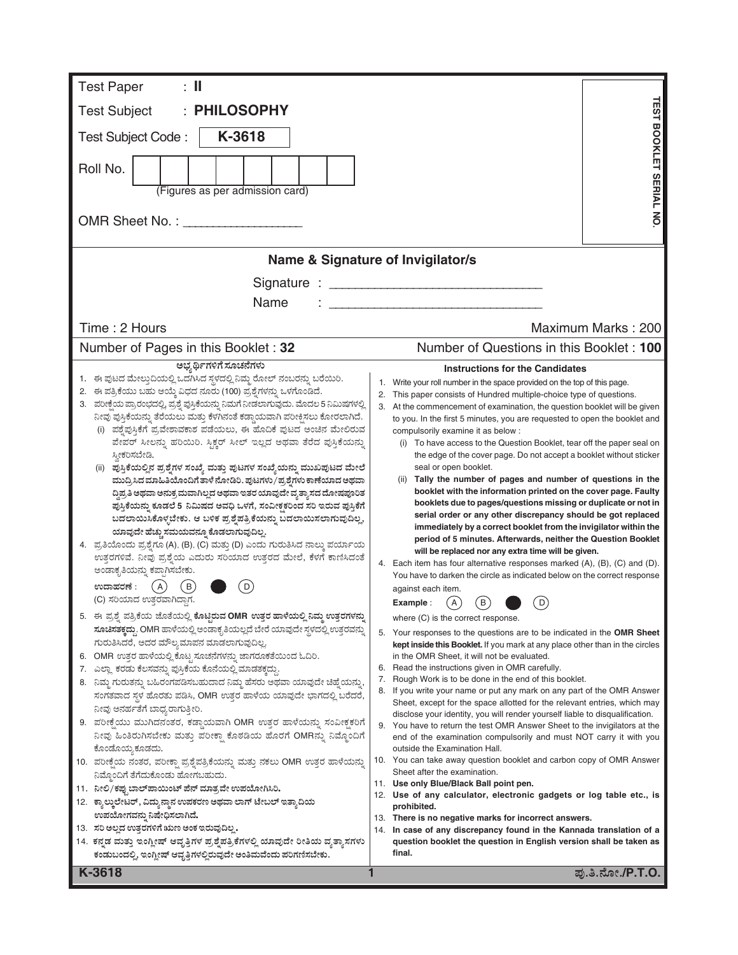| <b>Test Paper</b><br>$\colon \mathbb{I}$                                                                                                                          |                                                                                                                                                                |  |  |  |  |  |  |
|-------------------------------------------------------------------------------------------------------------------------------------------------------------------|----------------------------------------------------------------------------------------------------------------------------------------------------------------|--|--|--|--|--|--|
| <b>PHILOSOPHY</b><br><b>Test Subject</b>                                                                                                                          |                                                                                                                                                                |  |  |  |  |  |  |
| K-3618<br>Test Subject Code:                                                                                                                                      |                                                                                                                                                                |  |  |  |  |  |  |
|                                                                                                                                                                   |                                                                                                                                                                |  |  |  |  |  |  |
| Roll No.                                                                                                                                                          | <b>TEST BOOKLET SERIAL NO</b>                                                                                                                                  |  |  |  |  |  |  |
| (Figures as per admission card)                                                                                                                                   |                                                                                                                                                                |  |  |  |  |  |  |
|                                                                                                                                                                   |                                                                                                                                                                |  |  |  |  |  |  |
|                                                                                                                                                                   |                                                                                                                                                                |  |  |  |  |  |  |
|                                                                                                                                                                   | Name & Signature of Invigilator/s                                                                                                                              |  |  |  |  |  |  |
|                                                                                                                                                                   |                                                                                                                                                                |  |  |  |  |  |  |
| Name                                                                                                                                                              |                                                                                                                                                                |  |  |  |  |  |  |
| Time: 2 Hours                                                                                                                                                     | Maximum Marks: 200                                                                                                                                             |  |  |  |  |  |  |
| Number of Pages in this Booklet: 32                                                                                                                               | Number of Questions in this Booklet: 100                                                                                                                       |  |  |  |  |  |  |
| ಅಭ್ಯರ್ಥಿಗಳಿಗೆ ಸೂಚನೆಗಳು                                                                                                                                            | <b>Instructions for the Candidates</b>                                                                                                                         |  |  |  |  |  |  |
| 1. ಈ ಪುಟದ ಮೇಲ್ತುದಿಯಲ್ಲಿ ಒದಗಿಸಿದ ಸ್ಥಳದಲ್ಲಿ ನಿಮ್ಮ ರೋಲ್ ನಂಬರನ್ನು ಬರೆಯಿರಿ.<br>2. ಈ ಪತ್ರಿಕೆಯು ಬಹು ಆಯ್ಕೆ ವಿಧದ ನೂರು (100) ಪ್ರಶ್ನೆಗಳನ್ನು ಒಳಗೊಂಡಿದೆ.                       | Write your roll number in the space provided on the top of this page.<br>1.<br>2.<br>This paper consists of Hundred multiple-choice type of questions.         |  |  |  |  |  |  |
| 3. ಪರೀಕ್ಷೆಯ ಪ್ರಾರಂಭದಲ್ಲಿ, ಪ್ರಶ್ನೆ ಪುಸ್ತಿಕೆಯನ್ನು ನಿಮಗೆ ನೀಡಲಾಗುವುದು. ಮೊದಲ 5 ನಿಮಿಷಗಳಲ್ಲಿ                                                                             | 3. At the commencement of examination, the question booklet will be given                                                                                      |  |  |  |  |  |  |
| ನೀವು ಪುಸ್ತಿಕೆಯನ್ನು ತೆರೆಯಲು ಮತ್ತು ಕೆಳಗಿನಂತೆ ಕಡ್ಡಾಯವಾಗಿ ಪರೀಕ್ಷಿಸಲು ಕೋರಲಾಗಿದೆ.<br>ಪಶ್ನೆಪುಸ್ತಿಕೆಗೆ ಪ್ರವೇಶಾವಕಾಶ ಪಡೆಯಲು, ಈ ಹೊದಿಕೆ ಪುಟದ ಅಂಚಿನ ಮೇಲಿರುವ                    | to you. In the first 5 minutes, you are requested to open the booklet and<br>compulsorily examine it as below :                                                |  |  |  |  |  |  |
| ಪೇಪರ್ ಸೀಲನ್ನು ಹರಿಯಿರಿ. ಸ್ಪಿಕ್ಚರ್ ಸೀಲ್ ಇಲ್ಲದ ಅಥವಾ ತೆರೆದ ಪುಸ್ತಿಕೆಯನ್ನು                                                                                              | (i) To have access to the Question Booklet, tear off the paper seal on                                                                                         |  |  |  |  |  |  |
| ಸ್ತೀಕರಿಸಬೇಡಿ.                                                                                                                                                     | the edge of the cover page. Do not accept a booklet without sticker<br>seal or open booklet.                                                                   |  |  |  |  |  |  |
| (ii) ಪುಸ್ತಿಕೆಯಲ್ಲಿನ ಪ್ರಶ್ನೆಗಳ ಸಂಖ್ಯೆ ಮತ್ತು ಪುಟಗಳ ಸಂಖ್ಯೆಯನ್ನು ಮುಖಪುಟದ ಮೇಲೆ<br>ಮುದ್ರಿಸಿದ ಮಾಹಿತಿಯೊಂದಿಗೆ ತಾಳೆ ನೋಡಿರಿ. ಪುಟಗಳು/ಪ್ರಶ್ನೆಗಳು ಕಾಣೆಯಾದ ಅಥವಾ                  | (ii) Tally the number of pages and number of questions in the                                                                                                  |  |  |  |  |  |  |
| ದ್ದಿಪ್ರತಿ ಅಥವಾ ಅನುಕ್ರಮವಾಗಿಲ್ಲದ ಅಥವಾ ಇತರ ಯಾವುದೇ ವ್ಯತ್ಯಾಸದ ದೋಷಪೂರಿತ                                                                                                 | booklet with the information printed on the cover page. Faulty                                                                                                 |  |  |  |  |  |  |
| ಪುಸ್ತಿಕೆಯನ್ನು ಕೂಡಲೆ 5 ನಿಮಿಷದ ಅವಧಿ ಒಳಗೆ, ಸಂವೀಕ್ಷಕರಿಂದ ಸರಿ ಇರುವ ಪುಸ್ತಿಕೆಗೆ<br>ಬದಲಾಯಿಸಿಕೊಳ್ಳಬೇಕು. ಆ ಬಳಿಕ ಪ್ರಶ್ನೆಪತ್ರಿಕೆಯನ್ನು ಬದಲಾಯಿಸಲಾಗುವುದಿಲ್ಲ,                     | booklets due to pages/questions missing or duplicate or not in<br>serial order or any other discrepancy should be got replaced                                 |  |  |  |  |  |  |
| ಯಾವುದೇ ಹೆಚ್ಚು ಸಮಯವನ್ನೂ ಕೊಡಲಾಗುವುದಿಲ್ಲ.                                                                                                                            | immediately by a correct booklet from the invigilator within the<br>period of 5 minutes. Afterwards, neither the Question Booklet                              |  |  |  |  |  |  |
| 4. ಪ್ರತಿಯೊಂದು ಪ್ರಶ್ನೆಗೂ (A), (B), (C) ಮತ್ತು (D) ಎಂದು ಗುರುತಿಸಿದ ನಾಲ್ಕು ಪರ್ಯಾಯ<br>ಉತ್ತರಗಳಿವೆ. ನೀವು ಪ್ರಶ್ನೆಯ ಎದುರು ಸರಿಯಾದ ಉತ್ತರದ ಮೇಲೆ, ಕೆಳಗೆ ಕಾಣಿಸಿದಂತೆ              | will be replaced nor any extra time will be given.                                                                                                             |  |  |  |  |  |  |
| ಅಂಡಾಕೃತಿಯನ್ನು ಕಪ್ಪಾಗಿಸಬೇಕು.                                                                                                                                       | 4. Each item has four alternative responses marked (A), (B), (C) and (D).<br>You have to darken the circle as indicated below on the correct response          |  |  |  |  |  |  |
| ಉದಾಹರಣೆ :<br>(A)                                                                                                                                                  | against each item.                                                                                                                                             |  |  |  |  |  |  |
| (C) ಸರಿಯಾದ ಉತ್ತರವಾಗಿದ್ದಾಗ.                                                                                                                                        | $\left( \mathsf{B}\right)$<br>$\mathsf{A}$<br>D<br>Example :                                                                                                   |  |  |  |  |  |  |
| 5.   ಈ ಪ್ರಶ್ನೆ ಪತ್ರಿಕೆಯ ಜೊತೆಯಲ್ಲಿ ಕೊಟ್ಟಿರುವ OMR ಉತ್ತರ ಹಾಳೆಯಲ್ಲಿ ನಿಮ್ಮ ಉತ್ತರಗಳನ್ನು<br>ಸೂಚಿಸತಕ್ಕದ್ದು. OMR ಹಾಳೆಯಲ್ಲಿ ಅಂಡಾಕೃತಿಯಲ್ಲದೆ ಬೇರೆ ಯಾವುದೇ ಸ್ಥಳದಲ್ಲಿ ಉತ್ತರವನ್ನು | where (C) is the correct response.                                                                                                                             |  |  |  |  |  |  |
| ಗುರುತಿಸಿದರೆ, ಅದರ ಮೌಲ್ಯಮಾಪನ ಮಾಡಲಾಗುವುದಿಲ್ಲ.                                                                                                                        | 5. Your responses to the questions are to be indicated in the OMR Sheet<br><b>kept inside this Booklet.</b> If you mark at any place other than in the circles |  |  |  |  |  |  |
| 6. OMR ಉತ್ತರ ಹಾಳೆಯಲ್ಲಿ ಕೊಟ್ಟ ಸೂಚನೆಗಳನ್ನು ಜಾಗರೂಕತೆಯಿಂದ ಓದಿರಿ.                                                                                                      | in the OMR Sheet, it will not be evaluated.                                                                                                                    |  |  |  |  |  |  |
| 7. ಎಲ್ಲಾ ಕರಡು ಕೆಲಸವನ್ನು ಪುಸ್ತಿಕೆಯ ಕೊನೆಯಲ್ಲಿ ಮಾಡತಕ್ಕದ್ದು<br>8. ನಿಮ್ಮ ಗುರುತನ್ನು ಬಹಿರಂಗಪಡಿಸಬಹುದಾದ ನಿಮ್ಮ ಹೆಸರು ಅಥವಾ ಯಾವುದೇ ಚಿಹ್ನೆಯನ್ನು,                               | 6. Read the instructions given in OMR carefully.<br>Rough Work is to be done in the end of this booklet.<br>7.                                                 |  |  |  |  |  |  |
| ಸಂಗತವಾದ ಸ್ಥಳ ಹೊರತು ಪಡಿಸಿ, OMR ಉತ್ತರ ಹಾಳೆಯ ಯಾವುದೇ ಭಾಗದಲ್ಲಿ ಬರೆದರೆ,                                                                                                 | If you write your name or put any mark on any part of the OMR Answer<br>8.<br>Sheet, except for the space allotted for the relevant entries, which may         |  |  |  |  |  |  |
| ನೀವು ಅನರ್ಹತೆಗೆ ಬಾಧ್ಯರಾಗುತ್ತೀರಿ.                                                                                                                                   | disclose your identity, you will render yourself liable to disqualification.                                                                                   |  |  |  |  |  |  |
| 9. ಪರೀಕ್ಷೆಯು ಮುಗಿದನಂತರ, ಕಡ್ಡಾಯವಾಗಿ OMR ಉತ್ತರ ಹಾಳೆಯನ್ನು ಸಂವೀಕ್ಷಕರಿಗೆ<br>ನೀವು ಹಿಂತಿರುಗಿಸಬೇಕು ಮತ್ತು ಪರೀಕ್ಷಾ ಕೊಠಡಿಯ ಹೊರಗೆ OMRನ್ನು ನಿಮ್ಮೊಂದಿಗೆ                         | 9. You have to return the test OMR Answer Sheet to the invigilators at the<br>end of the examination compulsorily and must NOT carry it with you               |  |  |  |  |  |  |
| ಕೊಂಡೊಯ್ನ ಕೂಡದು.                                                                                                                                                   | outside the Examination Hall.                                                                                                                                  |  |  |  |  |  |  |
| 10. ಪರೀಕ್ಷೆಯ ನಂತರ, ಪರೀಕ್ಷಾ ಪ್ರಶ್ನೆಪತ್ರಿಕೆಯನ್ನು ಮತ್ತು ನಕಲು OMR ಉತ್ತರ ಹಾಳೆಯನ್ನು                                                                                     | 10. You can take away question booklet and carbon copy of OMR Answer<br>Sheet after the examination.                                                           |  |  |  |  |  |  |
| ನಿಮ್ಗೊಂದಿಗೆ ತೆಗೆದುಕೊಂಡು ಹೋಗಬಹುದು.<br>11. ನೀಲಿ/ಕಪ್ಪುಬಾಲ್ ಪಾಯಿಂಟ್ ಪೆನ್ ಮಾತ್ರವೇ ಉಪಯೋಗಿಸಿರಿ.                                                                          | 11. Use only Blue/Black Ball point pen.                                                                                                                        |  |  |  |  |  |  |
| 12. ಕ್ಯಾಲ್ಕುಲೇಟರ್, ವಿದ್ಯುನ್ಮಾನ ಉಪಕರಣ ಅಥವಾ ಲಾಗ್ ಟೇಬಲ್ ಇತ್ಯಾದಿಯ                                                                                                     | 12. Use of any calculator, electronic gadgets or log table etc., is<br>prohibited.                                                                             |  |  |  |  |  |  |
| ಉಪಯೋಗವನ್ನು ನಿಷೇಧಿಸಲಾಗಿದೆ.<br>13. ಸರಿ ಅಲ್ಲದ ಉತ್ತರಗಳಿಗೆ ಋಣ ಅಂಕ ಇರುವುದಿಲ್ಲ.                                                                                          | 13. There is no negative marks for incorrect answers.                                                                                                          |  |  |  |  |  |  |
| 14. ಕನ್ನಡ ಮತ್ತು ಇಂಗ್ಲೀಷ್ ಆವೃತ್ತಿಗಳ ಪ್ರಶ್ನೆಪತ್ರಿಕೆಗಳಲ್ಲಿ ಯಾವುದೇ ರೀತಿಯ ವ್ಯತ್ನಾಸಗಳು                                                                                  | In case of any discrepancy found in the Kannada translation of a<br>14.<br>question booklet the question in English version shall be taken as                  |  |  |  |  |  |  |
| ಕಂಡುಬಂದಲ್ಲಿ, ಇಂಗ್ಲೀಷ್ ಆವೃತ್ತಿಗಳಲ್ಲಿರುವುದೇ ಅಂತಿಮವೆಂದು ಪರಿಗಣಿಸಬೇಕು.                                                                                                 | final.                                                                                                                                                         |  |  |  |  |  |  |
| K-3618                                                                                                                                                            | ಪು.ತಿ.ನೋ./P.T.O.                                                                                                                                               |  |  |  |  |  |  |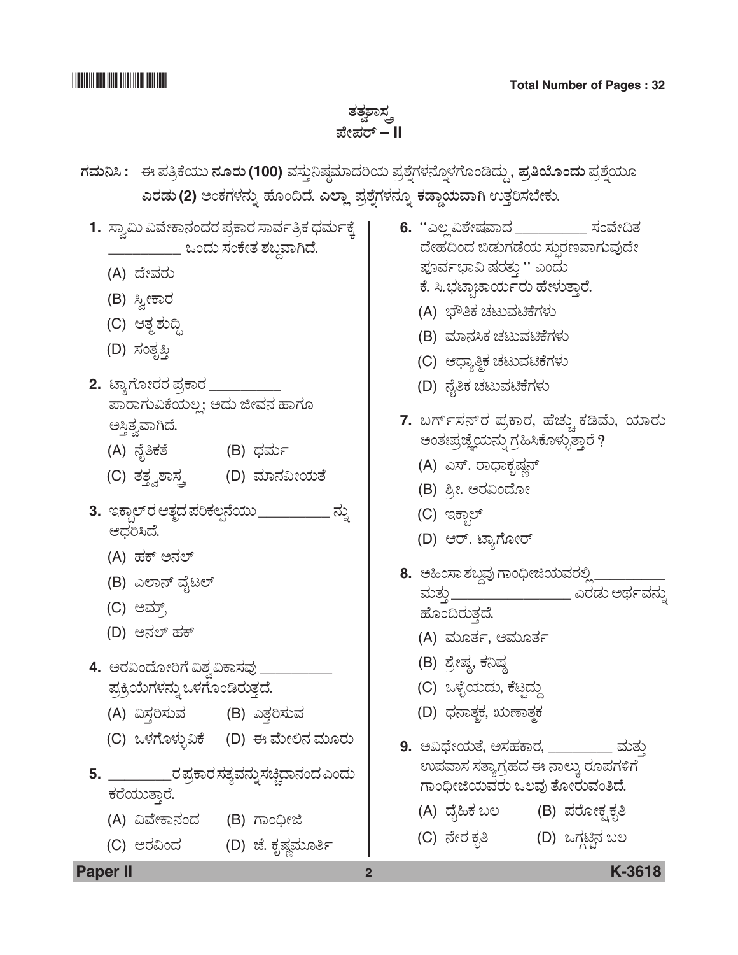## ತತ್ವಶಾಸ್ತ *±æà±ÜÃ…* **– II**

- *WÜÊÜá¯Ô : D ±Ü£ÅPæ¿áá ®ÜãÃÜá* **(100)** ÊÜÓÜ᤯ÐÜuÊÜÞ¨ÜÄ¿á ±ÜÅÍæ°WÜÙÜ®æã°ÙÜWæãíw¨Üáª , *±ÜÅ£Áãí¨Üá ±ÜÅÍæ°¿áã GÃÜvÜá* **(2)** *AíPÜWÜÙÜ®Üá° Öæãí©¨æ. GÇÝÉ ±ÜÅÍæ°WÜÙÜ®Üã° PÜvÝx¿áÊÝX* EñܤÄÓܸæàPÜá.
- 1. *ಸ್ವಾ*ಮಿ ವಿವೇಕಾನಂದರ ಪ್ರಕಾರ ಸಾರ್ವತ್ರಿಕ ಧರ್ಮಕ್ಕೆ | \_\_\_\_\_\_\_\_\_\_\_ ಒಂದು ಸಂಕೇತ ಶಬ್ದವಾಗಿದೆ. (A) *¨æàÊÜÃÜá* (B) ಸ್ವೀಕಾರ (C) *Bñܾ ÍÜᩜ* (D) ಸಂತೃಪ್ತಿ <mark>2.</mark> ಟ್ಯಾಗೋರರ ಪ್ರಕಾರ \_\_\_\_\_\_\_\_\_  $z$ ಪಾರಾಗುವಿಕೆಯಲ್ಲ; ಅದು ಜೀವನ ಹಾಗೂ ಅಸ್ತಿತ್ವವಾಗಿದೆ. (A) *®æç£PÜñæ* (B) *«ÜÊÜáì* (C) ತತ್ತ್ವಶಾಸ್ತ್ರ (D) ಮಾನವೀಯತೆ **3.** *CPݺDžÃÜ Bñܾ¨Ü ±ÜÄPÜÆ³®æ¿áá* \_\_\_\_\_\_\_\_\_ *®Üá° B«ÜÄÔ¨æ.* (A) *ÖÜP… A®ÜÇ…* (B) ಎಲಾನ್ ವೈಟಲ್ (C) *AÊÜå…Å* (D) ಅನಲ್ ಹಕ್ 4. ಅರವಿಂದೋರಿಗೆ ವಿಶ್ವವಿಕಾಸವು \_ ಪ್ರಕ್ರಿಯೆಗಳನ್ನು ಒಳಗೊಂಡಿರುತ್ತದೆ. (A) ವಿಸ್ತರಿಸುವ (B) ಎತ್ತರಿಸುವ (C) *JÙÜWæãÙÜáÛËPæ* (D) *D Êæáà騆 ÊÜáãÃÜá* **5.** \_\_\_\_\_\_\_\_\_\_\_\_ ರ ಪ್ರಕಾರ ಸತ್ಯವನ್ನು ಸಚ್ಚಿದಾನಂದ ಎಂದು ಕರೆಯುತ್ತಾರೆ. (A) *ËÊæàPÝ®Üí¨Ü* (B) *WÝí—ài* (C) *AÃÜËí¨Ü* (D) *hæ. PÜêÐÜ¡ÊÜáã£ì* **6.** *""GÆÉ ËÍæàÐÜÊÝ¨Ü* \_\_\_\_\_\_\_\_\_ *ÓÜíÊæà©ñÜ ¨æàÖÜ©í¨Ü ¹vÜáWÜvæ¿á ÓÜá–ÃÜ|ÊÝWÜáÊÜâ¨æà*  ಪೂರ್ವಭಾವಿ ಷರತ್ತು '' ಎಂದು ಕೆ. ಸಿ.ಭಟ್ಪಾಚಾರ್ಯರು ಹೇಳುತ್ತಾರೆ. (A) *»è£PÜ aÜoáÊÜqPæWÜÙÜá* (B) *ÊÜÞ®ÜÔPÜ aÜoáÊÜqPæWÜÙÜá* (C) *B«Ý£¾PÜ aÜoáÊÜqPæWÜÙÜá* (D) *®æç£PÜ aÜoáÊÜqPæWÜÙÜá* 7. ಬರ್ಗ್**ಸನ್**ರ ಪ್ರಕಾರ, ಹೆಚ್ಚು ಕಡಿಮೆ, ಯಾರು ಅಂತಃಪ್ರಜ್ಞೆಯನ್ನು ಗ್ರಹಿಸಿಕೊಳ್ಳುತ್ತಾರೆ ? (A) *ಎ*ಸ್. ರಾಧಾಕೃಷ್ಣನ್ (B) *ÎÅà. AÃÜËí¨æãà* (C) ಇಕ್ಸಾಲ್ (D) *BÃ…. pÝÂWæãàÃ…* **8.** ಅಹಿಂಸಾ ಶಬ್ದವು ಗಾಂಧೀಜಿಯವರಲ್ಲಿ \_\_\_\_\_\_\_\_\_\_\_\_ ಮತ್ತು \_\_\_\_\_\_\_\_\_\_\_\_\_\_\_\_\_\_\_\_\_\_\_ ಎರಡು ಅರ್ಥ ವನ್ನು ಹೊಂದಿರುತ್ತದೆ. (A) ಮೂರ್ತ, ಅಮೂರ್ತ (B) ಶ್ರೇಷ್ಠ, ಕನಿಷ್ಠ (C) ಒಳ್ಳೆಯದು, ಕೆಟ್ಗದ್ದು (D) ಧನಾತ್ಮಕ, ಋಣಾತ್ಮಕ 9. ಅವಿಧೇಯತೆ, ಅಸಹಕಾರ, **\_\_\_\_\_\_\_\_\_ ಮ**ತ್ತು *E±ÜÊÝÓÜ ÓÜñÝÂWÜÅÖÜ¨Ü D ®ÝÆáR ÃÜã±ÜWÜÚWæ WÝí—ài¿áÊÜÃÜá JÆÊÜâ ñæãàÃÜáÊÜí£¨æ.* (A) *¨æç×PÜ ŸÆ* (B) *±ÜÃæãàPÜÒ PÜê£* (C) *®æàÃÜ PÜê£* (D) *JWÜYqr®Ü ŸÆ*

**Paper II 2 K-3618**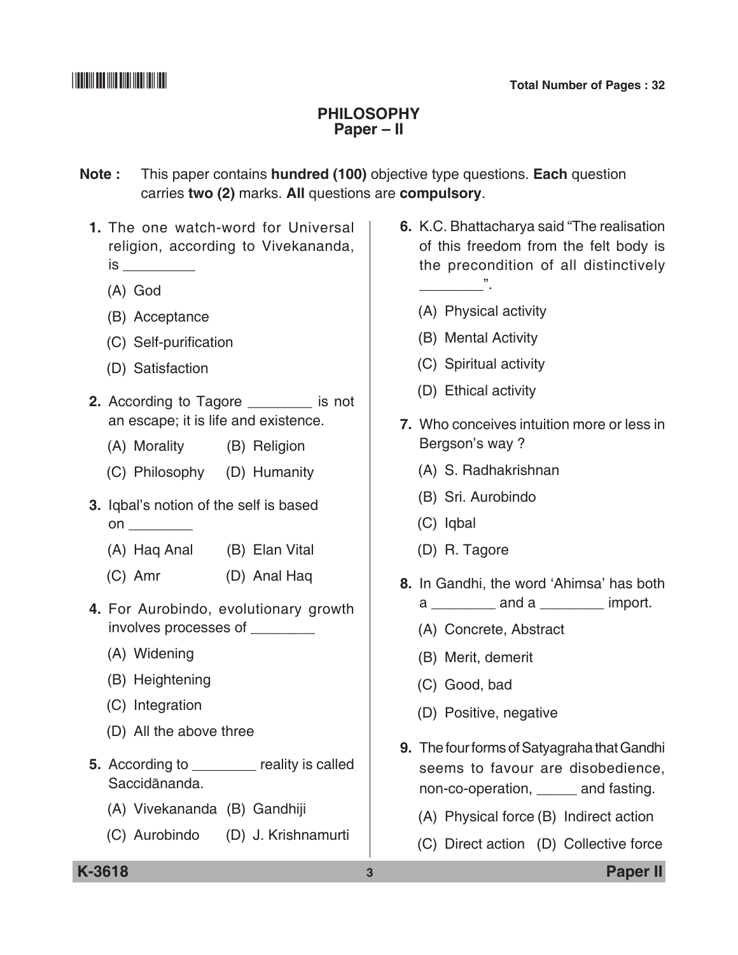### **Philosophy Paper – II**

**Note :** This paper contains **hundred (100)** objective type questions. **Each** question carries **two (2)** marks. **All** questions are **compulsory**.

- **1.** The one watch-word for Universal religion, according to Vivekananda,  $is$   $\qquad \qquad$ 
	- (A) God
	- (B) Acceptance
	- (C) Self-purification
	- (D) Satisfaction
- **2.** According to Tagore \_\_\_\_\_\_\_\_ is not an escape; it is life and existence.
	- (A) Morality (B) Religion
	- (C) Philosophy (D) Humanity
- **3.** Iqbal's notion of the self is based on \_\_\_\_\_\_\_\_
	- (A) Haq Anal (B) Elan Vital
	- (C) Amr (D) Anal Haq
- **4.** For Aurobindo, evolutionary growth involves processes of \_\_\_\_\_\_\_\_
	- (A) Widening
	- (B) Heightening
	- (C) Integration
	- (D) All the above three
- **5.** According to **b** reality is called Saccidānanda.
	- (A) Vivekananda (B) Gandhiji
	- (C) Aurobindo (D) J. Krishnamurti
- **6.** K.C. Bhattacharya said "The realisation of this freedom from the felt body is the precondition of all distinctively
	- (A) Physical activity

 $\sim$   $\sim$   $\sim$ 

- (B) Mental Activity
- (C) Spiritual activity
- (D) Ethical activity
- **7.** Who conceives intuition more or less in Bergson's way ?
	- (A) S. Radhakrishnan
	- (B) Sri. Aurobindo
	- (C) Iqbal
	- (D) R. Tagore
- **8.** In Gandhi, the word 'Ahimsa' has both  $a \_$  and a  $\_$  import.
	- (A) Concrete, Abstract
	- (B) Merit, demerit
	- (C) Good, bad
	- (D) Positive, negative
- **9.** The four forms of Satyagraha that Gandhi seems to favour are disobedience, non-co-operation, \_\_\_\_\_ and fasting.
	- (A) Physical force (B) Indirect action
	- (C) Direct action (D) Collective force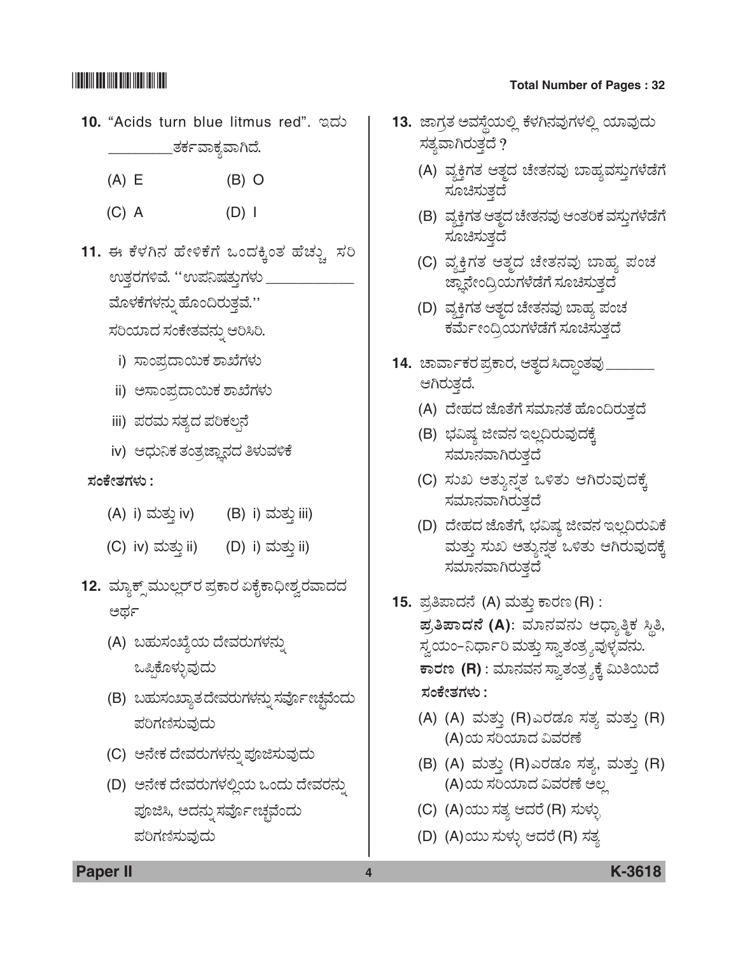- **10.** "Acids turn blue litmus red". *C¨Üá*  \_\_\_ತರ್ಕವಾಕ್ತವಾಗಿದೆ.
	- (A) E (B) O
	- (C) A (D) I
- 11. ಈ ಕೆಳಗಿನ ಹೇಳಿಕೆಗೆ ಒಂದಕ್ಕಿಂತ ಹೆಚ್ಚು ಸರಿ ಉತ್ತರಗಳಿವೆ. ''ಉಪನಿಷತ್ತುಗಳು ಮೊಳಕೆಗಳನ್ನು ಹೊಂದಿರುತ್ತವೆ.''  $\pi$ ರಿಯಾದ ಸಂಕೇತವನ್ನು ಆರಿಸಿರಿ.
	- i) *ಸಾಂ*ಪ್ರದಾಯಿಕ ಶಾಖೆಗಳು
	- ii) ಅಸಾಂಪ್ರದಾಯಿಕ ಶಾಖೆಗಳು
	- iii) ಪರಮ ಸತ್ಯದ ಪರಿಕಲ್ಪನೆ
	- iv) ಆಧುನಿಕ ತಂತ್ರಜ್ಞಾನದ ತಿಳುವಳಿಕೆ

### *ÓÜíPæàñÜWÜÙÜá :*

- (A) i) ಮತ್ತು iv) (B) i) ಮತ್ತು iii)
- (C) iv) ಮತ್ತು ii) (D) i) ಮತ್ತು ii)
- 12. *ಮ್ಯಾ*ಕ್ಸ್*ಮುಲ್ಲ*ರ್ ಪ್ರಕಾರ ಏಕೈಕಾಧೀಶ್ವರವಾದದ ಅರ್ಥ
	- (A) *ŸÖÜáÓÜíTæÂ¿á ¨æàÊÜÃÜáWÜÙÜ®Üá°*  ಒಪ್ಪಿಕೊಳ್ಳುವುದು
	- (B) *ŸÖÜáÓÜíTÝÂñÜ ¨æàÊÜÃÜáWÜÙÜ®Üá° ÓÜÊæäìàaÜfÊæí¨Üá ±ÜÄWÜ~ÓÜáÊÜâ¨Üá*
	- (C) *A®æàPÜ ¨æàÊÜÃÜáWÜÙÜ®Üá° ±ÜäiÓÜáÊÜâ¨Üá*
	- (D) *A®æàPÜ ¨æàÊÜÃÜáWÜÙÜÈÉ¿á Jí¨Üá ¨æàÊÜÃÜ®Üá°*  ಪೂಜಿಸಿ, ಅದನ್ನು ಸರ್ವೋಚ್ಛವೆಂದು *±ÜÄWÜ~ÓÜáÊÜâ¨Üá*

# \*K3618\* **Total Number of Pages : 32**

- 13. ಜಾಗ್ರತ ಅವಸ್ಥೆಯಲ್ಲಿ ಕೆಳಗಿನವುಗಳಲ್ಲಿ ಯಾವುದು ಸತ್ಯವಾಗಿರುತ್ತದೆ ?
	- (A) ವ್ಯಕ್ತಿಗತ ಆತ್ದದ ಚೇತನವು ಬಾಹ್ಯವಸ್ತುಗಳೆಡೆಗೆ ಸೂಚಿಸುತ್ತದೆ
	- (B) ವ್ಯಕ್ತಿಗತ ಆತ್ತದ ಚೇತನವು ಆಂತರಿಕ ವಸ್ತುಗಳೆಡೆಗೆ ಸೂಚಿಸುತ್ತದೆ
	- (C) ವ್ಯಕ್ತಿಗತ ಆತ್ಮದ ಚೇತನವು ಬಾಹ್ಯ ಪಂಚ <u>ಜ</u>್ಞಾನೇಂದ್ರಿಯಗಳೆಡೆಗೆ ಸೂಚಿಸುತ್ತದೆ
	- (D) ವ್ಯಕ್ತಿಗತ ಆತ್ಮದ ಚೇತನವು ಬಾಹ್ಯ ಪಂಚ ಕರ್ಮೇಂದ್ರಿಯಗಳೆಡೆಗೆ ಸೂಚಿಸುತ್ತದೆ
- <u>14. ಚಾರ್ವಾಕರ ಪ್ರಕಾರ, ಆತ್ತದ ಸಿದ್ಧಾಂತವು \_</u> ಆಗಿರುತ್ತದೆ.
	- (A) ದೇಹದ ಜೊತೆಗೆ ಸಮಾನತೆ ಹೊಂದಿರುತ್ತದೆ
	- (B) *»ÜËÐÜ iàÊÜ®Ü CÆÉ©ÃÜáÊÜâ¨ÜPæR*  ಸಮಾನವಾಗಿರುತ್ತದೆ
	- (C) *ÓÜáS AñÜá®ܰñÜ JÚñÜá BXÃÜáÊÜâ¨ÜPæR*  ಸಮಾಗಿರುತ್ತದೆ
	- (D) ದೇಹದ ಜೊತೆಗೆ, ಭವಿಷ್ಯ ಜೀವನ ಇಲ್ಲದಿರುವಿಕೆ ಮತ್ತು ಸುಖ ಅತ್ಯುನ್ನತ ಒಳಿತು ಆಗಿರುವುದಕ್ಕೆ ಸಮಾನವಾಗಿರುತ್ತದೆ
- 15. ಪ್ರತಿಪಾದನೆ (A) ಮತ್ತು ಕಾರಣ (R) :  $\vec{a}$ ಪ್ರಿಪಾದನೆ (A): ಮಾನವನು ಆಧ್ಯಾತ್ಮಿಕ ಸ್ಥಿತಿ, ಸ್ವಯಂ–ನಿರ್ಧಾರಿ ಮತ್ತು ಸ್ವಾತಂತ್ರ್ಯವುಳ್ಳವನು.  $\overline{r}$ ಕಾರಣ (R) : ಮಾನವನ ಸ್ತಾತಂತ್ರ್ಯಕ್ಕೆ ಮಿತಿಯಿದೆ  *ÓÜíPæàñÜWÜÙÜá :*
	- (A) (A) ಮತ್ತು (R)ಎರಡೂ ಸತ್ಯ ಮತ್ತು (R) (A)ಯ ಸರಿಯಾದ ವಿವರಣೆ
	- (B) (A) ಮತ್ತು (R)ಎರಡೂ ಸತ್ಯ, ಮತ್ತು (R) (A)ಯ ಸರಿಯಾದ ವಿವರಣೆ ಅಲ್ಲ
	- (C) (A)*¿áá ÓÜñÜ B¨ÜÃæ* (R) *ÓÜáÙÜáÛ*
	- (D) (A)*¿áá ÓÜáÙÜáÛ B¨ÜÃæ* (R) *ÓÜñÜÂ*

**Paper II 4 K-3618**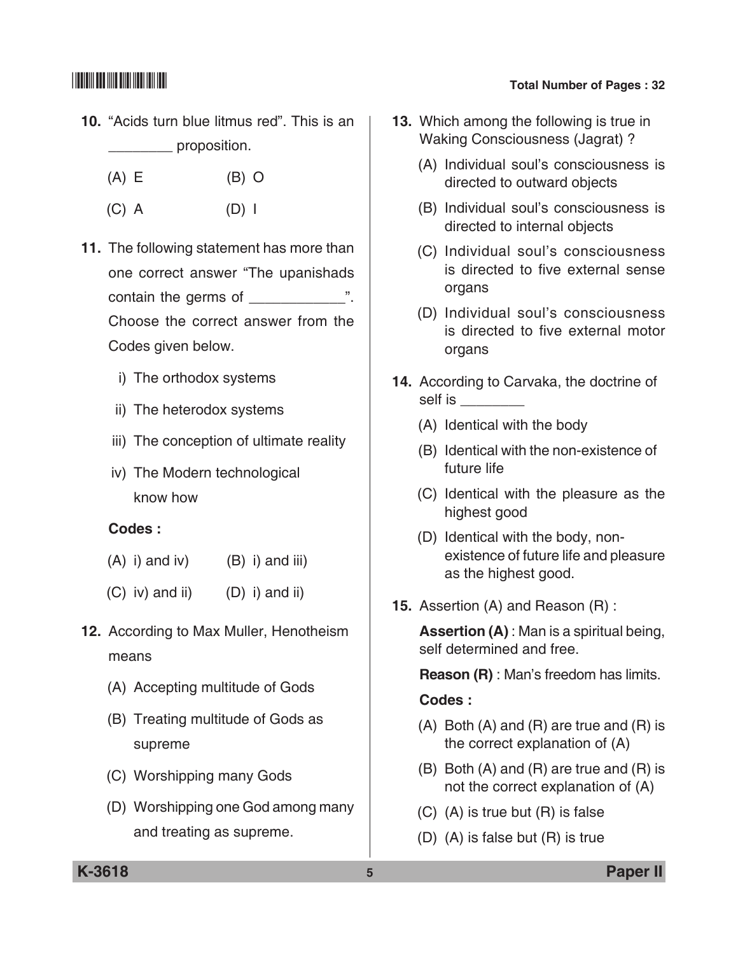- **10.** "Acids turn blue litmus red". This is an proposition.
	- (A) E (B) O
	- (C) A (D) I
- **11.** The following statement has more than one correct answer "The upanishads contain the germs of \_\_\_\_\_\_\_\_\_\_\_\_". Choose the correct answer from the Codes given below.
	- i) The orthodox systems
	- ii) The heterodox systems
	- iii) The conception of ultimate reality
	- iv) The Modern technological know how

### **Codes :**

- $(A)$  i) and iv)  $(B)$  i) and iii)
- $(C)$  iv) and ii)  $(D)$  i) and ii)
- **12.** According to Max Muller, Henotheism means
	- (A) Accepting multitude of Gods
	- (B) Treating multitude of Gods as supreme
	- (C) Worshipping many Gods
	- (D) Worshipping one God among many and treating as supreme.

# \*K3618\* **Total Number of Pages : 32**

- **13.** Which among the following is true in Waking Consciousness (Jagrat) ?
	- (A) Individual soul's consciousness is directed to outward objects
	- (B) Individual soul's consciousness is directed to internal objects
	- (C) Individual soul's consciousness is directed to five external sense organs
	- (D) Individual soul's consciousness is directed to five external motor organs
- **14.** According to Carvaka, the doctrine of self is \_\_\_\_\_\_\_\_\_
	- (A) Identical with the body
	- (B) Identical with the non-existence of future life
	- (C) Identical with the pleasure as the highest good
	- (D) Identical with the body, nonexistence of future life and pleasure as the highest good.
- **15.** Assertion (A) and Reason (R) :

 **Assertion (A)** : Man is a spiritual being, self determined and free.

**Reason (R)** : Man's freedom has limits.

### **Codes :**

- (A) Both (A) and (R) are true and (R) is the correct explanation of (A)
- (B) Both (A) and (R) are true and (R) is not the correct explanation of (A)
- (C) (A) is true but (R) is false
- (D) (A) is false but (R) is true

**K-3618 5 Paper II**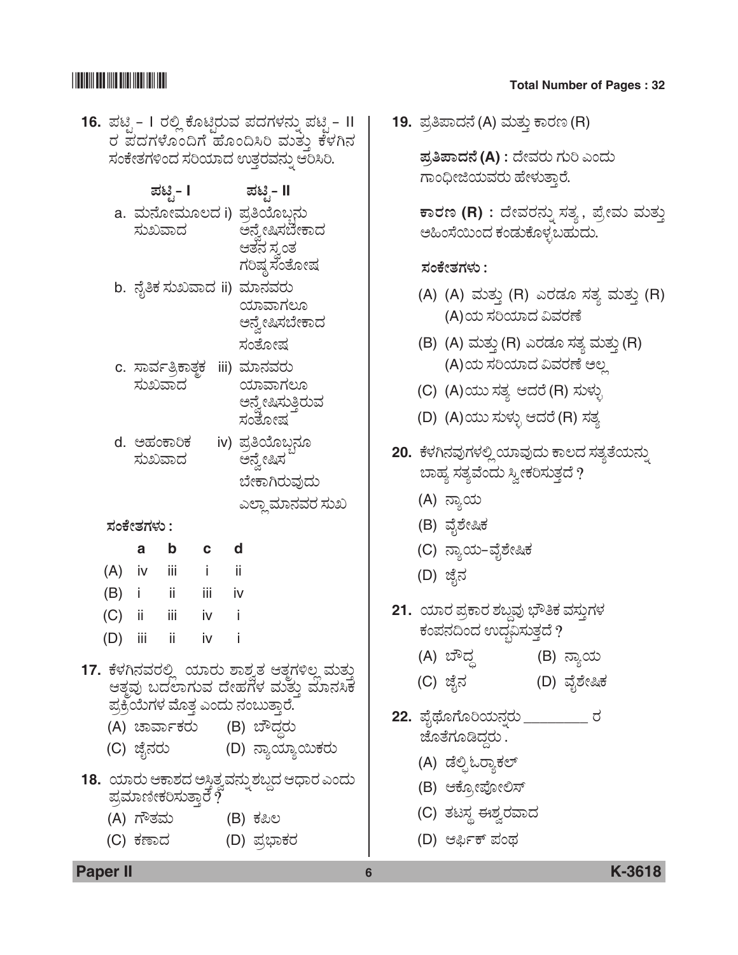## <u> Han alam masjid asl nashrida n</u>

### **Total Number of Pages: 32**

- 16. ಪಟ್ಸಿ I ರಲ್ಲಿ ಕೊಟ್ತಿರುವ ಪದಗಳನ್ನು ಪಟ್ಸಿ II ರ ಪದಗಳೊಂದಿಗೆ ಹೊಂದಿಸಿರಿ ಮತ್ತು ಕೆಳಗಿನ ಸಂಕೇತಗಳಿಂದ ಸರಿಯಾದ ಉತ್ತರವನ್ನು ಆರಿಸಿರಿ.
	- ಪಟಿೃ- I ಹಟಿೃ- II
	- a. ಮನೋಮೂಲದ i) ಪ್ರತಿಯೊಬ್ಬರ ಸುಖವಾದ ಅನ್ನೇಷಿಸಬೇಕಾದ ಆತನ ಸ್ರಂತ ಗರಿಷ್ಠ ಸಂತೋಷ
	- b. ನೈತಿಕ ಸುಖವಾದ ii) ಮಾನವರು ಯಾವಾಗಲೂ ಅನ್ರೇಷಿಸಬೇಕಾದ ಸಂತೋಷ
	- c. ಸಾರ್ವತ್ರಿಕಾತ್ಜಕ iii) ಮಾನವರು ಸುಖವಾದ ಯಾವಾಗಲೂ ಅನ್ನೇಷಿಸುತ್ತಿರುವ ಸಂತೋಷ
	- iv) ಪ್ರತಿಯೊಬ್ಬನೂ d. ಅಹಂಕಾರಿಕ ಸುಖವಾದ ಅನ್ವೇಷಿಸ

ಬೇಕಾಗಿರುವುದು ಎಲ್ಲಾ ಮಾನವರ ಸುಖ

### ಸಂಕೇತಗಳು :

|     | a    | b   | C   | d  |
|-----|------|-----|-----|----|
| (A) | iv   | iii | i   | ii |
| (B) | - 1  | ii  | iii | iv |
| (C) | - ii | iij | iv  | i  |
| (D) | iii  | ii  | iv  | i  |

- 17. ಕೆಳಗಿನವರಲ್ಲಿ ಯಾರು ಶಾಶ್ರತ ಆತ್ತಗಳಿಲ್ಲ ಮತ್ತು ಆತ್ತವು ಬದಲಾಗುವ ದೇಹಗಳ ಮತ್ತು ಮಾನಸಿಕ ಪ್ರಕ್ರಿಯೆಗಳ ಮೊತ್ತ ಎಂದು ನಂಬುತ್ತಾರೆ.
	- (A) ಚಾರ್ವಾಕರು (B) ಬೌದ್ದರು
	- (C) ಜೈನರು (D) ನ್ಯಾಯ್ಯಾಯಿಕರು
- 18. ಯಾರು ಆಕಾಶದ ಅಸ್ತಿತ್ವವನ್ನು ಶಬ್ದದ ಆಧಾರ ಎಂದು ಪ್ರಮಾಣೀಕರಿಸುತ್ತಾರೆ  $\tilde{?}$ 
	- (A) ಗೌತಮ (B) ಕಪಿಲ
	- (C) ಕಣಾದ (D) ಪ್ರಭಾಕರ

19. ಪ್ರತಿಪಾದನೆ (A) ಮತ್ತು ಕಾರಣ (R)

ಪ್ರತಿಪಾದನೆ (A) : ದೇವರು ಗುರಿ ಎಂದು ಗಾಂಧೀಜಿಯವರು ಹೇಳುತ್ತಾರೆ.

ಕಾರಣ (R) : ದೇವರನ್ನು ಸತ್ಯ , ಪ್ರೇಮ ಮತ್ತು ಅಹಿಂಸೆಯಿಂದ ಕಂಡುಕೊಳ್ಳಬಹುದು.

### ಸಂಕೇತಗಳು :

- (A) (A) ಮತ್ತು (R) ಎರಡೂ ಸತ್ಯ ಮತ್ತು (R) (A)ಯ ಸರಿಯಾದ ವಿವರಣೆ
- (B) (A) ಮತ್ತು (R) ಎರಡೂ ಸತ್ಯ ಮತ್ತು (R) (A)ಯ ಸರಿಯಾದ ವಿವರಣೆ ಅಲ್ಲ
- (C) (A)ಯು ಸತ್ಯ ಆದರೆ (R) ಸುಳ್ಳು
- (D) (A)ಯು ಸುಳ್ಳು ಆದರೆ (R) ಸತ್ಯ
- 20. ಕೆಳಗಿನವುಗಳಲ್ಲಿ ಯಾವುದು ಕಾಲದ ಸತ್ಯತೆಯನ್ನು ಬಾಹ್ಯ ಸತ್ಯವೆಂದು ಸ್ವೀಕರಿಸುತ್ತದೆ ?
	- (A) ನ್ಯಾಯ
	- (B) ವೈಶೇಷಿಕ
	- (C) ನ್ಯಾಯ-ವೈಶೇಷಿಕ
	- (D) ಜೈನ
- 21. ಯಾರ ಪ್ರಕಾರ ಶಬ್ದವು ಭೌತಿಕ ವಸ್ತುಗಳ ಕಂಪನದಿಂದ ಉದ್ಭವಿಸುತ್ತದೆ ?
	- (A) ಬೌದ್ಧ (B) ನ್ಯಾಯ
	- (C) ಜೈನ (D) ವೈಶೇಷಿಕ
- 22. ಪೈಥೊಗೊರಿಯನ್ನರು \_\_\_\_\_\_\_\_\_\_ ರ ಜೊತೆಗೂಡಿದ್ದು.
	- (A) ಡೆಲ್ಸಿಓದ್ಯಾಕಲ್
	- (B) ಆಕ್ಸೋಪೋಲಿಸ್
	- (C) ತಟಸ್ಥ ಈಶ್ವರವಾದ
	- (D) ಆರ್ಫಿಕ್ ಪಂಥ

6

**Paper II** 

### K-3618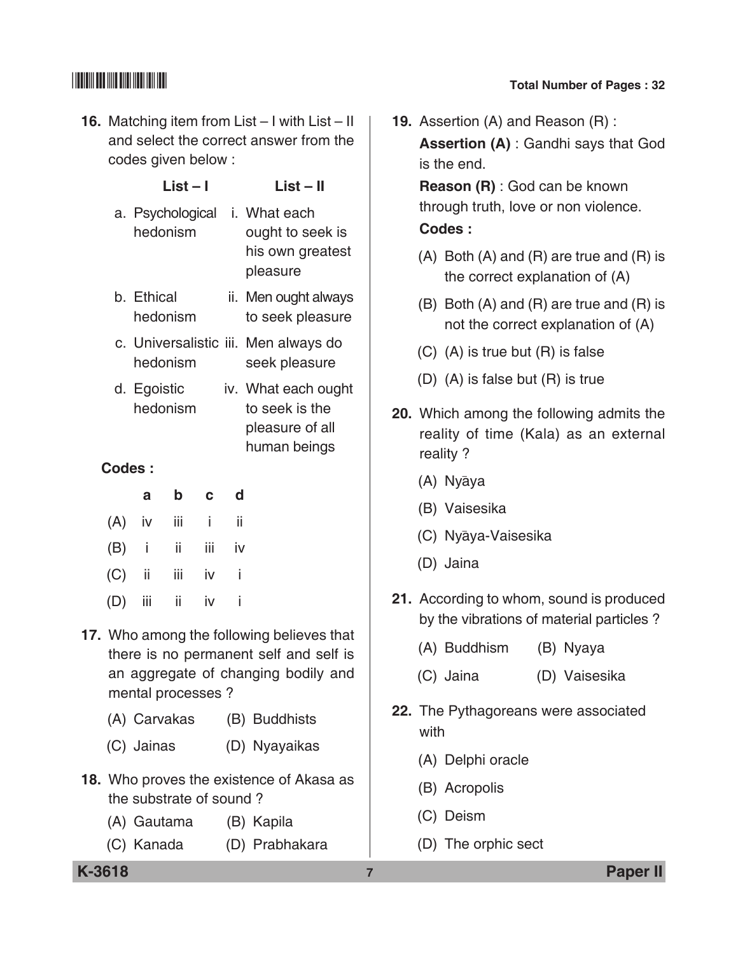# $\begin{array}{|c|c|c|c|}\hline \text{small} & \text{small} & \text{small} \end{array}$  Total Number of Pages : 32

**16.** Matching item from List – I with List – II and select the correct answer from the codes given below :

|                                                                                                                            |                         | List – I |     |    | List – II                                                                |  |  |  |
|----------------------------------------------------------------------------------------------------------------------------|-------------------------|----------|-----|----|--------------------------------------------------------------------------|--|--|--|
|                                                                                                                            | a. Psychological        | hedonism |     |    | i. What each<br>ought to seek is<br>his own greatest<br>pleasure         |  |  |  |
|                                                                                                                            | b. Ethical              | hedonism |     |    | ii. Men ought always<br>to seek pleasure                                 |  |  |  |
|                                                                                                                            |                         | hedonism |     |    | c. Universalistic iii. Men always do<br>seek pleasure                    |  |  |  |
|                                                                                                                            | d. Egoistic<br>hedonism |          |     |    | iv. What each ought<br>to seek is the<br>pleasure of all<br>human beings |  |  |  |
| Codes:                                                                                                                     |                         |          |     |    |                                                                          |  |  |  |
|                                                                                                                            | a                       | b        | C   | d  |                                                                          |  |  |  |
| (A)                                                                                                                        | iv                      | iίi      | i   | ii |                                                                          |  |  |  |
| (B)                                                                                                                        | İ                       | ii       | iii | iv |                                                                          |  |  |  |
| (C)                                                                                                                        | ii                      | iii      | iv  | i  |                                                                          |  |  |  |
| (D)                                                                                                                        | iij                     | ii       | iv  | i  |                                                                          |  |  |  |
| 17. Who among the following believes that<br>there is no permanent self and self is<br>an aggregate of changing bodily and |                         |          |     |    |                                                                          |  |  |  |

(A) Carvakas (B) Buddhists

mental processes ?

- (C) Jainas (D) Nyayaikas
- **18.** Who proves the existence of Akasa as the substrate of sound ?
	- (A) Gautama (B) Kapila
	- (C) Kanada (D) Prabhakara

**19.** Assertion (A) and Reason (R) : **Assertion (A)** : Gandhi says that God

is the end.

 **Reason (R)** : God can be known through truth, love or non violence.

### **Codes :**

- (A) Both (A) and (R) are true and (R) is the correct explanation of (A)
- (B) Both (A) and (R) are true and (R) is not the correct explanation of (A)
- (C) (A) is true but (R) is false
- (D) (A) is false but (R) is true
- **20.** Which among the following admits the reality of time (Kala) as an external reality ?
	- (A) Nyaya
	- (B) Vaisesika
	- (C) Nyāya-Vaisesika
	- (D) Jaina
- **21.** According to whom, sound is produced by the vibrations of material particles ?
	- (A) Buddhism (B) Nyaya
	- (C) Jaina (D) Vaisesika
- **22.** The Pythagoreans were associated with
	- (A) Delphi oracle
	- (B) Acropolis
	- (C) Deism
	- (D) The orphic sect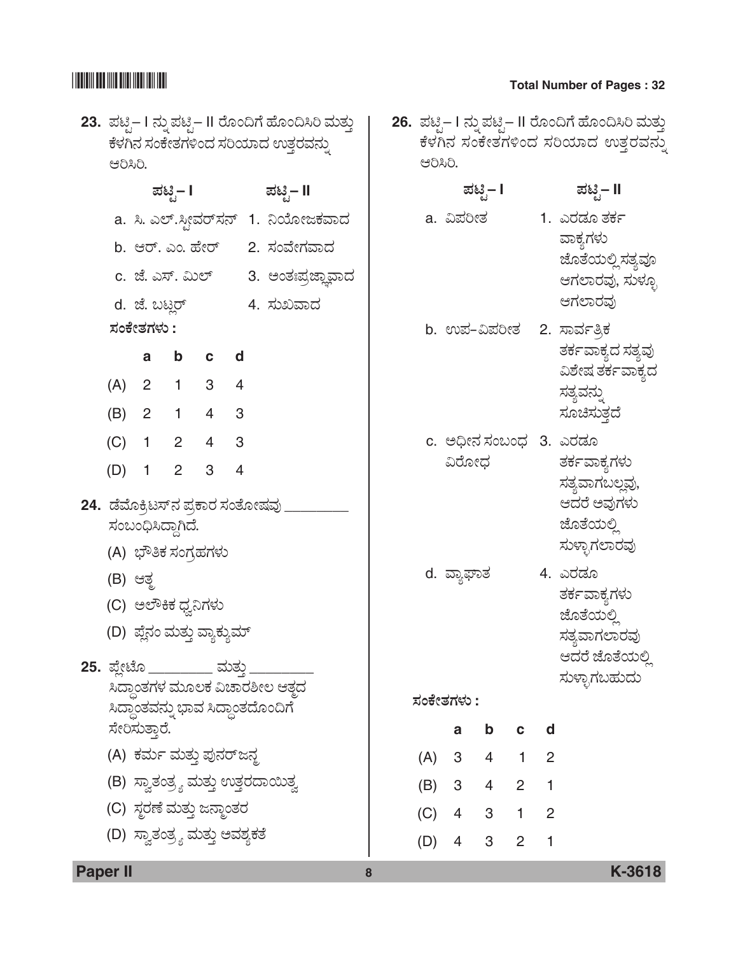| 23.  ಪಟ್ಟಿ– I ನ್ನು ಪಟ್ಟಿ– II ರೊಂದಿಗೆ ಹೊಂದಿಸಿರಿ ಮತ್ತು<br>ಕೆಳಗಿನ ಸಂಕೇತಗಳಿಂದ ಸರಿಯಾದ ಉತ್ತರವನ್ನು<br>ಆರಿಸಿರಿ. | 26. ಪಟ್ಟಿ– I ನ್ನು ಪಟ್ಟಿ– II ರೊಂದಿಗೆ ಹೊಂದಿಸಿರಿ ಮತ್ತು<br>ಕೆಳಗಿನ ಸಂಕೇತಗಳಿಂದ ಸರಿಯಾದ ಉತ್ತರವನ್ನು<br>ಆರಿಸಿರಿ. |
|---------------------------------------------------------------------------------------------------------|--------------------------------------------------------------------------------------------------------|
| ಹಟಿೖ– II<br>ಪಟಿೖ– I                                                                                     | ಪಟಿೖ– I<br>ಪಟಿೖ– II                                                                                    |
| a. ಸಿ. ಎಲ್.ಸ್ಟೀವರ್ಸನ್ 1. ನಿಯೋಜಕವಾದ                                                                      | 1. ಎರಡೂ ತರ್ಕ<br>a. ವಿಪರೀತ                                                                              |
| b. ಆರ್. ಎಂ. ಹೇರ್ 2. ಸಂವೇಗವಾದ                                                                            | ವಾಕ್ಯಗಳು<br>ಜೊತೆಯಲ್ಲಿ ಸತ್ಯವೂ                                                                           |
| c. ಜೆ. ಎಸ್. ಮಿಲ್<br>3. ಅಂತಃಪ್ರಜ್ಞಾವಾದ                                                                   | ಆಗಲಾರವು, ಸುಳ್ಳೂ                                                                                        |
| 4. ಸುಖವಾದ<br>d. ಜೆ. ಬಟ್ಲರ್                                                                              | ಆಗಲಾರವು                                                                                                |
| ಸಂಕೇತಗಳು :                                                                                              | b. ಉಪ-ವಿಪರೀತ 2. ಸಾರ್ವತ್ರಿಕ                                                                             |
| b<br>$\mathbf{c}$<br>d<br>a                                                                             | ತರ್ಕವಾಕ್ಯದ ಸತ್ಯವು<br>ವಿಶೇಷ ತರ್ಕವಾಕ್ಯದ                                                                  |
| 3 <sup>7</sup><br>(A)<br>$2 \quad 1$<br>4                                                               | ಸತ್ಯವನ್ನು                                                                                              |
| (B)<br>$1 -$<br>3<br>$2^{\circ}$<br>4                                                                   | ಸೂಚಿಸುತ್ತದೆ                                                                                            |
| (C)<br>$2^{\circ}$<br>3<br>$1 \quad$<br>4                                                               | c. ಅಧೀನ ಸಂಬಂಧ 3. ಎರಡೂ                                                                                  |
| 3<br>(D)<br>$\overline{2}$<br>4<br>1                                                                    | ವಿರೋಧ<br>ರ್ತಕವಾಕ್ಯಗಳು<br>ಸತ್ಯವಾಗಬಲ್ಲವು,                                                                |
| 24.  ಡೆಮೊಕ್ರಿಟಸ್ನ ಪ್ರಕಾರ ಸಂತೋಷವು                                                                        | ಆದರೆ ಅವುಗಳು                                                                                            |
| ಸಂಬಂಧಿಸಿದ್ದಾಗಿದೆ.                                                                                       | ಜೊತೆಯಲ್ಲಿ                                                                                              |
| (A) ಭೌತಿಕ ಸಂಗ್ರಹಗಳು                                                                                     | ಸುಳ್ಳಾಗಲಾರವು                                                                                           |
| (B) ಆತ್ಮ                                                                                                | 4. ಎರಡೂ<br>d. ವ್ಯಾಘಾತ<br>ರ್ತ೯ವಾಕ್ತಗಳು                                                                  |
| (C) ಅಲೌಕಿಕ ಧ್ವನಿಗಳು                                                                                     | ಜೊತೆಯಲ್ಲಿ                                                                                              |
| (D) ಪ್ಲೆನಂ ಮತ್ತು ವ್ಯಾಕ್ಯುಮ್                                                                             | ಸತ್ತವಾಗಲಾರವು                                                                                           |
| <b>25.</b> ಪ್ಲೇಟೊ _________ ಮತ್ತು                                                                       | ಆದರೆ ಜೊತೆಯಲ್ಲಿ                                                                                         |
| ಸಿದ್ಧಾಂತಗಳ ಮೂಲಕ ವಿಚಾರಶೀಲ ಆತ್ತದ                                                                          | ಸುಳ್ಳಾಗಬಹುದು<br>ಸಂಕೇತಗಳು :                                                                             |
| ಸಿದ್ಧಾಂತವನ್ನು ಭಾವ ಸಿದ್ಧಾಂತದೊಂದಿಗೆ<br>ಸೇರಿಸುತ್ತಾರೆ.                                                      | $\mathbf b$<br>d<br>a<br>$\mathbf c$                                                                   |
| (A) ಕರ್ಮ ಮತ್ತು ಪುನರ್ಜನ್ಠ                                                                                | $3 \quad 4 \quad 1$<br>(A)<br>$\overline{2}$                                                           |
| (B) ಸ್ವಾತಂತ್ರ್ಯ ಮತ್ತು ಉತ್ತರದಾಯಿತ್ವ                                                                      | $3 \quad 4 \quad 2$<br>(B)<br>$\mathbf{1}$                                                             |
| (C) ಸ್ಥರಣೆ ಮತ್ತು ಜನ್ಮಾಂತರ                                                                               | 4 3 1 2<br>(C)                                                                                         |
| (D) ಸ್ವಾತಂತ್ರ್ಯ ಮತ್ತು ಅವಶ್ಯಕತೆ                                                                          | 3 <sup>7</sup><br>$\overline{2}$<br>$4\overline{ }$<br>1<br>(D)                                        |
|                                                                                                         |                                                                                                        |

**Paper II 8 K-3618**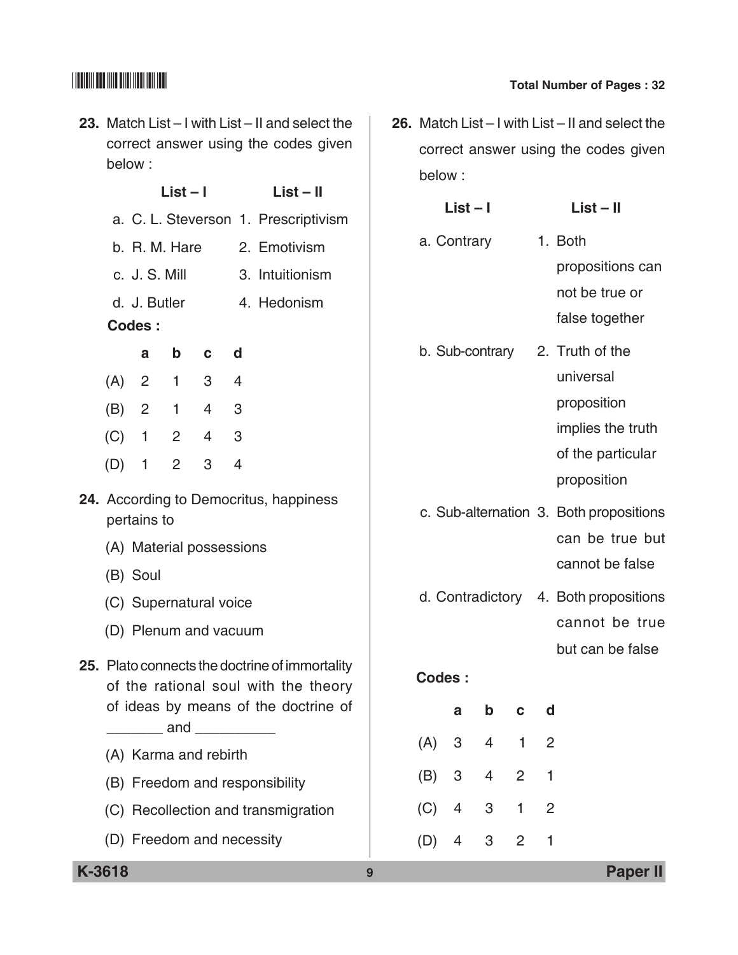**23.** Match List – I with List – II and select the correct answer using the codes given below :

|                                                       |  |               | List – I |             |                                      | List – II                  |  |
|-------------------------------------------------------|--|---------------|----------|-------------|--------------------------------------|----------------------------|--|
|                                                       |  |               |          |             | a. C. L. Steverson 1. Prescriptivism |                            |  |
|                                                       |  |               |          |             |                                      | b. R. M. Hare 2. Emotivism |  |
|                                                       |  | c. J. S. Mill |          |             |                                      | 3. Intuitionism            |  |
|                                                       |  | d. J. Butler  |          |             |                                      | 4. Hedonism                |  |
|                                                       |  | Codes:        |          |             |                                      |                            |  |
|                                                       |  | a             | b c      |             | ∣ d                                  |                            |  |
|                                                       |  | $(A)$ 2 1 3 4 |          |             |                                      |                            |  |
|                                                       |  | (B) 2 1 4 3   |          |             |                                      |                            |  |
|                                                       |  | $(C)$ 1 2     |          | $4 \quad 3$ |                                      |                            |  |
|                                                       |  | $(D)$ 1 2     |          | 3           | 4                                    |                            |  |
| 24. According to Democritus, happiness<br>pertains to |  |               |          |             |                                      |                            |  |

- (A) Material possessions
- (B) Soul
- (C) Supernatural voice
- (D) Plenum and vacuum

## **25.** Plato connects the doctrine of immortality of the rational soul with the theory of ideas by means of the doctrine of  $\sqrt{a}$  and  $\sqrt{a}$

- (A) Karma and rebirth
- (B) Freedom and responsibility
- (C) Recollection and transmigration
- (D) Freedom and necessity

**26.** Match List – I with List – II and select the correct answer using the codes given below :

| $List - I$                                 | $List - II$                             |
|--------------------------------------------|-----------------------------------------|
| a. Contrary                                | 1. Both                                 |
|                                            | propositions can                        |
|                                            | not be true or                          |
|                                            | false together                          |
| b. Sub-contrary                            | 2. Truth of the                         |
|                                            | universal                               |
|                                            | proposition                             |
|                                            | implies the truth                       |
|                                            | of the particular                       |
|                                            | proposition                             |
|                                            | c. Sub-alternation 3. Both propositions |
|                                            | can be true but                         |
|                                            | cannot be false                         |
|                                            | d. Contradictory 4. Both propositions   |
|                                            | cannot be true                          |
|                                            | but can be false                        |
| <b>Codes:</b>                              |                                         |
| b<br>a<br>C                                | d                                       |
| (A)<br>$\overline{4}$<br>$\mathbf{1}$<br>3 | $\overline{2}$                          |
| 4<br>2<br>(B)<br>3                         | 1                                       |

(C) 4 3 1 2

(D) 4 3 2 1

# $\begin{array}{|c|c|c|c|}\hline \text{small} & \text{small} & \text{small} \end{array}$  Total Number of Pages : 32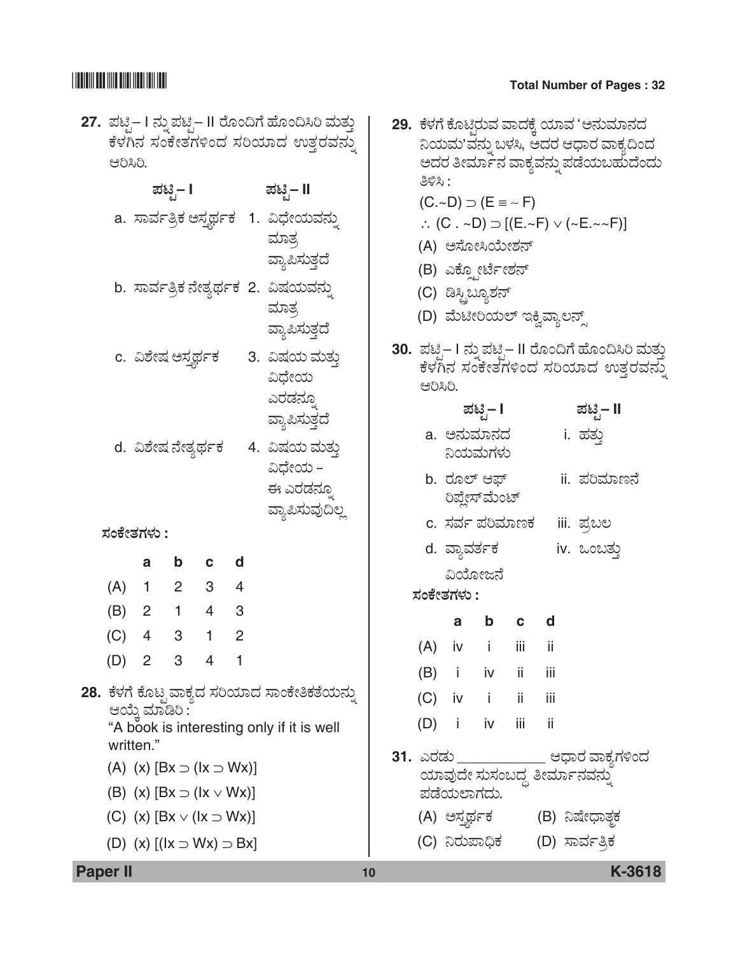# $\begin{array}{|c|c|c|c|}\hline \text{small} & \text{small} & \text{small} \end{array}$  Total Number of Pages : 32

| ಆರಿಸಿರಿ.                                                                      | c. ವಿಶೇಷ ಅಸ್ತರ್ಥಕ                             | ಪಟಿೃ− I        |                                       |                | 27. ಪಟ್ಟಿ– I ನ್ನು ಪಟ್ಟಿ– II ರೊಂದಿಗೆ ಹೊಂದಿಸಿರಿ ಮತ್ತು<br>ಕೆಳಗಿನ ಸಂಕೇತಗಳಿಂದ ಸರಿಯಾದ ಉತ್ತರವನ್ನು<br>ಮಟಿೃ– II<br>a. ಸಾರ್ವತ್ರಿಕ ಅಸ್ತರ್ಥಕ  1. ವಿಧೇಯವನ್ನು<br>ಮಾತ್ರ<br>ವ್ಯಾಪಿಸುತ್ತದೆ<br>b. ಸಾರ್ವತ್ರಿಕ ನೇತ್ಯರ್ಥಕ 2. ವಿಷಯವನ್ನು<br>ಮಾತ್ರ<br>ವ್ಯಾಪಿಸುತ್ತದೆ<br>3. ವಿಷಯ ಮತ್ತು<br>ವಿಧೇಯ<br>ಎರಡನ್ಸೂ |            | ತಿಳಿಸಿ :<br>ಆರಿಸಿರಿ. |          | $(C.-D) \supset (E \equiv -F)$<br>(A) ಅಸೋಸಿಯೇಶನ್<br>(B) ಎಕ್ಫೋರ್ಟೇಶನ್<br>(C) ಡಿಸ್ಟಿಬ್ಯೂಶನ್<br>(D) ಮೆಟೀರಿಯಲ್ ಇಕ್ವಿವ್ತಾಲನ್ಸ್ |              |      | 29. ಕೆಳಗೆ ಕೊಟ್ತಿರುವ ವಾದಕ್ಕೆ ಯಾವ 'ಅನುಮಾನದ<br>ನಿಯಮ'ವನ್ನು ಬಳಸಿ, ಆದರ ಆಧಾರ ವಾಕ್ಯದಿಂದ<br>ಅದರ ತೀರ್ಮಾನ ವಾಕ್ಯವನ್ನು ಪಡೆಯಬಹುದೆಂದು<br>$\therefore$ (C $. \sim$ D) $\supset$ [(E. $\sim$ F) $\vee$ ( $\sim$ E. $\sim$ $\sim$ F)]<br>30.  ಪಟೃ– I ನ್ನು ಪಟೃ– II ರೊಂದಿಗೆ ಹೊಂದಿಸಿರಿ ಮತ<br>ಕೆಳಗಿನ ಸಂಕೇತಗಳಿಂದ ಸರಿಯಾದ ಉತ್ತರವನ |  |
|-------------------------------------------------------------------------------|-----------------------------------------------|----------------|---------------------------------------|----------------|----------------------------------------------------------------------------------------------------------------------------------------------------------------------------------------------------------------------------------------------------------------------------------|------------|----------------------|----------|---------------------------------------------------------------------------------------------------------------------------|--------------|------|----------------------------------------------------------------------------------------------------------------------------------------------------------------------------------------------------------------------------------------------------------------------------------------------------------|--|
|                                                                               | d.  ವಿಶೇಷ ನೇತ್ಯರ್ಥಕ<br>ಸಂಕೇತಗಳು :             |                |                                       |                | ವ್ಯಾಪಿಸುತ್ತದೆ<br>4.  ವಿಷಯ ಮತ್ತು<br>ವಿಧೇಯ –<br>ಈ ಎರಡನ್ನೂ<br>ವ್ಯಾಪಿಸುವುದಿಲ್ಲ                                                                                                                                                                                                       |            |                      |          | ಪಟಿೃ− I<br>a. ಅನುಮಾನದ<br>ನಿಯಮಗಳು<br>b. ರೂಲ್ ಆಫ್<br>ರಿಪ್ಲೇಸ್ ಮೆಂಟ್<br>c. ಸರ್ವ ಪರಿಮಾಣಕ                                      |              |      | ಪಟಿೃ– II<br>i. ಹತ್ತು<br>ii. ಪರಿಮಾಣನೆ<br>iii. ಪ್ರಬಲ                                                                                                                                                                                                                                                       |  |
|                                                                               | a                                             | $\mathbf b$    | $\mathbf{c}$                          | d              |                                                                                                                                                                                                                                                                                  |            |                      |          | d. ವ್ಯಾವರ್ತಕ                                                                                                              |              |      | iv. ಒಂಬತ್ತು                                                                                                                                                                                                                                                                                              |  |
|                                                                               | $(A)$ 1                                       | $2^{\circ}$    | 3 <sup>7</sup><br>$2 \quad 1 \quad 4$ | 4<br>3         |                                                                                                                                                                                                                                                                                  |            | ಸಂಕೇತಗಳು :           |          | ವಿಯೋಜನೆ                                                                                                                   |              |      |                                                                                                                                                                                                                                                                                                          |  |
| (B)                                                                           | 4                                             | 3 <sup>7</sup> | $\mathbf{1}$                          | $\overline{2}$ |                                                                                                                                                                                                                                                                                  |            |                      | а        | $\mathbf b$                                                                                                               | $\mathbf{c}$ | d    |                                                                                                                                                                                                                                                                                                          |  |
| (C)                                                                           |                                               |                | $2 \quad 3 \quad 4 \quad 1$           |                |                                                                                                                                                                                                                                                                                  |            |                      | $(A)$ iv | $\mathbf{i}$                                                                                                              | iii          | ii.  |                                                                                                                                                                                                                                                                                                          |  |
| (D)                                                                           |                                               |                |                                       |                |                                                                                                                                                                                                                                                                                  |            |                      |          | $(B)$ i iv ii                                                                                                             |              | iii  |                                                                                                                                                                                                                                                                                                          |  |
|                                                                               |                                               |                |                                       |                | 28.  ಕೆಳಗೆ ಕೊಟ್ಟವಾಕ್ಯದ ಸರಿಯಾದ ಸಾಂಕೇತಿಕತೆಯನ್ನು                                                                                                                                                                                                                                    |            |                      |          | $(C)$ iv i ii                                                                                                             |              | -iii |                                                                                                                                                                                                                                                                                                          |  |
|                                                                               | ಆಯ್ಕೆ ಮಾಡಿರಿ :<br>written."                   |                |                                       |                | "A book is interesting only if it is well                                                                                                                                                                                                                                        |            |                      |          | $(D)$ i iv iii ii                                                                                                         |              |      |                                                                                                                                                                                                                                                                                                          |  |
| (A) (x) $[Bx \supset (lx \supset Wx)]$<br>(B) (x) $[Bx \supset (lx \vee Wx)]$ |                                               |                |                                       |                |                                                                                                                                                                                                                                                                                  | ಪಡೆಯಲಾಗದು. |                      |          | <b>31.</b> ಎರಡು _____________ ಆಧಾರ ವಾಕ್ತಗಳಿಂದ<br>ಯಾವುದೇ ಸುಸಂಬದ್ಧ ತೀರ್ಮಾನವನ್ನು                                             |              |      |                                                                                                                                                                                                                                                                                                          |  |
|                                                                               | (C) (x) $[Bx \vee (lx \supset Wx)]$           |                |                                       |                |                                                                                                                                                                                                                                                                                  |            |                      |          |                                                                                                                           |              |      | (A) ಅಸ್ತರ್ಥಕ         (B) ನಿಷೇಧಾತ್ಮಕ                                                                                                                                                                                                                                                                      |  |
|                                                                               | (D) (x) $[(\vert x \vert \le Wx) \supset Bx]$ |                |                                       |                |                                                                                                                                                                                                                                                                                  |            |                      |          |                                                                                                                           |              |      | (C) ನಿರುಪಾಧಿಕ (D) ಸಾರ್ವತ್ರಿಕ                                                                                                                                                                                                                                                                             |  |
| <b>Paper II</b>                                                               |                                               |                |                                       |                |                                                                                                                                                                                                                                                                                  | 10         |                      |          |                                                                                                                           |              |      | K-3618                                                                                                                                                                                                                                                                                                   |  |

- 1 ಕೊಟ್ಟಿರುವ ವಾದಕ್ಕೆ ಯಾವ 'ಅನುಮಾನದ ುಮ'ವನ್ನು ಬಳಸಿ, ಅದರ ಆಧಾರ ವಾಕ್ಯದಿಂದ 'ರ ತೀರ್ಮಾನ ವಾಕ್ಯವನ್ನು ಪಡೆಯಬಹುದೆಂದು *£ÚÔ :*
	- $\neg$ D) ⊃ (E ≡ ~ F)

$$
\therefore (C \cdot \sim D) \supset [(E \cdot \sim F) \vee (\sim E \cdot \sim \sim F)]
$$

- (A) *AÓæãàÔÁáàÍÜ®…*
- ಎಕ್ಸ್ಪೋರ್ಟೇಶನ್
- ಡಿಸ್ಟಿಬ್ಯೂಶನ್
- ಮಟೀರಿಯಲ್ ಇಕ್ವಿವ್ಯಾಲನ್ಸ್
- **30.** *±Üqr*  I *®Üá° ±Üqr*  II Ãæãí©Wæ Öæãí©ÔÄ ÊÜáñÜá¤  $\dot{\tilde{}}$ ನ ಸಂಕೇತಗಳಿಂದ ಸರಿಯಾದ ಉತ್ತರವನ್ನು ಸಿರಿ.

- ನಿಯಮಗಳು
- b. *ÃÜãÇ… B´…* ii. *±ÜÄÊÜÞ|®æ* ರಿಪ್ಲೇಸ್*ಮೆಂಟ್*
- $\vec{x}$ ರ್ವ ಪರಿಮಾಣಕ iii. ಪ್ರಬಲ
	- <mark>ವ್ಯಾವರ್ತಕ iv</mark>. ಒಂಬತ್ತು

|  | a b c d           |  |
|--|-------------------|--|
|  | $(A)$ iv i iii ii |  |
|  | (B) i iv ii iii   |  |
|  | $(C)$ iv i ii iii |  |
|  | $(D)$ i iv iii ii |  |

- $\overline{\text{33}}$  \_\_\_\_\_\_\_\_\_\_\_\_\_\_\_\_ ಆಧಾರ ವಾಕ್ಯಗಳಿಂದ ›ವುದೇ ಸುಸಂಬದ್ಧ ತೀರ್ಮಾನವನ್ನು ಯಲಾಗದು. ಅಸ್ತ್ರರ್ಥಕ (B) ನಿಷೇಧಾತ<del>್ಮ</del>ಕ
	- ನಿರುಪಾಧಿಕ (D) ಸಾರ್ವತ್ರಿಕ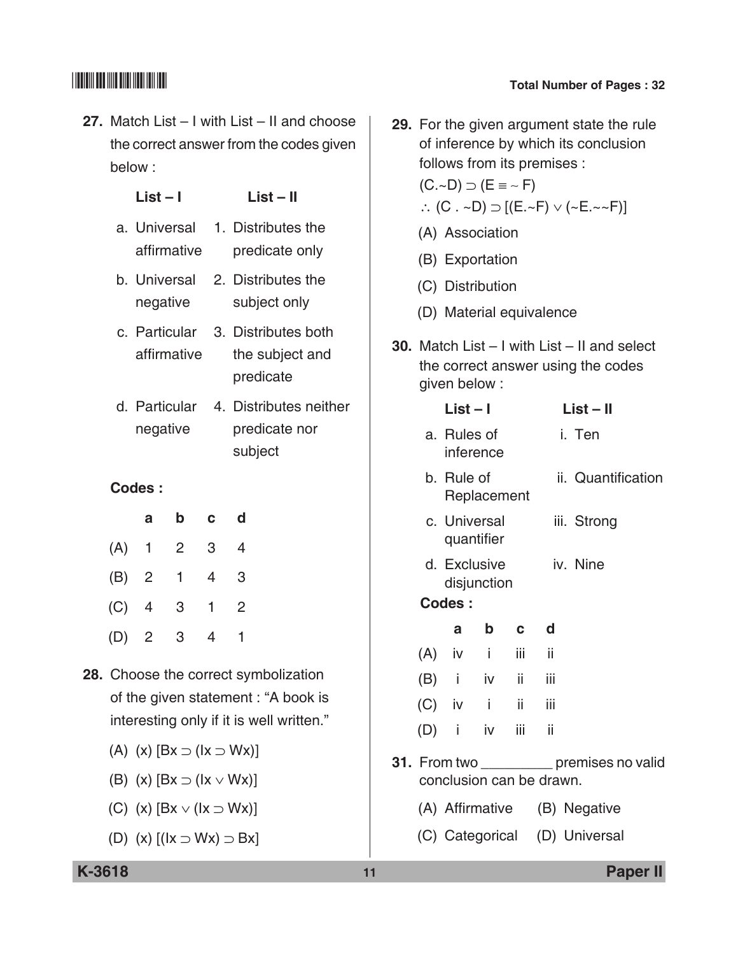**27.** Match List – I with List – II and choose the correct answer from the codes given below :

 **List – I List – II**

| affirmative                  | a. Universal 1. Distributes the<br>predicate only |
|------------------------------|---------------------------------------------------|
| b. Universal<br>negative     | 2. Distributes the<br>subject only                |
| c. Particular<br>affirmative | 3. Distributes both<br>the subject and            |
|                              | predicate                                         |

d. Particular 4. Distributes neither negative predicate nor subject

### **Codes :**

|     | а              | b              | $\mathbf{c}$   | d              |
|-----|----------------|----------------|----------------|----------------|
|     | $(A)$ 1 2      |                | 3 <sup>1</sup> | 4              |
|     | (B) 2 1        |                | $\overline{4}$ | 3              |
| (C) | $\overline{4}$ | $3^{\circ}$    | $1 \quad$      | $\overline{2}$ |
|     | $(D)$ 2        | 3 <sup>7</sup> | 4              |                |

- **28.** Choose the correct symbolization of the given statement : "A book is interesting only if it is well written."
	- (A) (x)  $[Bx \supset (1x \supset Wx)]$
	- (B) (x)  $[Bx \supset (1x \vee Wx)]$
	- (C) (x)  $[Bx \vee (1x \supset Wx)]$
	- (D) (x)  $[(1x \supset Wx) \supset Bx]$

**29.** For the given argument state the rule of inference by which its conclusion follows from its premises :  $(C.-D) \supset (E \equiv -F)$ ∴ (C . ~D)  $\supset$  [(E.~F)  $\vee$  (~E.~~F)] (A) Association (B) Exportation (C) Distribution (D) Material equivalence **30.** Match List – I with List – II and select the correct answer using the codes given below :  **List – I List – II** a. Rules of i. Ten inference b. Rule of ii. Quantification Replacement c. Universal iii. Strong quantifier d. Exclusive iv. Nine disjunction  **Codes : a b c d** (A) iv i iii ii (B) i iv ii iii  $(C)$  iv i ii iii (D) i iv iii ii **31.** From two premises no valid conclusion can be drawn. (A) Affirmative (B) Negative (C) Categorical (D) Universal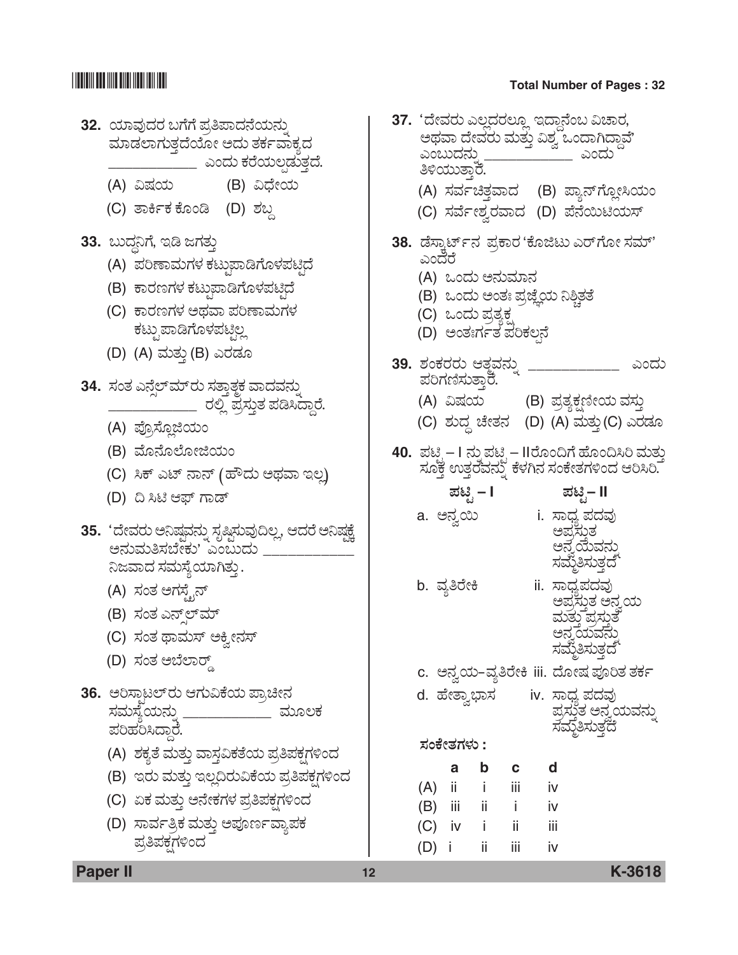

|         | ತಿಳಿಯುತ್ತಾರೆ.                                                   |    |     | 37. 'ದೇವರು ಎಲ್ಲದರಲ್ಲೂ ಇದ್ದಾನೆಂಬ ವಿಚಾರ,<br>ಅಥವಾ ದೇವರು ಮತ್ತು ವಿಶ್ವ ಒಂದಾಗಿದ್ದಾವೆ'<br>ಎಂಬುದನು<br>(A) ಸರ್ವಚಿತ್ತವಾದ (B) ಪ್ಯಾನ್ಗ್ಲೋಸಿಯಂ<br>(C) ಸರ್ವೇಶ್ವರವಾದ (D) ಪೆನೆಯಿಟಿಯಸ್ |      |
|---------|-----------------------------------------------------------------|----|-----|----------------------------------------------------------------------------------------------------------------------------------------------------------------------|------|
| ಎಂದೆರೆ  | (A) ಒಂದು ಅನುಮಾನ<br>(C) ಒಂದು ಪ್ರತ್ಯಕ್ಷ<br>(D) ಅಂತಃರ್ಗತ ಪರಿಕಲ್ಪನೆ |    |     | 38.  ಡೆಸ್ಕಾರ್ಟ್ಸ್ ಪ್ರಕಾರ 'ಕೊಜಿಟು ಎರ್ಗೋ ಸಮ್'<br>(B) ಒಂದು ಅಂತಃ ಪ್ರಜ್ಞೆಯ ನಿಶ್ಚಿತತೆ                                                                                      |      |
|         | 39. ಶಂಕರರು ಆತ್ಮವನ್ನು<br>ಪರಿಗಣಿಸುತ್ತಾರೆ.<br>(A) ವಿಷಯ             |    |     | (B) ಪ್ರತ್ಯಕ್ಷಣೀಯ ವಸ್ತು<br>(C) ಶುದ್ಧ ಚೇತನ   (D) (A) ಮತ್ತು(C) ಎರಡೂ                                                                                                     | ಎಂದು |
|         |                                                                 |    |     | 40. ಪಟ್ಟಿ – I ನ್ನು ಪಟ್ಟಿ – II ರೊಂದಿಗೆ ಹೊಂದಿಸಿರಿ ಮತ್ತು<br>ಸೂಕ್ತ ಉತ್ತರವನ್ನು ಕೆಳಗಿನ ಸಂಕೇತಗಳಿಂದ ಆರಿಸಿರಿ.                                                                 |      |
|         | ಪಟ್ಟಿ – I                                                       |    |     | ಪಟ್ಟಿ− II                                                                                                                                                            |      |
|         | a. ಅನ್ವಯಿ                                                       |    |     | i. ಸಾಧ್ಯ ಪದವು<br>ಅಪ್ರಸುತ<br>ಅನ್ನೆಯೆವನು<br>ಸಮ್ಠೆತಿಸುತ್ತದೆ                                                                                                             |      |
|         | b. ವ್ಯತಿರೇಕಿ                                                    |    |     | ii. ಸಾಧ್ಯಪದವು<br>ಅಪ್ರಸ್ತುತ ಅನ್ರಯ<br>ಮತ್ತು ಪ್ರಸ್ತುತೆ<br>ಅನ್ನಯವನು<br>ಸಮ್ಮತಿಸುತ್ತದೆ                                                                                     |      |
|         |                                                                 |    |     | c. ಅನ್ವಯ-ವ್ಯತಿರೇಕಿ iii. ದೋಷ ಪೂರಿತ ತರ್ಕ                                                                                                                               |      |
|         | ಸಂಕೇತಗಳು :                                                      |    |     | d. ಹೇತ್ವಾಭಾಸ       iv. ಸಾಧ್ಯ ಪದವು<br>ಪ್ರಸ್ತುತ ಅನ್ವಯವನ್ನು<br>ಸಮ್ಮತಿಸುತ್ತದೆ                                                                                            |      |
|         |                                                                 |    |     |                                                                                                                                                                      |      |
|         | а                                                               | b  | C   | d                                                                                                                                                                    |      |
|         | $(A)$ ii i                                                      |    | iii | iv                                                                                                                                                                   |      |
|         | (B) iii ii                                                      |    | Ť   | iv                                                                                                                                                                   |      |
|         | $(C)$ iv i ii                                                   |    |     | – iii                                                                                                                                                                |      |
| $(D)$ i |                                                                 | ii | iii | iv                                                                                                                                                                   |      |

**Paper II 12 K-3618**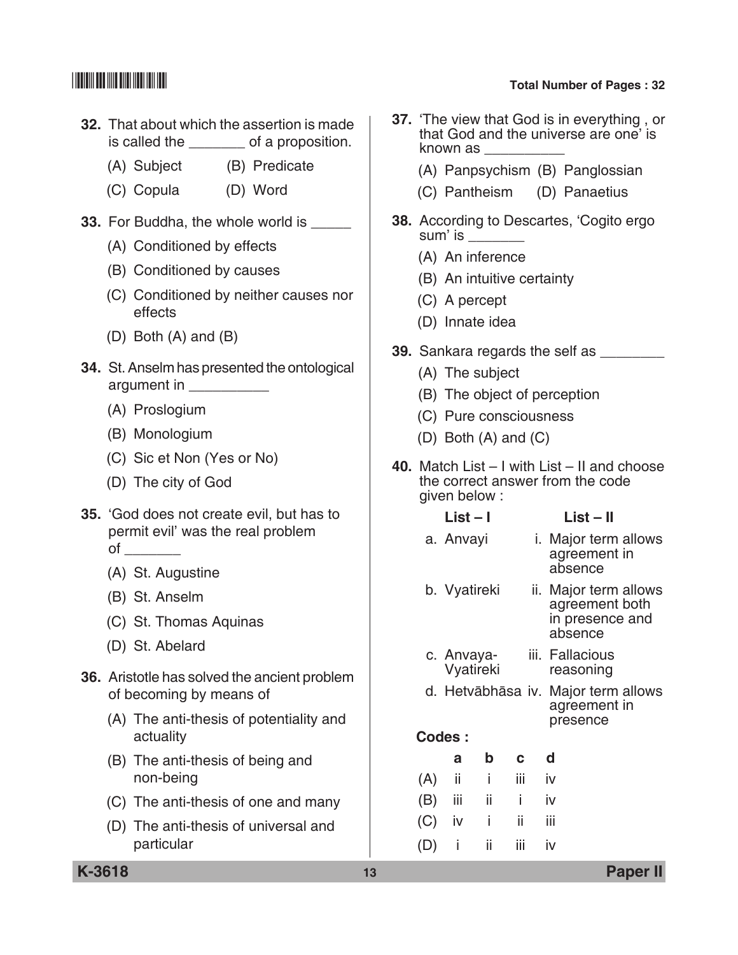- **32.** That about which the assertion is made is called the both a proposition.
	- (A) Subject (B) Predicate
	- (C) Copula (D) Word
- **33.** For Buddha, the whole world is
	- (A) Conditioned by effects
	- (B) Conditioned by causes
	- (C) Conditioned by neither causes nor effects
	- (D) Both (A) and (B)
- **34.** St. Anselm has presented the ontological argument in \_\_\_\_\_\_\_\_\_\_
	- (A) Proslogium
	- (B) Monologium
	- (C) Sic et Non (Yes or No)
	- (D) The city of God
- **35.** 'God does not create evil, but has to permit evil' was the real problem of \_\_\_\_\_\_\_
	- (A) St. Augustine
	- (B) St. Anselm
	- (C) St. Thomas Aquinas
	- (D) St. Abelard
- **36.** Aristotle has solved the ancient problem of becoming by means of
	- (A) The anti-thesis of potentiality and actuality
	- (B) The anti-thesis of being and non-being
	- (C) The anti-thesis of one and many
	- (D) The anti-thesis of universal and particular
- **37.** 'The view that God is in everything , or that God and the universe are one' is known as \_\_\_\_\_\_\_\_\_\_
	- (A) Panpsychism (B) Panglossian
	- (C) Pantheism (D) Panaetius
- **38.** According to Descartes, 'Cogito ergo sum' is \_\_\_\_\_\_\_\_
	- (A) An inference
	- (B) An intuitive certainty
	- (C) A percept
	- (D) Innate idea
- **39.** Sankara regards the self as \_\_\_\_\_\_\_\_\_
	- (A) The subject
	- (B) The object of perception
	- (C) Pure consciousness
	- (D) Both (A) and (C)
- **40.** Match List I with List II and choose the correct answer from the code given below :
	- **List I List II** a. Anvayi i. Major term allows agreement in
	- absence b. Vyatireki ii. Major term allows
		- agreement both in presence and absence
	- c. Anvaya- iii. Fallacious Vyatireki reasoning
	- d. Hetvābhāsa iv. Major term allows agreement in presence
	- **Codes :**

|          | a |                   | b c d |  |
|----------|---|-------------------|-------|--|
|          |   | $(A)$ ii ii ii iv |       |  |
|          |   | $(B)$ iii ii i iv |       |  |
| $(C)$ iv |   | i ii iii          |       |  |
|          |   | $(D)$ i ii iii iv |       |  |

**K-3618 13 Paper II**

# \*K3618\* **Total Number of Pages : 32**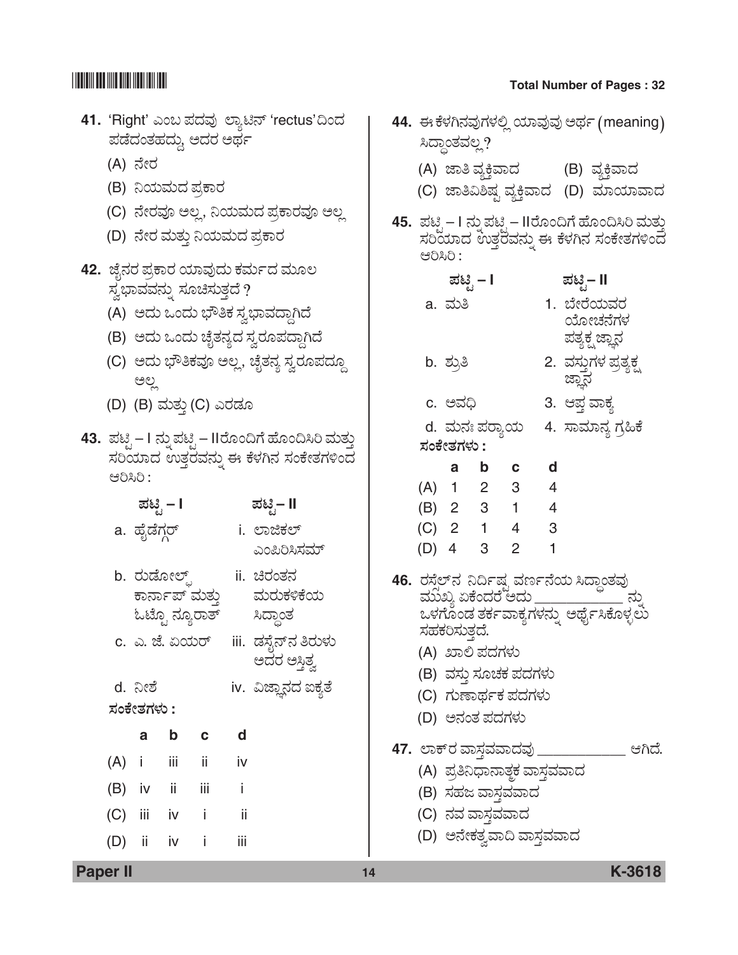## $\begin{array}{|c|c|c|c|}\hline \text{small} & \text{small} & \text{small} \end{array}$  Total Number of Pages : 32

## 11. 'Right' ಎಂಬ ಪದವು ಲ್ಯಾಟಿನ್ 'rectus'ದಿಂದ ±Üvæ¨ÜíñÜÖܨÜáª, *A¨ÜÃÜ A¥Üì*

- (A) ನೇರ
- (B) ನಿಯಮದ ಪ್ರಕಾರ
- (C) ನೇರವೂ ಅಲ್ಲ, ನಿಯಮದ ಪ್ರಕಾರವೂ ಅಲ್ಲ
- (D) ನೇರ ಮತ್ತು ನಿಯಮದ ಪ್ರಕಾರ
- 42. ಜೈನರ ಪ್ರಕಾರ ಯಾವುದು ಕರ್ಮದ ಮೂಲ  $\vec{B}$ ಬ್ದಾವವನ್ನು ಸೂಚಿಸುತ್ತದೆ ?
	- (A) *A¨Üá Jí¨Üá »è£PÜ ÓÜÌ»ÝÊܨݪX¨æ*
	- (B) *A¨Üá Jí¨Üá aæçñÜ®Ü嬆 ÓÜÌÃÜã±Ü¨ÝªX¨æ*
	- (C) ಅದು ಭೌತಿಕವೂ ಅಲ್ಲ, ಚೈತನ್ಯ ಸ್ವರೂಪದ್ದೂ *AÆÉ*
	- (D) (B) ಮತ್ತು (C) ಎರಡೂ
- **43.** *±Üqr*  I *®Üá° ±Üqr*  IIÃæãí©Wæ Öæãí©ÔÄ ÊÜáñÜá¤ ಸರಿಯಾದ ಉತ್ತರವನ್ನು ಈ ಕೆಳಗಿನ ಸಂಕೇತಗಳಿಂದ *BÄÔÄ :*

| ಪಟಿೃ – I     | ಪಟಿೃ– II    |
|--------------|-------------|
| a. ಹೈಡೆಗ್ಗರ್ | i. ಲಾಜಿಕಲ್  |
|              | ಎಂಪಿರಿಸಿಸಮ್ |

- b. *ÃÜávæãàÇ…–* ii. *bÃÜíñÜ®Ü* ಕಾರ್ನಾಪ್ ಮತ್ತು ಮರುಕಳಿಕೆಯ ಓಟ್ಟೊ ನ್ಯೂರಾತ್ ಸಿದ್ಧಾಂತ
- c. *G. hæ. H¿áÃ…* iii. *vÜÓæç®…®Ü £ÃÜáÙÜá*  ಅದರ ಅಸ್ತಿತ್ವ
- d. ನೀಶೆ iv. ವಿಜ್ಞಾನದ ಐಕ್ಯತೆ
- *ÓÜíPæàñÜWÜÙÜá* **:**

| $\mathsf{a}$ | b         | $\mathbf{c}$ | d   |
|--------------|-----------|--------------|-----|
| $(A)$ i      | iii       | ii           | iv  |
|              | (B) iv ii | iii          | i   |
| (C) iii iv   |           | -i           | ii  |
| (D) ii iv    |           | -i           | iij |

|  | I 44 ಕು ಸೆಲೆಗಿನವುಗಳಲಿ ಯಾವುವ |  |
|--|-----------------------------|--|

|           |                       |                                            |                  | 44.  ಈ ಕೆಳಗಿನವುಗಳಲ್ಲಿ ಯಾವುವು ಅರ್ಥ (meaning)                                                                                     |  |
|-----------|-----------------------|--------------------------------------------|------------------|---------------------------------------------------------------------------------------------------------------------------------|--|
|           | ಸಿದ್ಧಾಂತವಲ್ಲ?         |                                            |                  |                                                                                                                                 |  |
|           |                       |                                            |                  | (A) ಜಾತಿವ್ಯಕ್ತಿವಾದ       (B) ವ್ಯಕ್ತಿವಾದ                                                                                         |  |
|           |                       |                                            |                  | (C) ಜಾತಿವಿಶಿಷ್ಟ ವ್ಯಕ್ತಿವಾದ  (D) ಮಾಯಾವಾದ                                                                                         |  |
| ಆರಿಸಿರಿ : |                       |                                            |                  | 45. ಪಟ್ಟಿ – I ನ್ನುಪಟ್ಟಿ – IIರೊಂದಿಗೆ ಹೊಂದಿಸಿರಿ ಮತ್ತು<br>ಸರಿಯಾದ ಉತ್ತರವನ್ನು ಈ ಕೆಳಗಿನ ಸಂಕೇತಗಳಿಂದ                                    |  |
|           | ಪಟ್ಟಿ – I             |                                            |                  | ಪಟ್ಟಿ− II                                                                                                                       |  |
|           | a. ಮತಿ                |                                            |                  | 1. ಬೇರೆಯವರ                                                                                                                      |  |
|           |                       |                                            |                  | ಯೋಚನೆಗಳ                                                                                                                         |  |
|           |                       |                                            |                  | ಪತ್ಯಕ್ಷ ಜ್ಞಾನ                                                                                                                   |  |
|           | b. ಶ್ರುತಿ             |                                            |                  | 2. ವಸ್ತುಗಳ ಪ್ರತ್ಯಕ್ಷ್ಮ<br>ಜ್ಞಾನ                                                                                                 |  |
|           | c. ಅವಧಿ               |                                            |                  | 3. ಆಪ್ <mark>ತ</mark> ವಾಕ್ಯ                                                                                                     |  |
|           |                       | d.  ಮನಃ ಪರ್ಾಯ                              |                  | 4.  ಸಾಮಾನ್ಯ ಗ್ರಹಿಕೆ                                                                                                             |  |
|           | ಸಂಕೇತಗಳು :            |                                            |                  |                                                                                                                                 |  |
|           |                       | a b c d                                    |                  |                                                                                                                                 |  |
|           |                       | (A) 1 2 3 4                                |                  |                                                                                                                                 |  |
|           |                       | (B) 2 3 1 4                                |                  |                                                                                                                                 |  |
|           |                       | $(C)$ 2 1 4 3                              |                  |                                                                                                                                 |  |
|           | (D) 4 3 2             |                                            | $\blacksquare$ 1 |                                                                                                                                 |  |
|           | ಸಹಕರಿಸುತ್ತದೆ.         |                                            |                  | 46. ರಸ್ತೆಲ್ನ್ ನಿರ್ದಿಷ್ಟ ವರ್ಣನೆಯ ಸಿದ್ಧಾಂತವು<br>ಮುಖ್ಯ ಏಕೆಂದರೆ ಅದು _________________ ನ್ನು<br>ಒಳಗೊಂಡ ತರ್ಕವಾಕ್ಯಗಳನ್ನು ಅರ್ಥೈಸಿಕೊಳ್ಳಲು |  |
|           | (A) ಖಾಲಿ ಪದಗಳು        |                                            |                  |                                                                                                                                 |  |
|           |                       | (B) ವಸ್ತು ಸೂಚಕ ಪದಗಳು<br>(C) ಗುಣಾರ್ಥಕ ಪದಗಳು |                  |                                                                                                                                 |  |
|           | (D) ಅನಂತ ಪದಗಳು        |                                            |                  |                                                                                                                                 |  |
|           |                       |                                            |                  |                                                                                                                                 |  |
|           | 47. ಲಾಕ್ರ ವಾಸ್ತವವಾದವು |                                            |                  | ಆಗಿದೆ.                                                                                                                          |  |
|           |                       | (A) ಪ್ರತಿನಿಧಾನಾತ್ <del>ತ</del> ಕ ವಾಸ್ತವವಾದ |                  |                                                                                                                                 |  |
|           |                       | (B) ಸಹಜ ವಾಸ್ತವವಾದ                          |                  |                                                                                                                                 |  |
|           | (C) ನವ ವಾಸ್ತವವಾದ      |                                            |                  |                                                                                                                                 |  |
|           |                       | (D) ಅನೇಕತ್ವವಾದಿ ವಾಸ್ತವವಾದ                  |                  |                                                                                                                                 |  |

**Paper II 14 K-3618**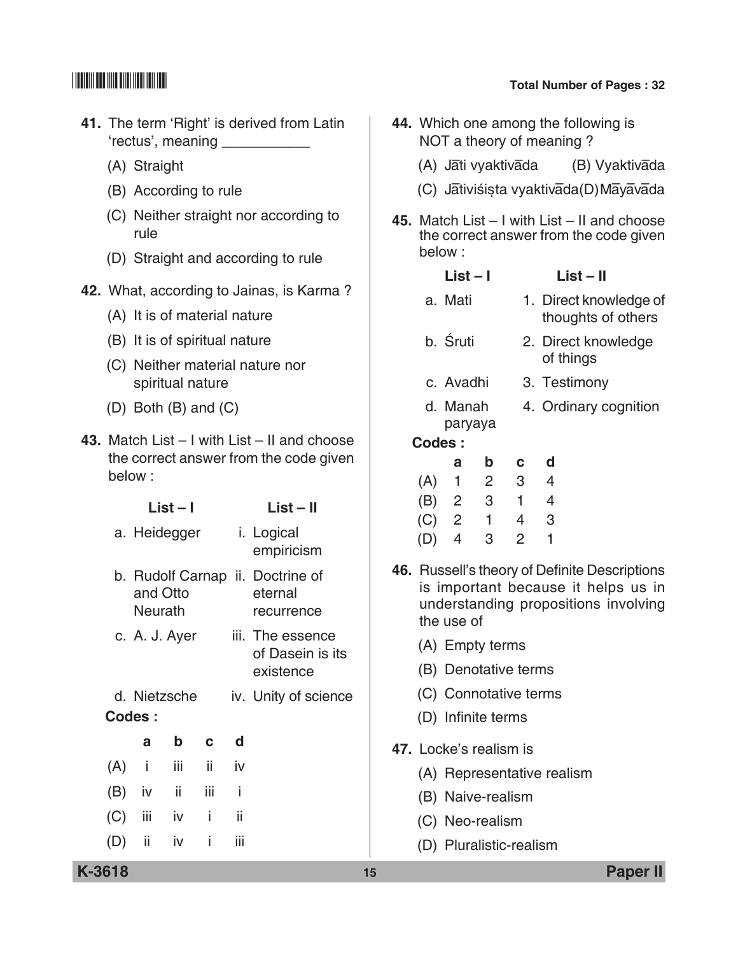- **41.** The term 'Right' is derived from Latin 'rectus', meaning \_\_\_\_\_\_\_\_\_\_\_
	- (A) Straight
	- (B) According to rule
	- (C) Neither straight nor according to rule
	- (D) Straight and according to rule
- **42.** What, according to Jainas, is Karma ?
	- (A) It is of material nature
	- (B) It is of spiritual nature
	- (C) neither material nature nor spiritual nature
	- (D) Both (B) and (C)
- **43.** Match List I with List II and choose the correct answer from the code given below :

|        |                                                                | $List - I$  |     |                                      | $List - II$                                                                                                                                |    | (B)                    | $\mathbf{Z}$            | - 3                              |                                  | 4                          |                 |
|--------|----------------------------------------------------------------|-------------|-----|--------------------------------------|--------------------------------------------------------------------------------------------------------------------------------------------|----|------------------------|-------------------------|----------------------------------|----------------------------------|----------------------------|-----------------|
|        | a. Heidegger                                                   |             |     |                                      | i. Logical<br>empiricism                                                                                                                   |    | (C)<br>(D)             | $2^{\circ}$<br>4        | $\overline{1}$<br>3 <sup>7</sup> | $\overline{4}$<br>$\overline{2}$ | 3<br>1                     |                 |
|        | b. Rudolf Carnap ii. Doctrine of<br>and Otto<br><b>Neurath</b> |             |     | eternal<br>recurrence                | 46. Russell's theory of Definite Descriptions<br>is important because it helps us ir<br>understanding propositions involving<br>the use of |    |                        |                         |                                  |                                  |                            |                 |
|        | c. A. J. Ayer                                                  |             |     | iii. The essence<br>of Dasein is its |                                                                                                                                            |    | (A) Empty terms        |                         |                                  |                                  |                            |                 |
|        |                                                                |             |     | existence                            |                                                                                                                                            |    | (B) Denotative terms   |                         |                                  |                                  |                            |                 |
|        | d. Nietzsche                                                   |             |     |                                      | iv. Unity of science                                                                                                                       |    |                        | (C) Connotative terms   |                                  |                                  |                            |                 |
|        | Codes:                                                         |             |     |                                      |                                                                                                                                            |    |                        | (D) Infinite terms      |                                  |                                  |                            |                 |
|        | a                                                              | $\mathbf b$ | C.  | d                                    |                                                                                                                                            |    | 47. Locke's realism is |                         |                                  |                                  |                            |                 |
| (A)    | L                                                              | iii         | ii. | iv                                   |                                                                                                                                            |    |                        |                         |                                  |                                  | (A) Representative realism |                 |
| (B)    | iv                                                             | ii.         | iii | j.                                   |                                                                                                                                            |    |                        | (B) Naive-realism       |                                  |                                  |                            |                 |
| (C)    | Ш                                                              | iv          | i   | ii                                   |                                                                                                                                            |    |                        | (C) Neo-realism         |                                  |                                  |                            |                 |
| (D)    | ii                                                             | <b>iv</b>   | i   | iii                                  |                                                                                                                                            |    |                        | (D) Pluralistic-realism |                                  |                                  |                            |                 |
| K-3618 |                                                                |             |     |                                      |                                                                                                                                            | 15 |                        |                         |                                  |                                  |                            | <b>Paper II</b> |

- **44.** Which one among the following is NOT a theory of meaning ?
	- (A) Jāti vyaktivāda (B) Vyaktivāda
	- (C) Jātiviśista vyaktivāda(D) Māyāvāda
- **45.** Match List I with List II and choose the correct answer from the code given below :

- a. Mati 1. Direct knowledge of thoughts of others
- b. Śruti 2. Direct knowledge of things
- c. Avadhi 3. Testimony
- d. Manah 4. Ordinary cognition paryaya
- **Codes :**

|     | а              | b              | $\mathbf{c}$   | a |
|-----|----------------|----------------|----------------|---|
| (A) | 1              | $\overline{2}$ | 3              | 4 |
| (B) | $\overline{2}$ | 3              | $\overline{1}$ | 4 |
| (C) | $\overline{2}$ | 1              | 4              | 3 |
| (D) | 4              | 3              | 2              |   |

- **46.** Russell's theory of Definite Descriptions is important because it helps us in understanding propositions involving the use of
	- (A) Empty terms
	- (B) Denotative terms
	- (C) Connotative terms
	- (D) Infinite terms
- **47.** Locke's realism is
	- (A) Representative realism
	- (B) Naive-realism
	- (C) Neo-realism
	- (D) Pluralistic-realism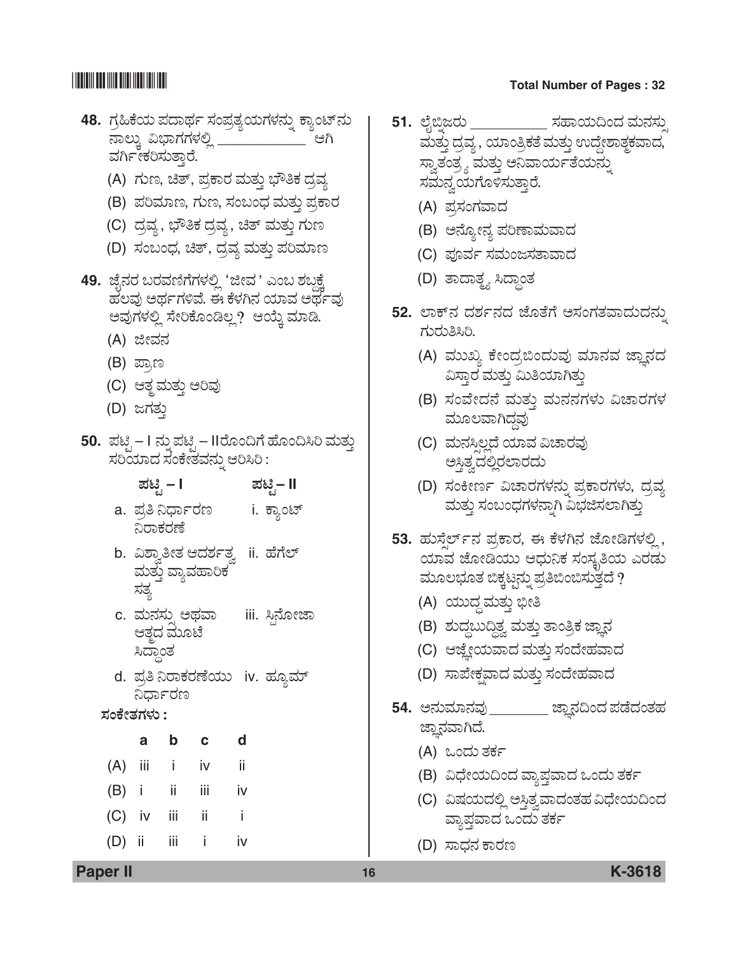- **48.** *WÜÅ×Pæ¿á ±Ü¨Ý¥Üì ÓÜí±ÜÅñÜ¿áWÜÙÜ®Üá° PÝÂíp…®Üá ®ÝÆáR Ë»ÝWÜWÜÙÜÈÉ* \_\_\_\_\_\_\_\_\_\_\_ *BX*  ವರ್ಗೀಕರಿಸುತ್ತಾರೆ.
	- (A) ಗುಣ, ಚಿತ್, ಪ್ರಕಾರ ಮತ್ತು ಭೌತಿಕ ದ್ರವ್ಯ
	- (B) ಪರಿಮಾಣ, ಗುಣ, ಸಂಬಂಧ ಮತ್ತು ಪ್ರಕಾರ
	- (C) ದ್ರವ್ಯ, ಭೌತಿಕ ದ್ರವ್ಯ, ಚಿತ್ ಮತ್ತು ಗುಣ
	- (D) ಸಂಬಂಧ, ಚಿತ್, ದ್ರವ್ಯ ಮತ್ತು ಪರಿಮಾಣ
- 49. ಜೈನರ ಬರವಣಿಗೆಗಳಲ್ಲಿ 'ಜೀವ ' ಎಂಬ ಶಬ್ದಕ್ಕೆ  $\vec{a}$ ಲವು ಅರ್ಥಗಳಿವೆ. ಈ ಕೆಳಗಿನ ಯಾವ ಅರ್ಥವು ಅವುಗಳಲ್ಲಿ ಸೇರಿಕೊಂಡಿಲ್ಲ? ಆಯ್ತೆ ಮಾಡಿ.
	- (A) *iàÊÜ®Ü*
	- (B) ಪ್ರಾಣ
	- (C) ಆತ್ಮಮತ್ತು ಅರಿವು
	- (D) ಜಗತು
- **50.** ಪಟ್ಸಿ I ನ್ನು ಪಟ್ಸಿ IIರೊಂದಿಗೆ ಹೊಂದಿಸಿರಿ ಮತ್ತು *ÓÜÄ¿Þ¨Ü ÓÜíPæàñÜÊÜ®Üá° BÄÔÄ :*
	- *±Üqr*  **I** *±Üqr* **II**
	- a. ಪ್ರತಿ ನಿರ್ಧಾರಣ i. ಕ್ಯಾಂಟ್ ನಿರಾಕರಣೆ
	- b. *ËÍÝÌ£àñÜ B¨ÜÍÜìñÜÌ* ii. *ÖæWæÇ…*  ಮತ್ತು ವ್ಯಾವಹಾರಿಕ <u>ಸಿತ್ಯ</u>
	- c. *ÊÜá®ÜÓÜáÕ A¥ÜÊÝ* iii. *Ô³®æãàhÝ* ಆತ್ಮದ ಮೂಟೆ<br>ಸಿದ್ಧಾಂತ
	- d. ಪ್ರತಿನಿರಾಕರಣೆಯು iv. ಹ್ಯೂಮ್<br>ನಿರ್ಧಾರಣ

### *ÓÜíPæàñÜWÜÙÜá* **:**

**a b c d** (A) iii i iv ii (B) i ii iii iv  $(C)$  iv iii ii i (D) ii iii i iv

- **51.** ಲೈಬ್ತಿಜರು \_\_\_\_\_\_\_\_\_\_\_\_\_ ಸಹಾಯದಿಂದ ಮನಸ್ಸು ಮತ್ತು ದ್ರವ್ಯ, ಯಾಂತ್ರಿಕತೆ ಮತ್ತು ಉದ್ದೇಶಾತ್ಮಕವಾದ, ಸ್ವಾತಂತ್ರ್ಯ ಮತ್ತು ಅನಿವಾರ್ಯತೆಯನ್ನು ಸಮನ್ವಯಗೊಳಿಸುತ್ತಾರೆ.
	- (A) *±ÜÅÓÜíWÜÊݨÜ*
	- (B) ಅನ್ಯೋನ್ಯ ಪರಿಣಾಮವಾದ
	- (C) ಪೂರ್ವ ಸಮಂಜಸತಾವಾದ
	- (D) ತಾದಾತ್ತ್ಯ ಸಿದ್ಧಾಂತ
- <mark>52.</mark> ಲಾಕ್**ನ ದರ್ಶನದ ಜೊತೆಗೆ ಅಸಂಗತವಾದುದನ್ನು** *WÜáÃÜá£ÔÄ.*
	- (A) ಮುಖ್ಯ ಕೇಂದ್ರಬಿಂದುವು ಮಾನವ ಜ್ಞಾನದ ವಿಸ್ತಾರ ಮತ್ತು ಮಿತಿಯಾಗಿತ್ತು
	- (B) ಸಂವೇದನೆ ಮತ್ತು ಮನನಗಳು ವಿಚಾರಗಳ ಮೂಲವಾಗಿದವು
	- (C) *ÊÜá®ÜÔÕÆÉ¨æ ¿ÞÊÜ ËaÝÃÜÊÜâ*  ಅಸ್ತಿತ್ವದಲ್ಲಿರಲಾರದು
	- (D) ಸಂಕೀರ್ಣ ವಿಚಾರಗಳನ್ನು ಪ್ರಕಾರಗಳು, ದ್ರವ್ಯ ಮತ್ತು ಸಂಬಂಧಗಳನ್ನಾಗಿ ವಿಭಜಿಸಲಾಗಿತ್ತು
- 53. ಹುಸ್ತೆರ್<sub>ನ</sub> ಪ್ರಕಾರ, ಈ ಕೆಳಗಿನ ಜೋಡಿಗಳಲ್ಲಿ, ಯಾವ ಜೋಡಿಯು ಆಧುನಿಕ ಸಂಸ್ಥತಿಯ ಎರಡು ಮೂಲಭೂತ ಬಿಕ್ಕಟ್ಟನ್ನು ಪ್ರತಿಬಿಂಬಿಸುತ್ತದೆ ?
	- (A) ಯುದ್ಧ ಮತ್ತು ಭೀತಿ
	- (B) ಶುದ್ದಬುದ್ದಿಶ್ವ ಮತ್ತು ತಾಂತ್ರಿಕ ಜ್ಞಾನ
	- (C) ಆಜ್ಞೇಯವಾದ ಮತ್ತು ಸಂದೇಹವಾದ
	- (D) ಸಾಪೇಕ್ಷವಾದ ಮತ್ತು ಸಂದೇಹವಾದ
- **54.** ಅನುಮಾನವು \_\_\_\_\_\_\_\_\_\_ ಜ್ಞಾನದಿಂದ ಪಡೆದಂತಹ ಜ್ಞಾನವಾಗಿದೆ.
	- (A) *Jí¨Üá ñÜPÜì*
	- (B) ವಿಧೇಯದಿಂದ ವ್ಯಾಪ್ತವಾದ ಒಂದು ತರ್ಕ
	- (C) ವಿಷಯದಲ್ಲಿ ಅಸ್ತಿತ್ವವಾದಂತಹ ವಿಧೇಯದಿಂದ ವ್ಯಾಪ್ತವಾದ ಒಂದು ತರ್ಕ
	- (D) *ÓÝ«Ü®Ü PÝÃÜ|*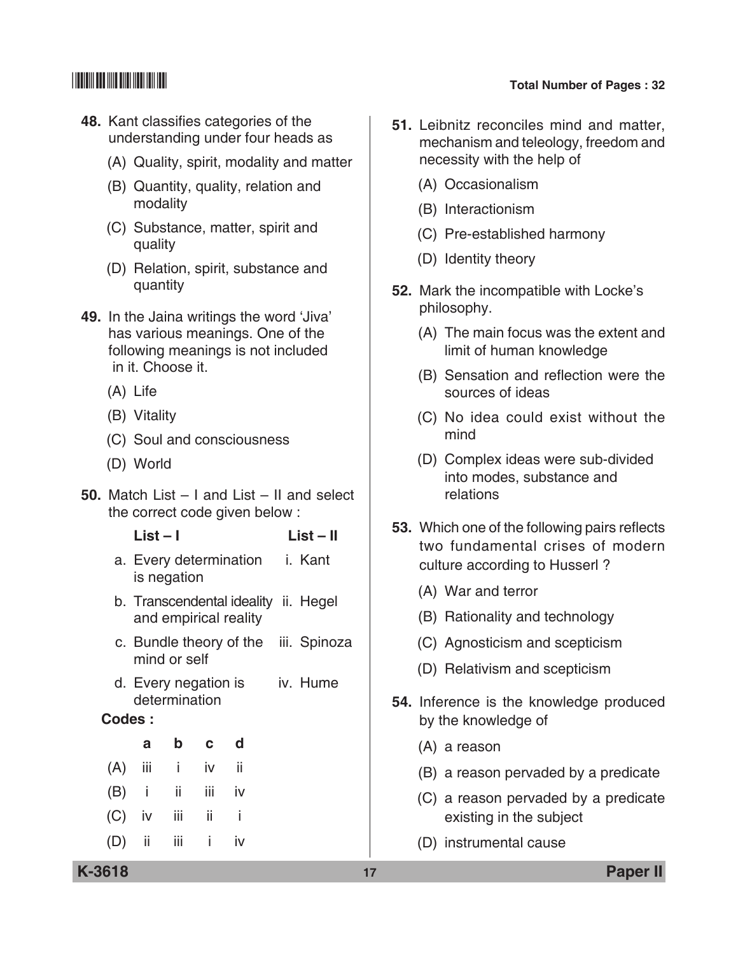- **48.** Kant classifies categories of the understanding under four heads as
	- (A) Quality, spirit, modality and matter
	- (B) Quantity, quality, relation and modality
	- (C) Substance, matter, spirit and quality
	- (D) Relation, spirit, substance and quantity
- **49.** In the Jaina writings the word 'Jiva' has various meanings. One of the following meanings is not included in it. Choose it.
	- (A) Life
	- (B) Vitality
	- (C) Soul and consciousness
	- (D) World
- **50.** Match List I and List II and select the correct code given below :

 **List – I List – II**

- a. Every determination i. Kant is negation
- b. Transcendental ideality ii. Hegel and empirical reality
- c. Bundle theory of the iii. Spinoza mind or self
- d. Every negation is iv. Hume determination

### **Codes :**

| a |                   | b c d |  |
|---|-------------------|-------|--|
|   | $(A)$ iii i iv ii |       |  |
|   | $(B)$ i ii iii iv |       |  |
|   | (C) iv iii ii i   |       |  |
|   | $(D)$ ii iii i iv |       |  |

- **51.** Leibnitz reconciles mind and matter, mechanism and teleology, freedom and necessity with the help of
	- (A) Occasionalism
	- (B) Interactionism
	- (C) Pre-established harmony
	- (D) Identity theory
- **52.** Mark the incompatible with Locke's philosophy.
	- (A) The main focus was the extent and limit of human knowledge
	- (B) Sensation and reflection were the sources of ideas
	- (C) No idea could exist without the mind
	- (D) Complex ideas were sub-divided into modes, substance and relations
- **53.** Which one of the following pairs reflects two fundamental crises of modern culture according to Husserl ?
	- (A) War and terror
	- (B) Rationality and technology
	- (C) Agnosticism and scepticism
	- (D) Relativism and scepticism
- **54.** Inference is the knowledge produced by the knowledge of
	- (A) a reason
	- (B) a reason pervaded by a predicate
	- (C) a reason pervaded by a predicate existing in the subject
	- (D) instrumental cause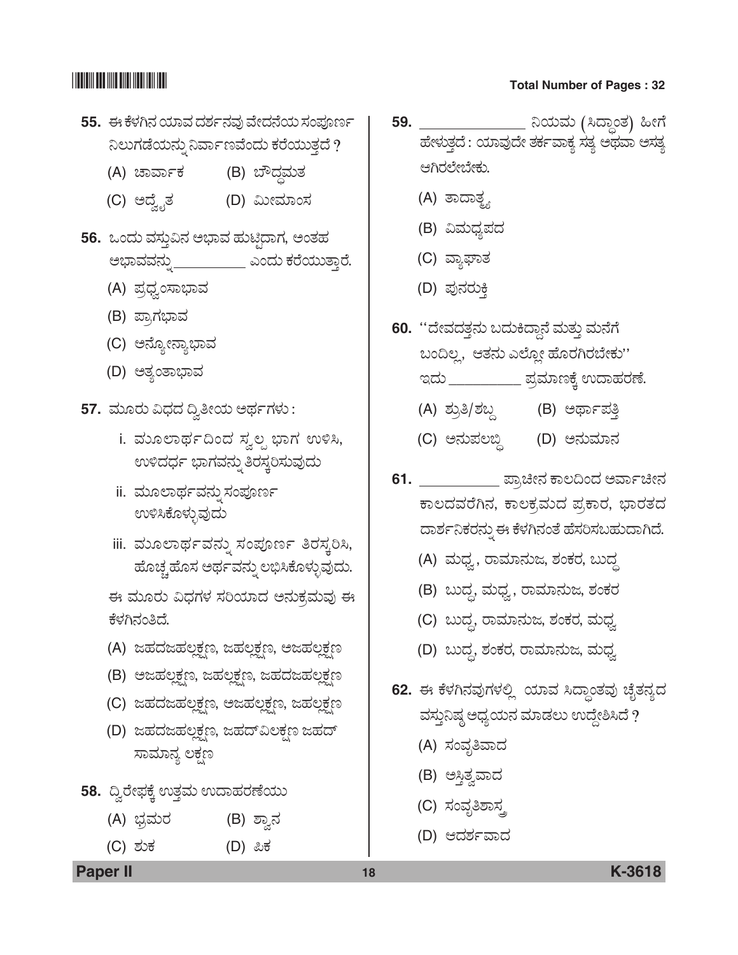- **55.** *D PæÙÜX®Ü ¿ÞÊÜ ¨ÜÍÜì®ÜÊÜâ Êæà¨Ü®æ¿á ÓÜí±Üä|ì*  ನಿಲುಗಡೆಯನ್ನು ನಿರ್ವಾಣವೆಂದು ಕರೆಯುತ್ತದೆ ?
	- (A) ಚಾರ್ವಾಕ (B) ಬೌದ್ಧಮತ
	- (C) A¨æÌ\$çñÜ (D) *ËáàÊÜÞíÓÜ*
- 56. ಒಂದು ವಸ್ತುವಿನ ಅಭಾವ ಹುಟ್ಟಿದಾಗ, ಅಂತಹ ಅಭಾವವನ್ನ<u>ಿ \_\_\_\_\_\_\_\_\_</u> ಎಂದು ಕರೆಯುತ್ತಾರೆ.
	- (A) *±ÜÅ«ÜÌíÓÝ»ÝÊÜ*
	- (B) ಪ್ರಾಗಭಾವ
	- (C) ಅನ್ಯೋನ್ಯಾಭಾವ
	- (D) ಅತ್ಯಂತಾಭಾವ
- **57.** *ÊÜáãÃÜá Ë«Ü¨Ü ©Ì£à¿á A¥ÜìWÜÙÜá :*
	- i. ಮೂಲಾರ್ಥದಿಂದ ಸ್ವಲ್ಪ ಭಾಗ ಉಳಿಸಿ,  $ew$ ಳಿದರ್ಧ ಭಾಗವನ್ನು ತಿರಸ್ತರಿಸುವುದು
	- ii. ಮೂಲಾರ್ಥವನ್ನು ಸಂಪೂರ್ಣ *EÚÔPæãÙÜáÛÊÜâ¨Üá*
	- iii. ಮೂಲಾರ್ಥವನ್ನು ಸಂಪೂರ್ಣ ತಿರಸ್ಕರಿಸಿ, ಹೊಚ್ಚ ಹೊಸ ಅರ್ಥವನ್ನು ಲಭಿಸಿಕೊಳ್ಳುವುದು.

 *D ÊÜáãÃÜá Ë«ÜWÜÙÜ ÓÜÄ¿Þ¨Ü A®ÜáPÜÅÊÜáÊÜâ D*  ಕೆಳಗಿನಂತಿದೆ.

- (A) ಜಹದಜಹಲ್ಲಕ್ಷಣ, ಜಹಲ್ಲಕ್ಷಣ, ಅಜಹಲ್ಲಕ್ಷಣ
- (B) ಆಜಹಲ್ಲಕ್ಷಣ, ಜಹಲ್ಲಕ್ಷಣ, ಜಹದಜಹಲ್ಲಕ್ಷಣ
- (C) ಜಹದಜಹಲ್ಲಕ್ಷಣ, ಅಜಹಲ್ಲಕ್ಷಣ, ಜಹಲ್ಲಕ್ಷಣ
- (D) ಜಹದಜಹಲ್ಲಕ್ಷಣ, ಜಹದ್**ವಿಲಕ್ಷಣ ಜಹ**ದ್ ಸಾಮಾನ್ಯ ಲಕ್ಷಣ
- 58. ದ್ವಿರೇಫಕ್ಕೆ ಉತ್ತಮ ಉದಾಹರಣೆಯು
	- (A) ಭ್ರಮರ (B) ಶ್ವಾನ
	- (C) *ÍÜáPÜ* (D) *²PÜ*
- <mark>59. \_\_\_\_\_\_\_\_\_\_\_\_\_\_\_</mark> ನಿಯಮ (ಸಿದ್ಧಾಂತ) ಹೀಗೆ ಹೇಳುತ್ತದೆ : ಯಾವುದೇ ತರ್ಕವಾಕ್ಯ ಸತ್ಯ ಅಥವಾ ಅಸತ್ಯ ಆಗಿರಲೇಬೇಕು.
	- (A) ತಾದಾತ್<u>ಥ</u>
	- (B) ವಿಮಧ್ಯಪದ
	- (C) ವ್ಯಾಘಾತ
	- (D) ಪುನರುಕಿ
- **60.** "ದೇವದತ್ತನು ಬದುಕಿದ್ದಾನೆ ಮತ್ತು ಮನೆಗೆ ಬಂದಿಲ್ಲ, ಆತನು ಎಲ್ಲೋ ಹೊರಗಿರಬೇಕು'' ಇದು \_\_\_\_\_\_\_\_\_\_\_\_ ಪ್ರಮಾಣಕ್ಕೆ ಉದಾಹರಣೆ.
	- (A) ಶ್ರುತಿ/ಶಬ್ಧ (B) ಅರ್ಥಾಪತ್ತಿ
	- (C) *A®Üá±Üƹœ* (D) *A®ÜáÊÜÞ®Ü*
- **61.** \_\_\_\_\_\_\_\_\_\_\_\_\_ ಪ್ರಾಚೀನ ಕಾಲದಿಂದ ಅರ್ವಾಚೀನ ಕಾಲದವರೆಗಿನ, ಕಾಲಕ್ರಮದ ಪ್ರಕಾರ, ಭಾರತದ ದಾರ್ಶನಿಕರನ್ನು ಈ ಕೆಳಗಿನಂತೆ ಹೆಸರಿಸಬಹುದಾಗಿದೆ.
	- (A) ಮಧ್ವ, ರಾಮಾನುಜ, ಶಂಕರ, ಬುದ್ಧ
	- (B) ಬುದ್ಧ, ಮಧ್ವ, ರಾಮಾನುಜ, ಶಂಕರ
	- (C) ಬುದ್ಧ, ರಾಮಾನುಜ, ಶಂಕರ, ಮಧ್ವ
	- $(D)$  ಬುದ್ದ, ಶಂಕರ, ರಾಮಾನುಜ, ಮಧ್ರ
- 62. ಈ ಕೆಳಗಿನವುಗಳಲ್ಲಿ ಯಾವ ಸಿದ್ಧಾಂತವು ಚೈತನ್ಯದ ವಸ್ಥುನಿಷ್ಠ ಅಧ್ಯಯನ ಮಾಡಲು ಉದ್ದೇಶಿಸಿದೆ ?
	- (A) ಸಂವೃತಿವಾದ
	- (B) ಅಸ್ತಿತ್ವವಾದ
	- (C) ಸಂವೃತಿಶಾಸ್ತ್ರ
	- (D) ಆದರ್ಶವಾದ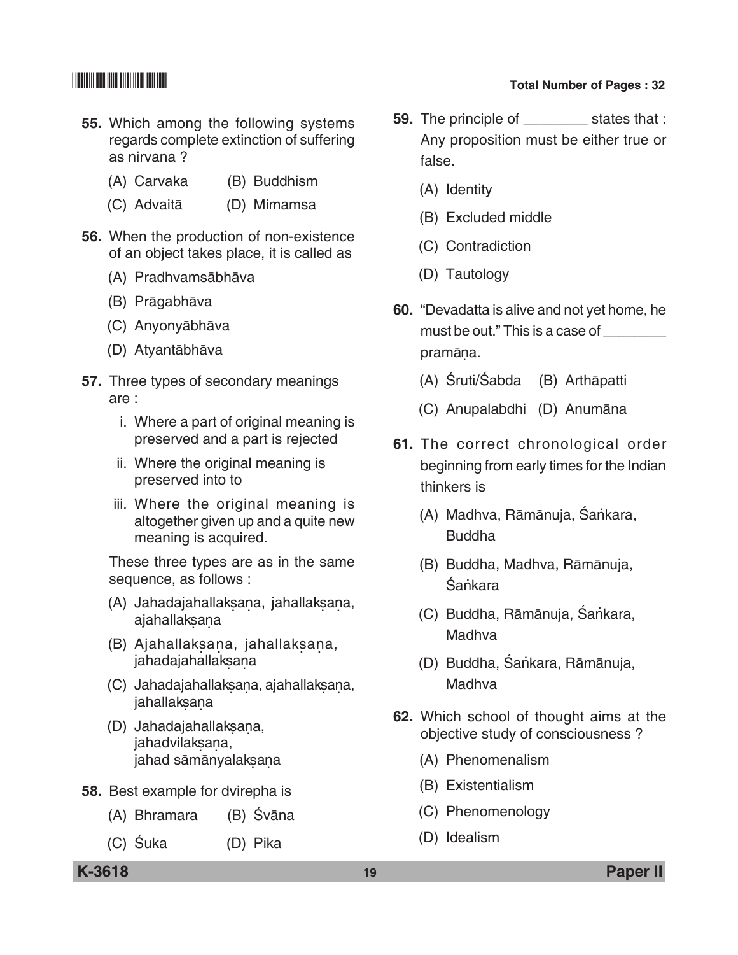- **55.** Which among the following systems regards complete extinction of suffering as nirvana ?
	- (A) Carvaka (B) Buddhism
	- (C) Advaitā (D) Mimamsa
- **56.** When the production of non-existence of an object takes place, it is called as
	- (A) Pradhvamsābhāva
	- (B) Prāgabhāva
	- (C) Anyonyābhāva
	- (D) Atyantābhāva
- **57.** Three types of secondary meanings are :
	- i. Where a part of original meaning is preserved and a part is rejected
	- ii. Where the original meaning is preserved into to
	- iii. Where the original meaning is altogether given up and a quite new meaning is acquired.

 These three types are as in the same sequence, as follows :

- (A) Jahadajahallaksana, jahallaksana,<br>ajahallaksana
- (B) Ajahallak sana, jahallak sana, jahadajahallaksana
- (C) Jahadajahallaksana, ajahallaksana,<br>jahallaksana
- (D) Jahadajahallaksana, Janadajanallaksar<br>jahadvilaksana, jahad sāmānyalaksana
- **58.** Best example for dvirepha is
	- (A) Bhramara (B) Śvāna
	- (C) Śuka (D) Pika
- **59.** The principle of \_\_\_\_\_\_\_\_ states that : Any proposition must be either true or false.
	- (A) Identity
	- (B) Excluded middle
	- (C) Contradiction
	- (D) Tautology
- **60.** "Devadatta is alive and not yet home, he must be out." This is a case of \_\_\_\_\_\_\_\_ pramāna. .
	- (A) Śruti/Śabda (B) Arthāpatti
	- (C) Anupalabdhi (D) Anumāna
- **61.** The correct chronological order beginning from early times for the Indian thinkers is
	- (A) Madhva, Rāmānuja, Śankara, Buddha
	- (B) Buddha, Madhva, Rāmānuja, Śankara
	- (C) Buddha, Rāmānuja, Śankara, Madhva
	- (D) Buddha, Śankara, Rāmānuja, Madhva
- **62.** Which school of thought aims at the objective study of consciousness ?
	- (A) Phenomenalism
	- (B) Existentialism
	- (C) Phenomenology
	- (D) Idealism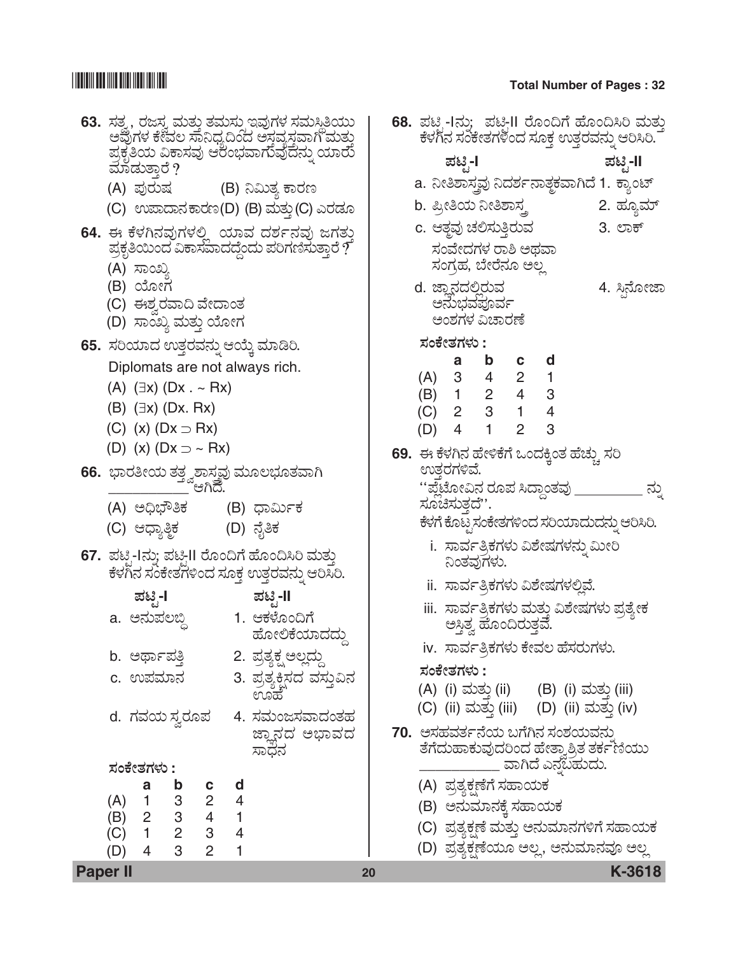# $\begin{array}{|c|c|c|c|}\hline \text{small} & \text{small} & \text{small} \end{array}$  Total Number of Pages : 32

| <b>Paper II</b>                                                                                                | 20 |                                                                       | K-3618      |
|----------------------------------------------------------------------------------------------------------------|----|-----------------------------------------------------------------------|-------------|
| (b) $\begin{array}{ccc} 1 & 3 & 2 \\ (B) & 2 & 3 & 4 \\ (C) & 1 & 2 & 3 \\ (D) & 4 & 2 & 3 \end{array}$<br>(D) |    | (D) ಪ್ರತ್ಯಕ್ಷಣೆಯೂ ಅಲ್ಲ, ಅನುಮಾನವೂ ಅಲ್ಲ                                 |             |
| $\overline{\phantom{1}}$<br>$\overline{4}$                                                                     |    | (C) ಪ್ರತ್ಯಕ್ಷಣೆ ಮತ್ತು ಅನುಮಾನಗಳಿಗೆ ಸಹಾಯಕ                               |             |
| $\overline{4}$                                                                                                 |    | (B) ಅನುಮಾನಕ್ಕೆ ಸಹಾಯಕ                                                  |             |
| d                                                                                                              |    | (A) ಪ್ರತ್ಯಕ್ಷಣೆಗೆ ಸಹಾಯಕ                                               |             |
| ಸಾಧನ<br>ಸಂಕೇತಗಳು :                                                                                             |    | ತೆಗೆದುಹಾಕುವುದರಿಂದ ಹೇತ್ವಾಶ್ರಿತ ತರ್ಕಣೆಯು<br>_ ವಾಗಿದೆ ಎನಬಹುದು.           |             |
| ಜ್ಞಾನದ ಅಭಾವದ                                                                                                   |    | 70.  ಅಸಹವರ್ತನೆಯ ಬಗೆಗಿನ ಸಂಶಯವನು                                        |             |
| 4. ಸಮಂಜಸವಾದಂತಹ<br>d. ಗವಯ ಸ್ವರೂಪ                                                                                |    | (C) (ii) ಮತ್ತು (iii) (D) (ii) ಮತ್ತು (iv)                              |             |
| c. ಉಪಮಾನ<br>3. ಪ್ರತ್ಯಕ್ಷಿಸದ ವಸ್ತುವಿನ<br>ಊಹ                                                                     |    | (A) (i) ಮತ್ತು (ii) (B) (i) ಮತ್ತು (iii)                                |             |
| 2. ಪ್ರತ್ಯಕ್ಷ ಅಲ್ಲದ್ದು<br>b. ಅರ್ಥಾಪತ್ತಿ                                                                         |    | iv.  ಸಾರ್ವತ್ರಿಕಗಳು ಕೇವಲ ಹೆಸರುಗಳು.<br>ಸಂಕೇತಗಳು :                       |             |
| ಹೋಲಿಕೆಯಾದದ್ದು                                                                                                  |    |                                                                       |             |
| a. ಅನುಪಲಬ್ದಿ        1. ಆಕಳೊಂದಿಗೆ                                                                               |    | iii.  ಸಾರ್ವತ್ರಿಕಗಳು ಮತ್ತು ವಿಶೇಷಗಳು ಪ್ರತ್ಯೇಕ<br>ಅಸ್ತಿತ್ವ ಹೊಂದಿರುತ್ತವೆ. |             |
| ಪಟ್ಸಿ-I<br>ಪಟ್ಟ-II                                                                                             |    | ii.  ಸಾರ್ವತ್ರಿಕಗಳು ವಿಶೇಷಗಳಲ್ಲಿವೆ.                                     |             |
| 67. ಪಟ್ಟಿ-Iನ್ನು ಪಟ್ಟಿII ರೊಂದಿಗೆ ಹೊಂದಿಸಿರಿ ಮತ್ತು<br>ಕೆಳಗಿನ ಸಂಕೇತಗಳಿಂದ ಸೂಕ್ತ ಉತ್ತರವನ್ನು ಆರಿಸಿರಿ.                 |    | ನಿಂತವುಗಳು.                                                            |             |
|                                                                                                                |    | i.  ಸಾರ್ವತ್ರಿಕಗಳು ವಿಶೇಷಗಳನ್ನು ಮೀರಿ                                    |             |
| (C) ಆಧ್ಯಾತ್ಮಿಕ               (D) ನೈತಿಕ                                                                         |    | ಕೆಳಗೆ ಕೊಟ್ಟ ಸಂಕೇತಗಳಿಂದ ಸರಿಯಾದುದನ್ನು ಆರಿಸಿರಿ.                          |             |
| (A) ಅಧಿಭೌತಿಕ     (B) ಧಾರ್ಮಿಕ                                                                                   |    | ''ಪ್ಲೆಟೋವಿನ ರೂಪ ಸಿದ್ಧಾಂತವು ]<br>ಸೂಚಿಸುತ್ತದೆ''.                        | ನು          |
|                                                                                                                |    | ಉತರಗಳಿವೆ.                                                             |             |
| (D) (x) $(Dx \supset \sim Rx)$                                                                                 |    | 69. ಈ ಕೆಳಗಿನ ಹೇಳಿಕೆಗೆ ಒಂದಕ್ಕಿಂತ ಹೆಚ್ಚು ಸರಿ                            |             |
| (C) (x) $(Dx \supset Rx)$                                                                                      |    | 3<br>$\overline{4}$<br>$\overline{2}$<br>(D)                          |             |
| $(B)$ $(\exists x)$ $(Dx. Rx)$                                                                                 |    | $(C)$ 2 3 1<br>$\overline{4}$                                         |             |
| $(A)$ $(\exists x)$ $(Dx \cdot \neg Rx)$                                                                       |    | (A) 3 4 2 1<br>(B) 1 2 4 3                                            |             |
| 65. ಸರಿಯಾದ ಉತ್ತರವನ್ನು ಆಯ್ಕೆ ಮಾಡಿರಿ.<br>Diplomats are not always rich.                                          |    | a b<br>$c$ d                                                          |             |
| (D) ಸಾಂಖ್ಯ ಮತ್ತು ಯೋಗ                                                                                           |    | ಸಂಕೇತಗಳು :                                                            |             |
| (C) ಈಶ್ವರವಾದಿ ವೇದಾಂತ                                                                                           |    | ಅನುಭವಪೂರ್ವ<br>ಅಂಶಗಳ ವಿಚಾರಣೆ                                           |             |
| (B) ಯೋಗ                                                                                                        |    | d. ಜ್ಞಾನದಲ್ಲಿರುವ                                                      | 4. ಸ್ತಿನೋಜಾ |
| (A) ಸಾಂಖ್ಯ                                                                                                     |    | ಸಂವೇದಗಳ ರಾಶಿ ಅಥವಾ<br>ಸಂಗ್ರಹ, ಬೇರೆನೂ ಅಲ್ಲ                              |             |
| 64. ಈ ಕೆಳಗಿನವುಗಳಲ್ಲಿ  ಯಾವ ದರ್ಶನವು ಜಗತ್ತು<br>ಪ್ರಕೃತಿಯಿಂದ ವಿಕಾಸವಾದದ್ದೆಂದು ಪರಿಗಣಿಸುತ್ತಾರೆ ?                       |    | c. ಆತ್ಮವು ಚಲಿಸುತ್ತಿರುವ                                                | 3. ಲಾಕ್     |
| (C) ಉಪಾದಾನಕಾರಣ(D) (B) ಮತ್ತು (C) ಎರಡೂ                                                                           |    | b. ಪ್ರೀತಿಯ ನೀತಿಶಾಸ್ತ್ರ                                                | 2. ಹ್ಯೂಮ್   |
| (A) ಪುರುಷ         (B) ನಿಮಿತ್ಯ ಕಾರಣ                                                                             |    | a. ನೀತಿಶಾಸ್ತ್ರವು ನಿದರ್ಶನಾತ್ಮಕವಾಗಿದೆ 1. ಕ್ಯಾಂಟ್                        |             |
| ಪ್ರಕೃತಿಯ ವಿಕಾಸವು ಆರಂಭವಾಗುವುದನ್ನು ಯಾರು<br>ಮಾಡುತ್ತಾರೆ ?                                                          |    | ಪಟೃ-I                                                                 | ಪಟೃ-II      |
| ಅವುಗಳ ಕೇವಲ ಸಾನಿಧ್ಯದಿಂದ ಅಸ್ತವ್ಯಸ್ತವಾಗಿ ಮತ್ತು                                                                    |    | ಕೆಳಗಿನ ಸಂಕೇತಗಳಿಂದ ಸೂಕ್ತ ಉತ್ತರವನ್ನು ಆರಿಸಿರಿ.                           |             |
| 63.  ಸತ್ವ, ರಜಸ್ವ ಮತ್ತು ತಮಸ್ಸುಇವುಗಳ ಸಮಸ್ಥಿತಿಯು                                                                  |    | 68. ಪಟ್ಸಿ-Iನು;  ಪಟ್ಟಿII ರೊಂದಿಗೆ ಹೊಂದಿಸಿರಿ ಮತ                          |             |

II ರೊಂದಿಗೆ ಹೊಂದಿಸಿರಿ ಮತ್ತು<br>ɔದ ಸೂಕ್ತ ಉತ್ತರವನ್ನು ಆರಿಸಿರಿ. *±Üqr* **-I** *±Üqr* **-II** ,<br><sup>}ರ್</sup>ವಾತ್ಥಕವಾಗಿದೆ 1. ಕ್ಯಾಂಟ್  $\mathcal{D}$ ಶ್ರ ್ರ<br>ದಿವ ತಿ<u>. ಲಾಕ್</u> *ÓÜíÊæà¨ÜWÜÙÜ ÃÝÎ A¥ÜÊÝ* ೂ ಅಲ್ಲ d. ಜ್ಞಾನದಲ್ಲಿರುವ<br>ಅನುಭವಪೂರ್ವ<br>ಅಂಶಗಳ ವಿಚಾರಣೆ **a b c d**  $2 \quad 1$ 4 3  $1 \quad 4$  $2 \quad 3$ **69.** *D PæÙÜX®Ü ÖæàÚPæWæ Jí¨ÜQRíñÜ ÖæaÜác ÓÜÄ*   $^{\rm 5}$ ಸದ್ಧಾಂತವು \_\_\_\_\_\_\_\_\_\_\_\_ ನ್ನು .<br>1998 <del>Na</del>jawa Babara  $\bm{\psi}$  ವಿಶೇಷಗಳನ್ನು ಮೀರಿ  $b$  ವಿಶೇಷಗಳಲ್ಲಿವೆ. ರಿ ಮತ್ತು ವಿಶೇಷಗಳು ಪ್ರತ್ಯೇಕ<br>ದಿರುತ್ತವೆ.  $\,$ ರಿ ಕೇವಲ ಹೆಸರುಗಳು. (B) (i) ಮತ್ತು (iii) i) (D) (ii) ಮತ್ತು (iv)  $\omega$ ಗೆಗಿನ ಸಂಶಯವನು  $\delta$ øa ಹೇತ್ಕಾಶ್ರಿತ ತರ್ಕ $\tilde{f}$ ಣಿಯು  $\bar p$ ಗಿದೆ ಎನ್ನಬಹುದು. ಕಾಯಕ

- ಸಹಾಯಕ
- $\Omega$  ಅನುಮಾನಗಳಿಗೆ ಸಹಾಯಕ
- $\,$  ಅಲ್ಲ, ಅನುಮಾನವೂ ಅಲ್ಲ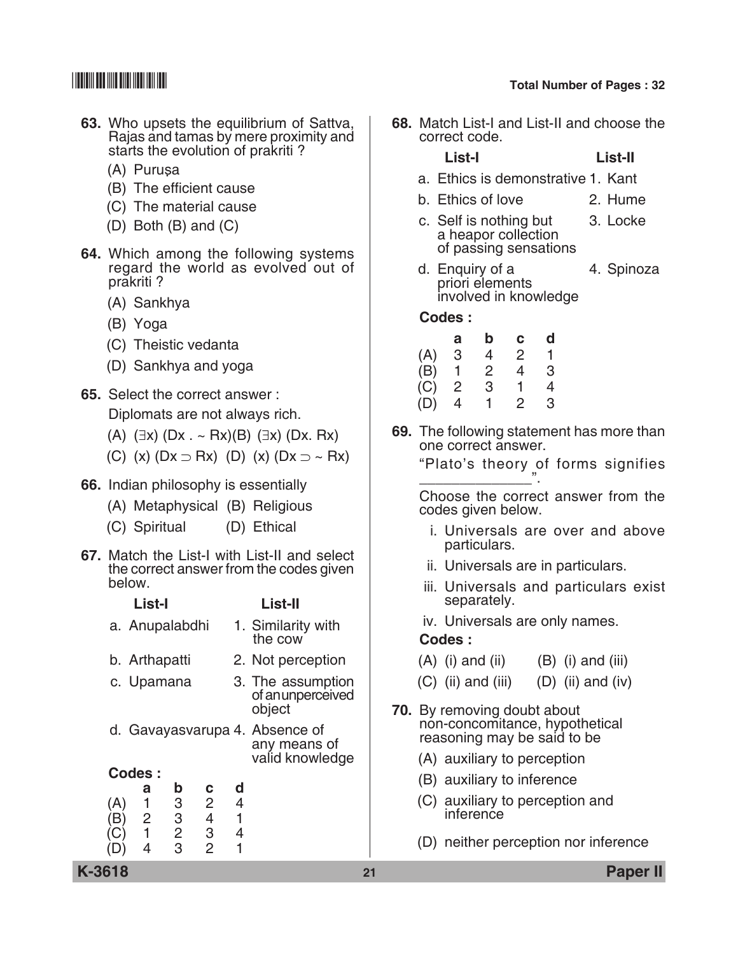- **63.** Who upsets the equilibrium of Sattva, Rajas and tamas by mere proximity and starts the evolution of prakriti ?
	- (A) Purusa.
	- (B) The efficient cause
	- (C) The material cause
	- (D) Both (B) and (C)
- **64.** Which among the following systems regard the world as evolved out of prakriti ?
	- (A) Sankhya
	- (B) Yoga
	- (C) Theistic vedanta
	- (D) Sankhya and yoga
- **65.** Select the correct answer : Diplomats are not always rich.
	- (A)  $(\exists x)$  (Dx . ~ Rx)(B)  $(\exists x)$  (Dx. Rx)
	- (C) (x)  $(Dx \supset Rx)$  (D) (x)  $(Dx \supset \sim Rx)$
- **66.** Indian philosophy is essentially
	- (A) Metaphysical (B) Religious
	- (C) Spiritual (D) Ethical
- **67.** Match the List-I with List-II and select the correct answer from the codes given below.

|     | List-I         |                |                          | List-II        |                                                                   |
|-----|----------------|----------------|--------------------------|----------------|-------------------------------------------------------------------|
|     | a. Anupalabdhi |                |                          |                | 1. Similarity with<br>the cow                                     |
|     | b. Arthapatti  |                |                          |                | 2. Not perception                                                 |
|     | c. Upamana     |                |                          |                | 3. The assumption<br>of an unperceived<br>object                  |
|     |                |                |                          |                | d. Gavayasvarupa 4. Absence of<br>any means of<br>valid knowledge |
|     | Codes:         |                |                          |                |                                                                   |
|     | а              | b              | с                        | d              |                                                                   |
| (A) | 1              | 3              | $\overline{2}$           | $\overline{4}$ |                                                                   |
|     | 2              | 3              | $\overline{\mathcal{L}}$ | 1              |                                                                   |
|     | 1              | $\overline{2}$ | 3                        | 4              |                                                                   |
|     | 4              | 3              | $\overline{2}$           | 1              |                                                                   |

**68.** Match List-I and List-II and choose the correct code.

### **List-I List-II**

- a. Ethics is demonstrative 1. Kant
- b. Ethics of love 2. Hume
- c. Self is nothing but 3. Locke a heapor collection of passing sensations
- d. Enquiry of a 4. Spinoza priori elements involved in knowledge

 **Codes :**

|     | а | b | $\mathbf{c}$ | d |
|-----|---|---|--------------|---|
| (A) | З | 4 | 2            |   |
| (B) |   | 2 | 4            | 3 |
| (C) | 2 | 3 |              | 4 |
| (D) | 4 | 1 | 2            | 3 |

**69.** The following statement has more than one correct answer.

> "Plato's theory of forms signifies \_\_\_\_\_\_\_\_\_\_\_\_\_\_".

> Choose the correct answer from the codes given below.

- i. Universals are over and above particulars.
- ii. Universals are in particulars.
- iii. Universals and particulars exist separately.
- iv. Universals are only names.

### **Codes :**

- $(A)$  (i) and (ii)  $(B)$  (i) and (iii)
- $(C)$  (ii) and (iii)  $(D)$  (ii) and (iv)
- **70.** By removing doubt about non-concomitance, hypothetical reasoning may be said to be
	- (A) auxiliary to perception
	- (B) auxiliary to inference
	- (C) auxiliary to perception and inference
	- (D) neither perception nor inference

**K-3618 21 Paper II**

# \*K3618\* **Total Number of Pages : 32**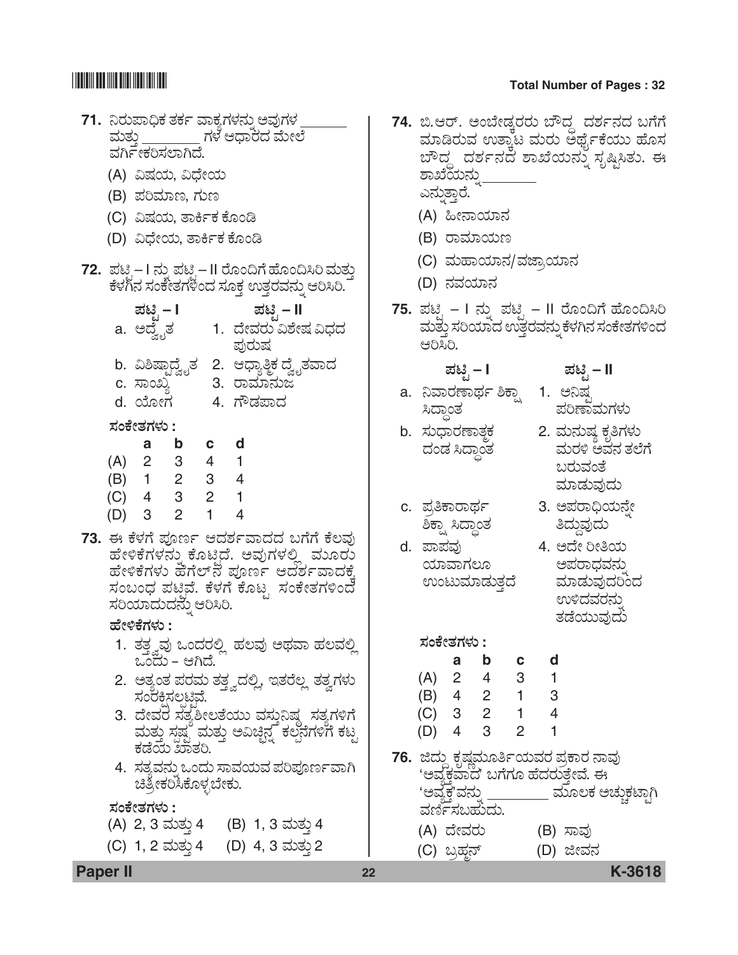# 71. ನಿರುಪಾಧಿಕ ತರ್ಕ ವಾಕ್ಯಗಳನ್ನು ಅವುಗಳ \_<br>ಮತ್ತು \_\_\_\_\_\_\_\_\_ ಗಳ ಆಧಾರದ ಮೇಲೆ ವರ್ಗಿಣರಿಸಲಾಗಿದೆ. (A) ವಿಷಯ, ವಿಧೇಯ (B) ಪರಿಮಾಣ, ಗುಣ (C) ವಿಷಯ, ತಾರ್ಕಿಕ ಕೊಂಡಿ (D) ವಿಧೇಯ, ತಾರ್ಕಿಕ ಕೊಂಡಿ **72.** *±Üqr* – I *®Üá° ±Üqr* – II Ãæãí©Wæ Öæãí©ÔÄ ÊÜáñÜá¤ PæÙÜX®Ü ÓÜíPæàñÜWÜÚí¨Ü ÓÜãPܤ EñܤÃÜÊÜ®Üá° BÄÔÄ. *±Üqr* **– I** *±Üqr* **– II** 1. ದೇವರು ವಿಶೇಷ ವಿಧದ<br>¨ ಪುರುಷ b. ವಿಶಿಷ್ಪಾದ್ವೈತ 2. ಆಧ್ಯಾತ್ಮಿಕ ದ್ವೈತವಾದ<br>c. ಸಾಂಖ್ತ 3. ರಾಮಾನುಜ <u>3.</u> ರಾಮಾನುಜ d. ಯೋಗ 4. ಗೌಡಪಾದ *ÓÜíPæàñÜWÜÙÜá* **: a b c d** (A) 2 3 4 1 (B) 1 2 3 4 (C) 4 3 2 1 (D) 3 2 1 4 73. ಈ ಕೆಳಗೆ ಪೂರ್ಣ ಆದರ್ಶವಾದದ ಬಗೆಗೆ ಕೆಲವು *ಹೇಳಿಕೆಗಳನ್ನು ಕೊಟ್ತಿದೆ. ಅವುಗಳಲ್ಲಿ ಮೂರು* ಹೇಳಿಕೆಗಳು ಹೆಗೆಲ್**ನ ಪೂರ್ಣ ಆದರ್ಶವಾದ**ಕ್ಕೆ  $\vec{a}$ zio zaban zabar Berlêmê Berlê Barber Zaran Zaran Albert Sandar Zaran Zaran Zaran Zaran Zaran Zaran Zaran Z *ÓÜĿިÜá¨Ü®Üá° BÄÔÄ*. *ÖæàÚPæWÜÙÜá* **:** 1. ತತ್ತ್ವವು ಒಂದರಲ್ಲಿ ಹಲವು ಅಥವಾ ಹಲವಲ್ಲಿ<br>" ಒಂದು – ಆಗಿದೆ.

- 2. ಅತ್ಯಂತ ಪರಮ ತತ್ತ್ವದಲ್ಲಿ, ಇತರೆಲ್ಲ ತತ್ವಗಳು<br>ಸಂರಕ್ಷಿಸಲ್ಪಟ್ಟಿವೆ.<br>3. ದೇವರ ಸತ್ತಶೀಲತೆಯು ವಸುನಿಷ್ಠ ಸತ್ತಗಳಿಗೆ
- ಮತ್ತು ಸ್ಪಷ್ಟ<sup>ಿ</sup> ಮತ್ತು ಅವಿಚ್ಛಿನ್ನ ಕಲ್ಪನೆಗಳಿಗೆ ಕಟ್ಟ<br>ಕಡೆಯ ಖಾತರಿ.
- 4. *ಸ*ತ್ತವನು ಒಂದು ಸಾವಯವ ಪರಿಪೂರ್ಣವಾಗಿ ಚಿತ್ರೀಕರಿಸಿಕೊಳ್ಳಬೇಕು.

### *ÓÜíPæàñÜWÜÙÜá* **:**

- (A) 2, 3 ಮತ್ತು 4 (B) 1, 3 ಮತ್ತು 4
- (C) 1, 2 ಮತ್ತು 4 (D) 4, 3 ಮತ್ತು 2

# \*K3618\* **Total Number of Pages : 32**

- 74. ಬಿ.ಆರ್. ಅಂಬೇಡ್ರರರು ಬೌದ್ಧ ದರ್ಶನದ ಬಗೆಗೆ ಮಾಡಿರುವ ಉತ್ತಾಟ ಮರು ಅರ್ಥೈಕೆಯು ಹೊಸ ಬೌದ್ಧ ದರ್ಶನದ ಶಾಖೆಯನ್ನು ಸೃಷ್ಟಿಸಿತು. ಈ<br>ಶಾಖೆಯನ್ನು ಎನ್ನು<u>ತ್ತಾ</u>ರೆ.
	- (A) ಹೀನಾಯಾನ
	- (B) *ÃÝÊÜÞ¿á|*
	- (C) ಮಹಾಯಾನ/ವಜಾ಼ಯಾನ
	- (D) *®ÜÊܿޮÜ*
- **75.** *±Üqr*  I *®Üá° ±Üqr*  II *Ãæãí©Wæ Öæãí©ÔÄ*  ಮತ್ತು ಸರಿಯಾದ ಉತ್ತರವನ್ನು ಕೆಳಗಿನ ಸಂಕೇತಗಳಿಂದ *BÄÔÄ.*
- a. ನಿವಾರಣಾರ್ಥ ಶಿಕ್ಷಾ 1. ಅನಿಷ್ಟ<br>ಸಿದಾಂತ ಪರಿಣಾಮಗಳು ಸಿದ್ದಾಂತ
- 
- ಿಕ್ಷಾ ಸಿದ್ದಾಂತ
- d. ಪಾಪವು 4. ಅದೇ ರೀತಿಯ<br> ಯಾವಾಗಲೂ ಅಪರಾಧವನು
- *±Üqr*  **I** *±Üqr*  **II**
	-
- b. ಸುಧಾರಣಾತ್<del>ಠ</del><br>ದಂಡ ಸಿದ್ಧಾಂತ ಮರಳಿ ಅವನ ತಲೆಗೆ ದಂಡ ಸಿದ್ಧಾಂತ ಮರಳಿ ಅವನ ತಲೆಗೆ<br>ಓರುವಂತೆ<br>ಮಾಡುವುದು
	- c. *±ÜÅ£PÝÃÝ¥Üì* 3. *A±ÜÃÝ—¿á®æ°à*
- ಯಾವಾಗಲೂ ಆಪರಾಧವನ್ನು<br>ಉಂಟುಮಾಡುತ್ತದೆ ಮಾಡುವುದರಿಂದ<br>ಉಳಿದವರನ್ನು<br>ತಡೆಯುವುದು

### *ÓÜíPæàñÜWÜÙÜá* **:**

|     | а              | b | с | a |
|-----|----------------|---|---|---|
| (A) | $\overline{2}$ | 4 | 3 |   |
| (B) | 4              | 2 | 1 | 3 |
| (C) | -3             | 2 | 1 | 4 |
| (D) | 4              | 3 | 2 |   |

- 76. ಜಿದ್ದು ಕೃಷ್ಣಮೂರ್ತಿಯವರ ಪ್ರಕಾರ ನಾವು 'ಅವ್ಯಕ್ತವಾದ' ಬಗೆಗೂ ಹೆದರುತ್ತೇವೆ. ಈ<br>'ಅವ್ಯಕ'ವನ್ನು \_\_\_\_\_\_\_\_\_ ಮೂಲಕ ಅ 'ಅವ್ಯಕ್ತ'ವನ್ನು \_\_\_\_\_\_\_\_\_ ಮೂಲಕ ಅಚ್ಚುಕಟ್ಟಾಗಿ<br>ವರ್ಣಿಸಬಹುದು. (A) ದೇವರು (B) ಸಾವು
	- (C) *ŸÅÖܾ®…* (D) *iàÊÜ®Ü*

**Paper II 22 K-3618**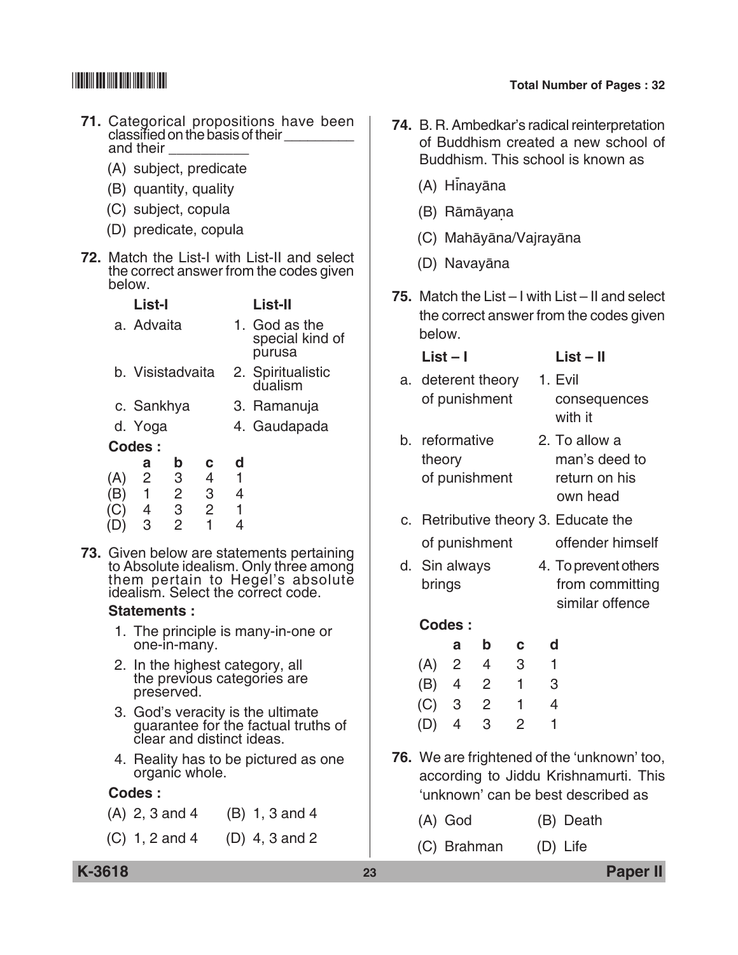- **71.** Categorical propositions have been classified on the basis of their  $\sqrt{ }$ and their
	- (A) subject, predicate
	- (B) quantity, quality
	- (C) subject, copula
	- (D) predicate, copula
- **72.** Match the List-I with List-II and select the correct answer from the codes given below.

|          | List-I           |                                    |                          |        | List-II                                    |
|----------|------------------|------------------------------------|--------------------------|--------|--------------------------------------------|
|          | a. Advaita       |                                    |                          |        | 1. God as the<br>special kind of<br>purusa |
|          | b. Visistadvaita |                                    |                          |        | 2. Spiritualistic<br>dualism               |
|          | c. Sankhya       |                                    |                          |        | 3. Ramanuja                                |
|          | d. Yoga          |                                    |                          |        | 4. Gaudapada                               |
|          | Codes:           |                                    |                          |        |                                            |
| (A)<br>Ъ | a<br>2<br>1      | $\mathbf b$<br>3<br>$\overline{2}$ | с<br>$\overline{4}$<br>3 | d<br>4 |                                            |
| C)       | -4<br>3          | 3<br>2                             | $\overline{2}$<br>1      | 1<br>4 |                                            |

**73.** Given below are statements pertaining to Absolute idealism. Only three among them pertain to Hegel's absolute idealism. Select the correct code.

### **Statements :**

- 1. The principle is many-in-one or one-in-many.
- 2. In the highest category, all the previous categories are preserved.
- 3. God's veracity is the ultimate guarantee for the factual truths of clear and distinct ideas.
- 4. Reality has to be pictured as one organic whole.

### **Codes :**

- (A) 2, 3 and 4 (B) 1, 3 and 4
- (C) 1, 2 and 4 (D) 4, 3 and 2
- **74.** B. R. Ambedkar's radical reinterpretation of Buddhism created a new school of Buddhism. This school is known as
	- (A) Hinayāna
	- (B) Rāmāyana.
	- (C) Mahāyāna/Vajrayāna
	- (D) Navayāna
- **75.** Match the List I with List II and select the correct answer from the codes given below.

| $List - 1$         | $List - II$  |
|--------------------|--------------|
| a. deterent theory | 1. Evil      |
| of punishment      | consequences |
|                    | with it      |

- b. reformative 2. To allow a theory man's deed to of punishment return on his own head
- c. Retributive theory 3. Educate the of punishment offender himself
- d. Sin always 4. To prevent others brings from committing similar offence

### **Codes :**

|         | а              | b              | C | a |
|---------|----------------|----------------|---|---|
| (A)     | $\overline{2}$ | 4              | 3 | 1 |
| (B)     | 4              | $\overline{2}$ | 1 | 3 |
| $(C)$ 3 |                | $\overline{2}$ | 1 | 4 |
| (D)     | 4              | 3              | 2 |   |

- **76.** We are frightened of the 'unknown' too, according to Jiddu Krishnamurti. This 'unknown' can be best described as
	- (A) God (B) Death
	- (C) Brahman (D) Life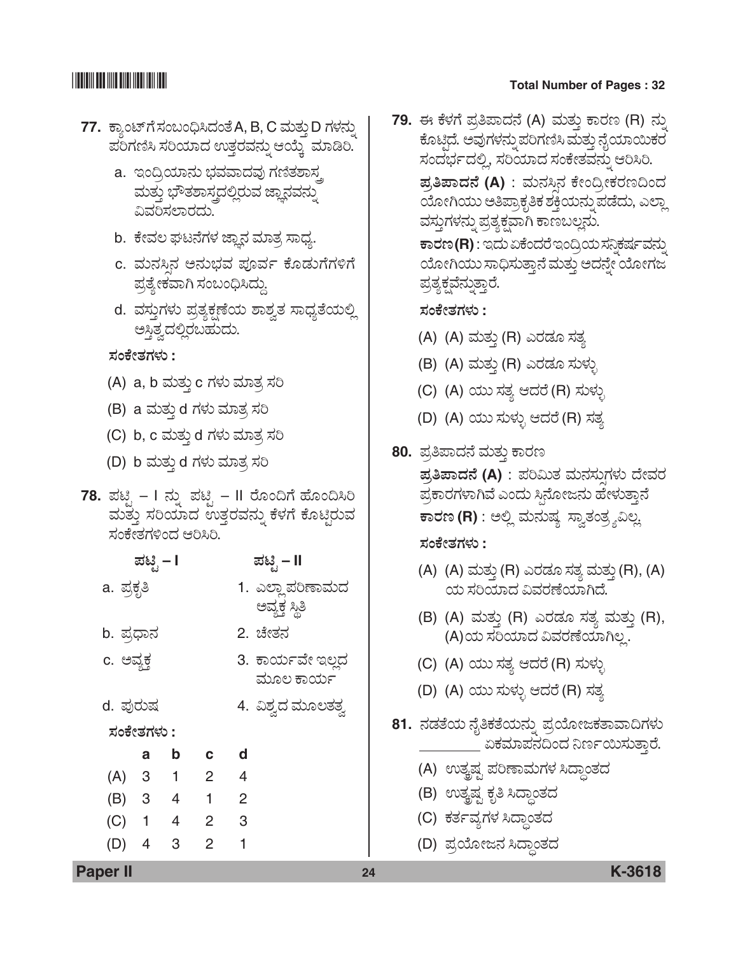## **THE REAL PROPERTY OF STATE**

### **Total Number of Pages: 32**

- 77. ಕ್ಯಾಂಟ್ ಗೆ ಸಂಬಂಧಿಸಿದಂತೆ A, B, C ಮತ್ತು D ಗಳನ್ನು ಪರಿಗಣಿಸಿ ಸರಿಯಾದ ಉತ್ತರವನ್ನು ಆಯ್ಕೆ ಮಾಡಿರಿ.
	- a. ಇಂದ್ರಿಯಾನು ಭವವಾದವು ಗಣಿತಶಾಸ್ತ ಮತ್ತು ಭೌತಶಾಸ್ತ್ರದಲ್ಲಿರುವ ಜ್ಞಾನವನ್ನು ವಿವರಿಸಲಾರದು.
	- b. ಕೇವಲ ಘಟನೆಗಳ ಜ್ಞಾನ ಮಾತ್ರ ಸಾಧ್ಯ.
	- c. ಮನಸಿನ ಅನುಭವ ಪೂರ್ವ ಕೊಡುಗೆಗಳಿಗೆ ಪ್ರತ್ಯೇಕವಾಗಿ ಸಂಬಂಧಿಸಿದ್ದು.
	- d. ವಸ್ತುಗಳು ಪ್ರತ್ಯಕ್ಷಣೆಯ ಶಾಶ್ವತ ಸಾಧ್ಯತೆಯಲ್ಲಿ ಅಸ್ತಿತ್ವದಲ್ಲಿರಬಹುದು.

ಸಂಕೇತಗಳು :

- (A) a, b ಮತ್ತು c ಗಳು ಮಾತ್ರ ಸರಿ
- (B) a ಮತ್ತು d ಗಳು ಮಾತ್ರ ಸರಿ
- (C) b, c ಮತ್ತು d ಗಳು ಮಾತ್ರ ಸರಿ
- (D) b ಮತ್ತು d ಗಳು ಮಾತ್ರ ಸರಿ
- 78. ಪಟ್ಸಿ I ನ್ನು ಪಟ್ಸಿ II ರೊಂದಿಗೆ ಹೊಂದಿಸಿರಿ ಮತ್ತು ಸರಿಯಾದ ಉತ್ತರವನ್ನು ಕೆಳಗೆ ಕೊಟ್ಟಿರುವ ಸಂಕೇತಗಳಿಂದ ಆರಿಸಿರಿ.

|                         |   |                                                                   | ಪಟಿೃ – II                     |
|-------------------------|---|-------------------------------------------------------------------|-------------------------------|
| a. ಪ್ರಕೃತಿ              |   |                                                                   | 1. ಎಲ್ಲಾಪರಿಣಾಮದ               |
| b. ಪ್ರಧಾನ               |   |                                                                   | ಅವ್ಯಕ್ತ ಸ್ಥಿತಿ<br>2. ಚೇತನ     |
| c. ಅವ್ಯಕ್ತ              |   |                                                                   | 3. ಕಾರ್ಯವೇ ಇಲ್ಲದ<br>ಮೂಲ ಕಾರ್ಯ |
| d. ಪುರುಷ                |   |                                                                   | 4. ವಿಶ್ವದ ಮೂಲತತ್ವ             |
|                         |   |                                                                   |                               |
| a                       | b | $\mathbf{c}$                                                      | ∣ d                           |
| $\overline{\mathbf{3}}$ |   |                                                                   | $\overline{4}$                |
|                         |   | $\overline{1}$                                                    | $\overline{\phantom{0}}^2$    |
|                         |   | $\overline{2}$                                                    | $^{\circ}$ 3                  |
| $\overline{4}$          | 3 | 2                                                                 | 1                             |
|                         |   | ಪಟ್ಟಿ – I<br>ಸಂಕೇತಗಳು :<br>$\overline{1}$<br>(B) 3 4<br>$(C)$ 1 4 | $\overline{2}$                |

79. ಈ ಕೆಳಗೆ ಪ್ರತಿಪಾದನೆ (A) ಮತ್ತು ಕಾರಣ (R) ನ್ನು ಕೊಟ್ತಿದೆ. ಅವುಗಳನ್ನು ಪರಿಗಣಿಸಿ ಮತ್ತು ನೈಯಾಯಿಕರ ಸಂದರ್ಭದಲ್ಲಿ, ಸರಿಯಾದ ಸಂಕೇತವನ್ನು ಆರಿಸಿರಿ.

ಪ್ರತಿಪಾದನೆ (A) : ಮನಸಿನ ಕೇಂದ್ರೀಕರಣದಿಂದ ಯೋಗಿಯು ಅತಿಪ್ರಾಕೃತಿಕ ಶಕ್ತಿಯನ್ನು ಪಡೆದು, ಎಲ್ಲಾ ವಸ್ತುಗಳನ್ನು ಪ್ರತ್ಯಕ್ಷವಾಗಿ ಕಾಣಬಲ್ಲನು.

ಕಾರಣ(R) : ಇದು ಏಕೆಂದರೆ ಇಂದ್ರಿಯ ಸನಿಕರ್ಷವನ್ನು ಯೋಗಿಯು ಸಾಧಿಸುತ್ತಾನೆ ಮತ್ತು ಅದನ್ನೇ ಯೋಗಜ ಪ್ರತ್ಯಕ್ಷವೆನ್ನುತ್ತಾರೆ.

### ಸಂಕೇತಗಳು :

- (A) (A) ಮತ್ತು (R) ಎರಡೂ ಸತ್ಯ
- (B) (A) ಮತ್ತು (R) ಎರಡೂ ಸುಳ್ಳು
- (C) (A) ಯು ಸತ್ಯ ಆದರೆ (R) ಸುಳ್ಳು
- (D) (A) ಯು ಸುಳ್ಳು ಆದರೆ (R) ಸತ್ಯ
- 80. ಪ್ರತಿಪಾದನೆ ಮತ್ತು ಕಾರಣ ಪ್ರತಿಪಾದನೆ (A) : ಪರಿಮಿತ ಮನಸುಗಳು ದೇವರ ಪ್ರಕಾರಗಳಾಗಿವೆ ಎಂದು ಸಿನೋಜನು ಹೇಳುತ್ತಾನೆ ಕಾರಣ (R) : ಅಲ್ಲಿ ಮನುಷ್ಯ ಸ್ತಾತಂತ್ರ್ಯವಿಲ್ಲ ಸಂಕೇತಗಳು :
	- (A) (A) ಮತ್ತು (R) ಎರಡೂ ಸತ್ಯ ಮತ್ತು (R), (A) ಯ ಸರಿಯಾದ ವಿವರಣೆಯಾಗಿದೆ.
	- (B) (A) ಮತ್ತು (R) ಎರಡೂ ಸತ್ಯ ಮತ್ತು (R), (A)ಯ ಸರಿಯಾದ ವಿವರಣೆಯಾಗಿಲ್ಲ.
	- (C) (A) ಯು ಸತ್ಯ ಆದರೆ (R) ಸುಳ್ಳು
	- (D) (A) ಯು ಸುಳ್ಳು ಆದರೆ (R) ಸತ್ಯ
- 81. ನಡತೆಯ ನೈತಿಕತೆಯನ್ನು ಪ್ರಯೋಜಕತಾವಾದಿಗಳು ಏಕಮಾಪನದಿಂದ ನಿರ್ಣಯಿಸುತ್ತಾರೆ.
	- (A) ಉತ್ಕಷ್ಟ ಪರಿಣಾಮಗಳ ಸಿದ್ಧಾಂತದ
	- (B) ಉತ್ಕಷ್ಟ ಕೃತಿ ಸಿದ್ಧಾಂತದ
	- (C) ಕರ್ತವ್ಯಗಳ ಸಿದ್ಧಾಂತದ
	- (D) ಪ್ರಯೋಜನ ಸಿದ್ಧಾಂತದ

**Paper II**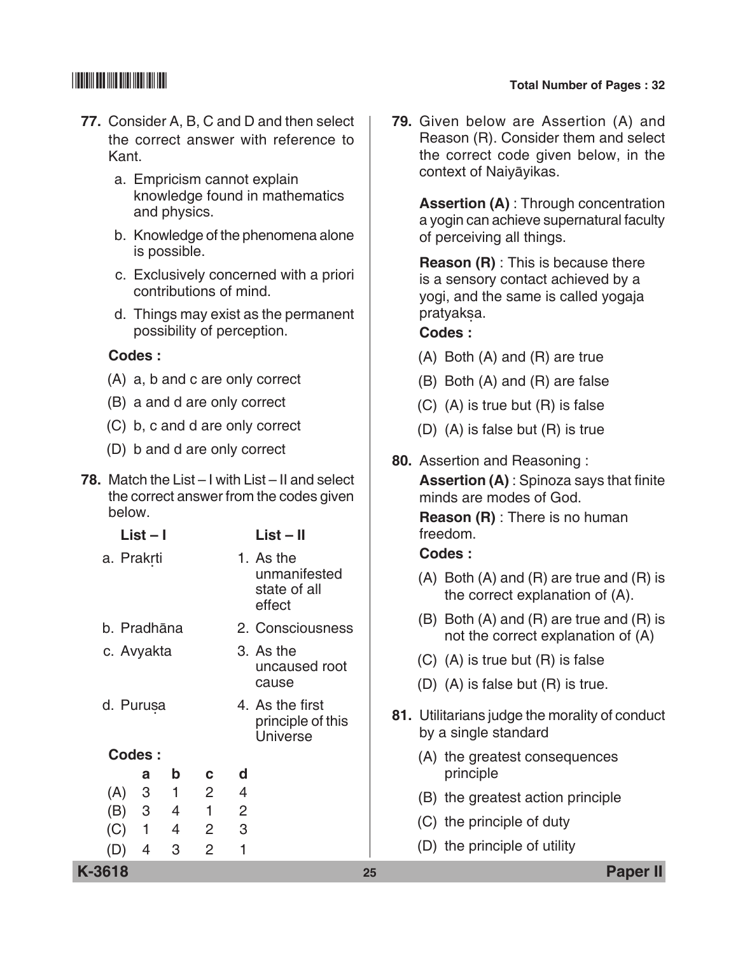- **77.** Consider A, B, C and D and then select the correct answer with reference to Kant.
	- a. Empricism cannot explain knowledge found in mathematics and physics.
	- b. Knowledge of the phenomena alone is possible.
	- c. Exclusively concerned with a priori contributions of mind.
	- d. Things may exist as the permanent possibility of perception.

### **Codes :**

- (A) a, b and c are only correct
- (B) a and d are only correct
- (C) b, c and d are only correct
- (D) b and d are only correct
- **78.** Match the List I with List II and select the correct answer from the codes given below.

|             | $List - I$     |              |   |                            | $List - II$                                             |                                      | freedom.                                                                               |
|-------------|----------------|--------------|---|----------------------------|---------------------------------------------------------|--------------------------------------|----------------------------------------------------------------------------------------|
| a. Prakrti  |                |              |   |                            | 1. As the                                               |                                      | Codes:                                                                                 |
|             |                |              |   |                            | unmanifested<br>state of all<br>effect                  |                                      | $(A)$ Both $(A)$ and $(R)$ are true and $(R)$ is<br>the correct explanation of (A).    |
| b. Pradhāna |                |              |   |                            | 2. Consciousness                                        |                                      | $(B)$ Both $(A)$ and $(R)$ are true and $(R)$ is<br>not the correct explanation of (A) |
|             | c. Avyakta     |              |   | 3. As the<br>uncaused root |                                                         | $(C)$ (A) is true but $(R)$ is false |                                                                                        |
|             |                |              |   |                            | cause                                                   |                                      | $(D)$ $(A)$ is false but $(R)$ is true.                                                |
| d. Purusa   |                |              |   |                            | 4. As the first<br>principle of this<br><b>Universe</b> |                                      | 81. Utilitarians judge the morality of conduct<br>by a single standard                 |
| Codes:      |                |              |   |                            |                                                         |                                      | (A) the greatest consequences                                                          |
|             | a              | b            | C | d                          |                                                         |                                      | principle                                                                              |
| (A)         | 3              | $\mathbf{1}$ | 2 | 4                          |                                                         |                                      | (B) the greatest action principle                                                      |
| (B)         | 3              | 4            | 1 | 2                          |                                                         |                                      | (C) the principle of duty                                                              |
| (C)         | 1              | 4            | 2 | 3                          |                                                         |                                      |                                                                                        |
| (D)         | $\overline{4}$ | 3            | 2 | 1                          |                                                         |                                      | (D) the principle of utility                                                           |
| K-3618      |                |              |   |                            |                                                         | 25                                   | <b>Paper II</b>                                                                        |

**79.** Given below are Assertion (A) and Reason (R). Consider them and select the correct code given below, in the context of Naiyāyikas.

> **Assertion (A)** : Through concentration a yogin can achieve supernatural faculty of perceiving all things.

 **Reason (R)** : This is because there is a sensory contact achieved by a yogi, and the same is called yogaja pratyaksa.

### **Codes :**

- (A) Both (A) and (R) are true
- (B) Both (A) and (R) are false
- (C) (A) is true but (R) is false
- (D) (A) is false but (R) is true
- **80.** Assertion and Reasoning :

 **Assertion (A)** : Spinoza says that finite minds are modes of God.

 **Reason (R)** : There is no human freedom.

### **Codes :**

- (A) Both (A) and (R) are true and (R) is the correct explanation of (A).
- (B) Both (A) and (R) are true and (R) is not the correct explanation of (A)
- (C) (A) is true but (R) is false
- (D) (A) is false but (R) is true.
- **81.** Utilitarians judge the morality of conduct by a single standard
	- (A) the greatest consequences principle
	- (B) the greatest action principle
	- (C) the principle of duty
	- (D) the principle of utility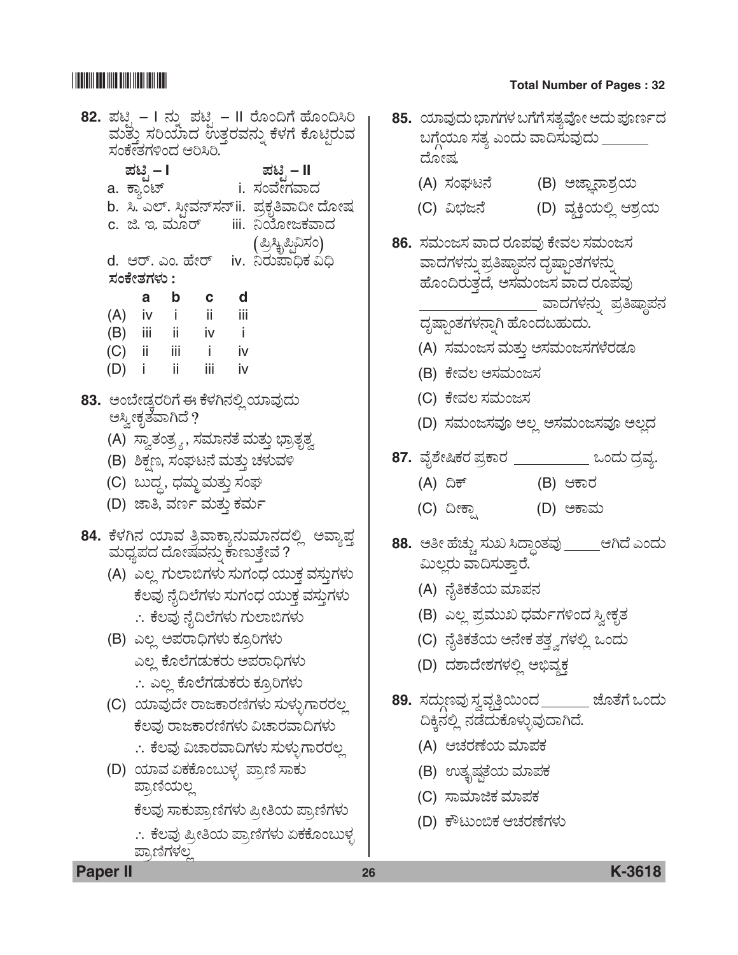## 

### **Total Number of Pages: 32**

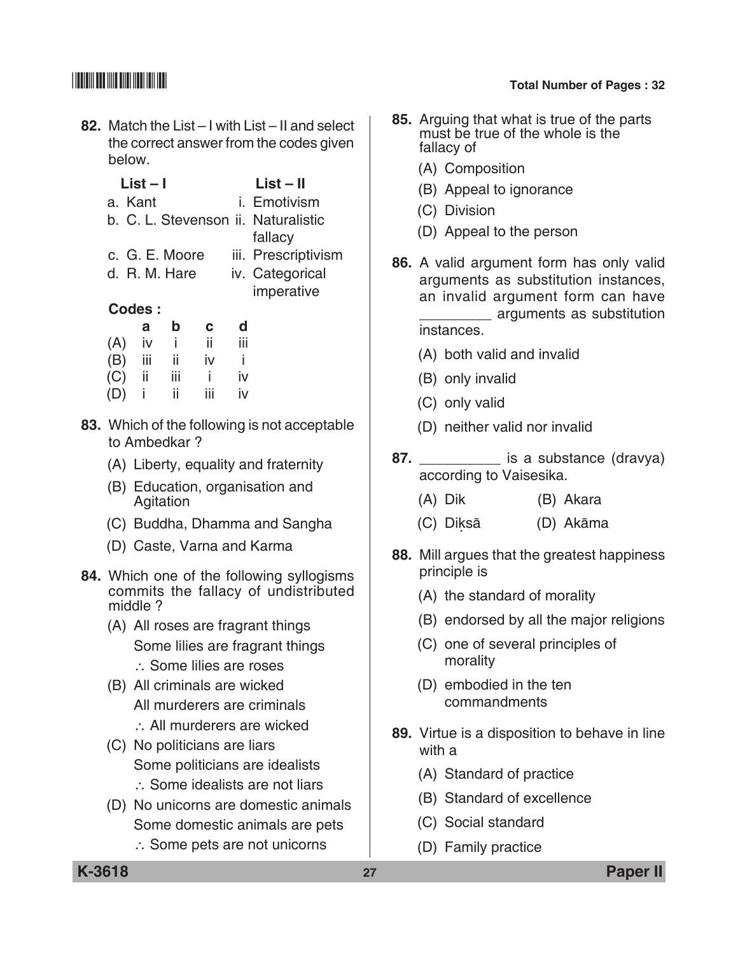- **82.** Match the List I with List II and select the correct answer from the codes given below.
- **List I List II** a. Kant i. Emotivism b. C. L. Stevenson ii. Naturalistic fallacy c. G. E. Moore iii. Prescriptivism d. R. M. Hare iv. Categorical imperative  **Codes : a b c d** (A) iv i ii iii
	- (B) iii ii iv i (C) ii iii i iv (D) i ii iii iv
	- **83.** Which of the following is not acceptable to Ambedkar ?
		- (A) Liberty, equality and fraternity
		- (B) Education, organisation and Agitation
		- (C) Buddha, Dhamma and Sangha
		- (D) Caste, Varna and Karma
	- **84.** Which one of the following syllogisms commits the fallacy of undistributed middle ?
		- (A) All roses are fragrant things Some lilies are fragrant things ∴ Some lilies are roses
		- (B) All criminals are wicked All murderers are criminals
			- ∴ All murderers are wicked
		- (C) No politicians are liars Some politicians are idealists ∴ Some idealists are not liars
		- (D) No unicorns are domestic animals Some domestic animals are pets
			- ∴ Some pets are not unicorns
- **85.** Arguing that what is true of the parts must be true of the whole is the fallacy of
	- (A) Composition
	- (B) Appeal to ignorance
	- (C) Division
	- (D) Appeal to the person
- **86.** A valid argument form has only valid arguments as substitution instances, an invalid argument form can have \_\_\_\_\_\_\_\_\_ arguments as substitution instances.
	- (A) both valid and invalid
	- (B) only invalid
	- (C) only valid
	- (D) neither valid nor invalid
- **87. b** is a substance (dravya) according to Vaisesika.
	- (A) Dik (B) Akara
	- (C) Diksā . (D) Akāma
- **88.** Mill argues that the greatest happiness principle is
	- (A) the standard of morality
	- (B) endorsed by all the major religions
	- (C) one of several principles of morality
	- (D) embodied in the ten commandments
- **89.** Virtue is a disposition to behave in line with a
	- (A) Standard of practice
	- (B) Standard of excellence
	- (C) Social standard
	- (D) Family practice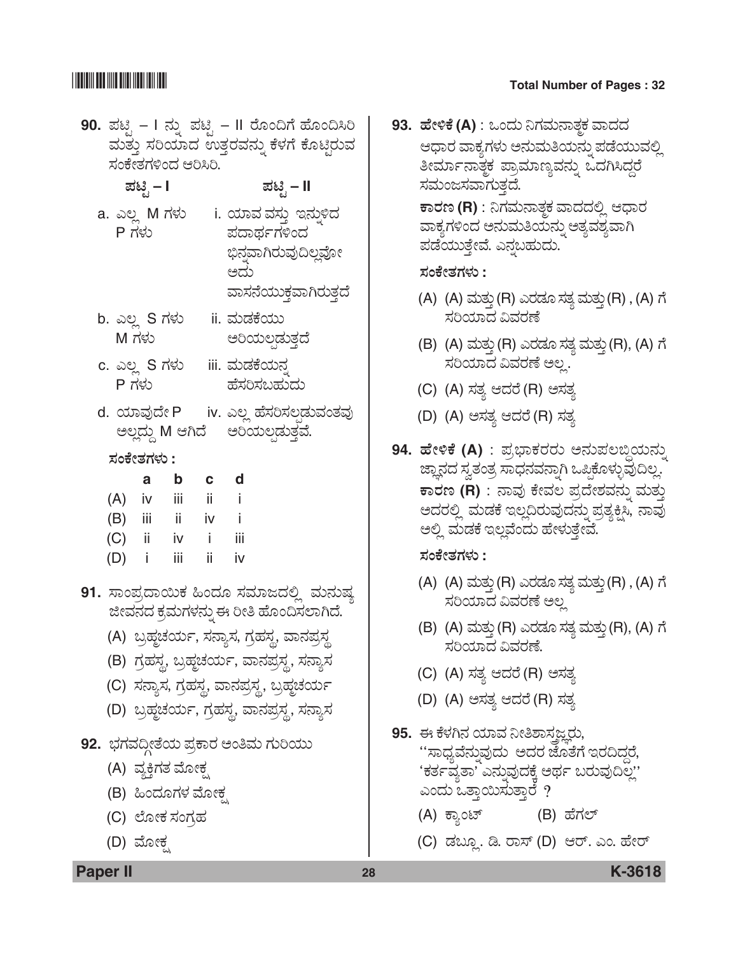## **THE REAL PROPERTY OF STATE**

### **Total Number of Pages: 32**

- 90. ಪಟ್ಸಿ I ನ್ನು ಪಟ್ಸಿ II ರೊಂದಿಗೆ ಹೊಂದಿಸಿರಿ ಮತ್ತು ಸರಿಯಾದ ಉತ್ತರವನ್ನು ಕೆಳಗೆ ಕೊಟ್ಟಿರುವ ಸಂಕೇತಗಳಿಂದ ಆರಿಸಿರಿ.
	- ಪಟಿೃ I

 $P$ ಗಳು

- -
- a. ಎಲ್ಲ M ಗಳು i. ಯಾವ ವಸ್ತು ಇನ್ನುಳಿದ ಪದಾರ್ಥಗಳಿಂದ ಭಿನವಾಗಿರುವುದಿಲ್ಲವೋ

ಪಟ್ಸಿ – II

ಆದು ವಾಸನೆಯುಕ್ತವಾಗಿರುತ್ತದೆ

- b. ಎಲ್ಲ S ಗಳು ii. ಮಡಕೆಯು  $M$  ಗಳು ಅರಿಯಲಡುತ್ತದೆ
- c. ಎಲ್ಲ S ಗಳು iii. ಮಡಕೆಯನ ಹೆಸರಿಸಬಹುದು P ಗಳು
- iv. ಎಲ್ಲ ಹೆಸರಿಸಲಡುವಂತವು d. ಯಾವುದೇ P ಅಲ್ಲದ್ದು M ಆಗಿದೆ ಅರಿಯಲಡುತ್ತವೆ.
	- ಸಂಕೇತಗಳು :

|     | a   | b   | C  | d   |
|-----|-----|-----|----|-----|
| (A) | iv  | iii | ii | Ť   |
| (B) | iii | ii  | iv | Ĩ   |
| (C) | ii. | iv  | i  | iii |
| (D) | ı   | iii | ii | iv  |

- 91. ಸಾಂಪ್ರದಾಯಿಕ ಹಿಂದೂ ಸಮಾಜದಲ್ಲಿ ಮನುಷ್ಯ ಜೀವನದ ಕ್ರಮಗಳನ್ನು ಈ ರೀತಿ ಹೊಂದಿಸಲಾಗಿದೆ.
	- (A) ಬ್ರಹ್ಮಚರ್ಯ, ಸನ್ಯಾಸ, ಗ್ರಹಸ್ತ, ವಾನಪ್ರಸ್ಥ
	- (B) ಗ್ರಹಸ್ಥ, ಬ್ರಹ್ಮಚರ್ಯ, ವಾನಪ್ರಸ್ಥ, ಸನ್ಯಾಸ
	- (C) ಸನ್ಯಾಸ, ಗ್ರಹಸ್ಥ, ವಾನಪ್ರಸ್ಥ, ಬ್ರಹ್ಮಚರ್ಯ
	- (D) ಬ್ರಹ್ಮಚರ್ಯ, ಗ್ರಹಸ್ತ, ವಾನಪ್ರಸ್ಥ, ಸನ್ಯಾಸ
- 92. ಭಗವದ್ದೀತೆಯ ಪ್ರಕಾರ ಅಂತಿಮ ಗುರಿಯು
	- (A) ವ್ಯಕ್ತಿಗತ ಮೋಕ್ಸ
	- (B) ಹಿಂದೂಗಳ ಮೋಕ್ಸ
	- (C) ಲೋಕ ಸಂಗ್ರಹ
	- (D) ಮೋಕ

93. ಹೇಳಿಕೆ (A) : ಒಂದು ನಿಗಮನಾತ್ತಕ ವಾದದ ಆಧಾರ ವಾಕ್ಕಗಳು ಅನುಮತಿಯನ್ನು ಪಡೆಯುವಲ್ಲಿ ತೀರ್ಮಾನಾತ್ಮಕ ಪ್ರಾಮಾಣ್ಯವನ್ನು ಒದಗಿಸಿದ್ದರೆ ಸಮಂಜಸವಾಗುತ್ತದೆ. ಕಾರಣ (R) : ನಿಗಮನಾತ್ತಕ ವಾದದಲ್ಲಿ ಆಧಾರ ವಾಕ್ಯಗಳಿಂದ ಅನುಮತಿಯನ್ನು ಅತ್ಯವಶ್ಯವಾಗಿ ಪಡೆಯುತ್ತೇವೆ. ಎನ್ನಬಹುದು.

### ಸಂಕೇತಗಳು :

- (A) (A) ಮತ್ತು (R) ಎರಡೂ ಸತ್ಯ ಮತ್ತು (R) , (A) ಗೆ ಸರಿಯಾದ ವಿವರಣೆ
- (B) (A) ಮತ್ತು (R) ಎರಡೂ ಸತ್ಯ ಮತ್ತು (R), (A) ಗೆ ಸರಿಯಾದ ವಿವರಣೆ ಅಲ್ಲ.
- (C) (A) ಸತ್ಯ ಆದರೆ (R) ಅಸತ್ಯ
- (D) (A) ಅಸತ್ಯ ಆದರೆ (R) ಸತ್ಯ
- 94. ಹೇಳಿಕೆ (A) : ಪ್ರಭಾಕರರು ಅನುಪಲಬ್ಧಿಯನ್ನು ಜ್ಞಾನದ ಸ್ವತಂತ್ರ ಸಾಧನವನ್ನಾಗಿ ಒಪ್ಪಿಕೊಳ್ಳುವುದಿಲ್ಲ. ಕಾರಣ (R) : ನಾವು ಕೇವಲ ಪ್ರದೇಶವನ್ನು ಮತು ಅದರಲ್ಲಿ ಮಡಕೆ ಇಲ್ಲದಿರುವುದನ್ನು ಪ್ರತ್ಯಕ್ಷಿಸಿ, ನಾವು ಅಲ್ಲಿ ಮಡಕೆ ಇಲ್ಲವೆಂದು ಹೇಳುತ್ತೇವೆ.

### ಸಂಕೇತಗಳು :

- (A) (A) ಮತ್ತು (R) ಎರಡೂ ಸತ್ಯ ಮತ್ತು (R) , (A) ಗೆ ಸರಿಯಾದ ವಿವರಣೆ ಅಲ್ಪ
- (B) (A) ಮತ್ತು (R) ಎರಡೂ ಸತ್ಯ ಮತ್ತು (R), (A) ಗೆ ಸರಿಯಾದ ವಿವರಣೆ.
- (C) (A) ಸತ್ಯ ಆದರೆ (R) ಅಸತ್ಯ
- (D) (A) ಅಸತ್ಯ ಆದರೆ (R) ಸತ್ಯ
- 95. ಈ ಕೆಳಗಿನ ಯಾವ ನೀತಿಶಾಸಜ್ಞರು, ''ಸಾಧ್ಯವೆನ್ನುವುದು ಅದರ ಜೊತೆಗೆ ಇರದಿದ್ದರೆ, 'ಕರ್ತವ್ತತಾ' ಎನ್ನುವುದಕ್ಕೆ ಅರ್ಥ ಬರುವುದಿಲ್ಲ' ಎಂದು ಒತ್ತಾಯಿಸುತ್ತಾರೆ ?
	- (A) ಕ್ಯಾಂಟ್ (B) ಹೆಗಲ್
	- (C) ಡಬ್ತೂ. ಡಿ. ರಾಸ್ (D) ಆರ್. ಎಂ. ಹೇರ್

**Paper II** 

K-3618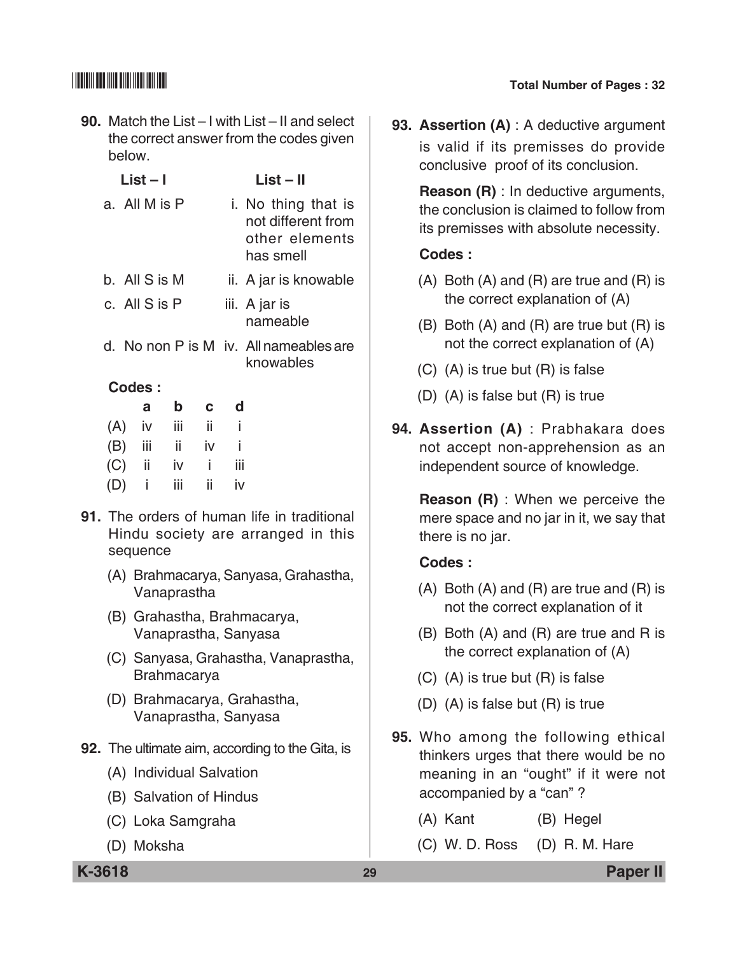**90.** Match the List – I with List – II and select the correct answer from the codes given below.

|     | List – I      |     |     |              |   | List – II                                                                |
|-----|---------------|-----|-----|--------------|---|--------------------------------------------------------------------------|
|     | a. All M is P |     |     |              |   | i. No thing that is<br>not different from<br>other elements<br>has smell |
|     | b. All S is M |     |     |              |   | ii. A jar is knowable                                                    |
|     | c. All S is P |     |     |              |   | iii. A jar is<br>nameable                                                |
|     |               |     |     |              |   | d. No non P is M iv. All nameables are<br>knowables                      |
|     | Codes:        |     |     |              |   |                                                                          |
|     |               | a   | b   | $\mathbf{C}$ | d |                                                                          |
| (A) |               | İV  | iii | ii.          | i |                                                                          |
|     |               | iii | ii  | iv           | i |                                                                          |

**91.** The orders of human life in traditional Hindu society are arranged in this sequence

 $(C)$  ii iv i iii (D) i iii ii iv

- (A) Brahmacarya, Sanyasa, Grahastha, Vanaprastha
- (B) Grahastha, Brahmacarya, Vanaprastha, Sanyasa
- (C) Sanyasa, Grahastha, Vanaprastha, Brahmacarya
- (D) Brahmacarya, Grahastha, Vanaprastha, Sanyasa
- **92.** The ultimate aim, according to the Gita, is
	- (A) Individual Salvation
	- (B) Salvation of Hindus
	- (C) Loka Samgraha
	- (D) Moksha
- 
- **93. Assertion (A)** : A deductive argument is valid if its premisses do provide conclusive proof of its conclusion.

**Reason (R)** : In deductive arguments, the conclusion is claimed to follow from its premisses with absolute necessity.

### **Codes :**

- $(A)$  Both  $(A)$  and  $(R)$  are true and  $(R)$  is the correct explanation of (A)
- (B) Both (A) and (R) are true but (R) is not the correct explanation of (A)
- (C) (A) is true but (R) is false
- (D) (A) is false but (R) is true
- **94. Assertion (A)** : Prabhakara does not accept non-apprehension as an independent source of knowledge.

 **Reason (R)** : When we perceive the mere space and no jar in it, we say that there is no jar.

## **Codes :**

- $(A)$  Both  $(A)$  and  $(R)$  are true and  $(R)$  is not the correct explanation of it
- (B) Both (A) and (R) are true and R is the correct explanation of (A)
- (C) (A) is true but (R) is false
- (D) (A) is false but (R) is true
- **95.** Who among the following ethical thinkers urges that there would be no meaning in an "ought" if it were not accompanied by a "can" ?
	- (A) Kant (B) Hegel
	- (C) W. D. Ross (D) R. M. Hare

**K-3618 29 Paper II**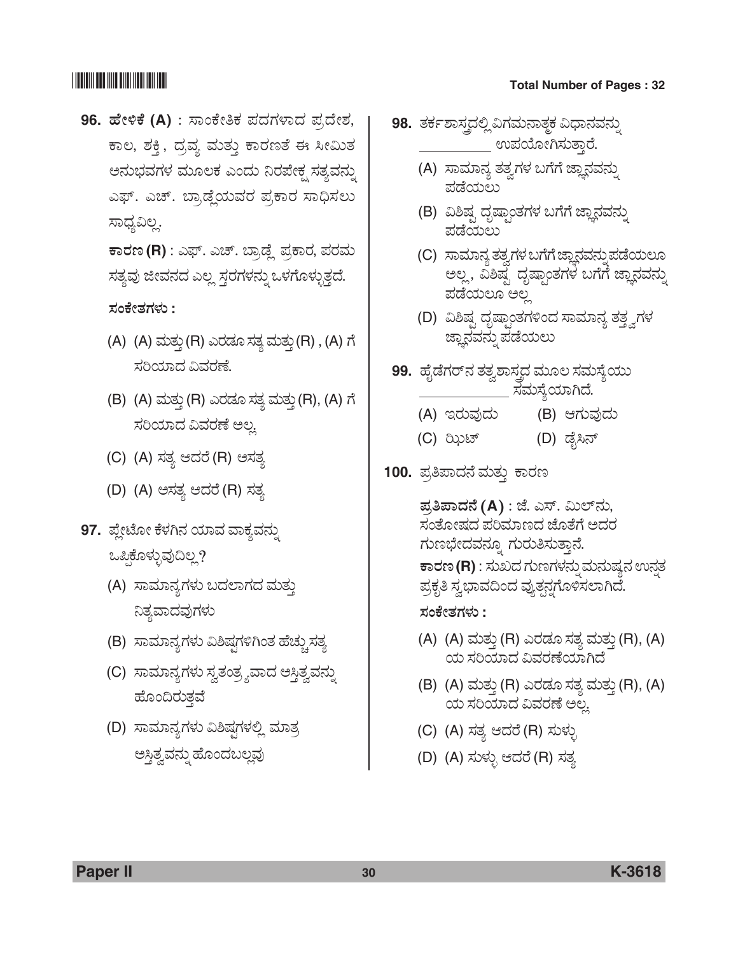## <u> Han alam masjid asl nashrida n</u>

# 96. ಹೇಳಿಕೆ (A) : ಸಾಂಕೇತಿಕ ಪದಗಳಾದ ಪ್ರದೇಶ, ಕಾಲ, ಶಕ್ತಿ, ದ್ರವ್ಯ ಮತ್ತು ಕಾರಣತೆ ಈ ಸೀಮಿತ ಅನುಭವಗಳ ಮೂಲಕ ಎಂದು ನಿರಪೇಕ್ಷ ಸತ್ಯವನ್ನು ಎಫ್. ಎಚ್. ಬ್ರಾಡ್ಡೆಯವರ ಪ್ರಕಾರ ಸಾಧಿಸಲು ಸಾಧ್ಯವಿಲ್ಲ.

ಕಾರಣ (R) : ಎಫ್. ಎಚ್. ಬ್ರಾಡ್ಡೆ ಪ್ರಕಾರ, ಪರಮ ಸತ್ಯವು ಜೀವನದ ಎಲ್ಲ ಸ್ತರಗಳನ್ನು ಒಳಗೊಳ್ಳುತ್ತದೆ.

ಸಂಕೇತಗಳು :

- (A) (A) ಮತ್ತು (R) ಎರಡೂ ಸತ್ಯ ಮತ್ತು (R), (A) ಗೆ ಸರಿಯಾದ ವಿವರಣೆ.
- (B) (A) ಮತ್ತು (R) ಎರಡೂ ಸತ್ಯ ಮತ್ತು (R), (A) ಗೆ ಸರಿಯಾದ ವಿವರಣೆ ಅಲ.
- (C) (A) ಸತ್ಯ ಆದರೆ (R) ಅಸತ್ಯ
- (D) (A) ಅಸತ್ಯ ಆದರೆ (R) ಸತ್ಯ
- 97. ಪ್ಲೇಟೋ ಕೆಳಗಿನ ಯಾವ ವಾಕ್ಯವನ್ನು ಒಪ್ಪಿಕೊಳ್ಳುವುದಿಲ್ಲ?
	- (A) ಸಾಮಾನ್ಯಗಳು ಬದಲಾಗದ ಮತ್ತು ನಿತ್ಯವಾದವುಗಳು
	- (B) ಸಾಮಾನ್ಯಗಳು ವಿಶಿಷ್ಪಗಳಿಗಿಂತ ಹೆಚ್ಚುಸತ್ಯ
	- (C) ಸಾಮಾನ್ಯಗಳು ಸ್ವತಂತ್ರ್ಯವಾದ ಅಸ್ತಿತ್ವವನ್ನು ಹೊಂದಿರುತ್ತ
	- (D) ಸಾಮಾನ್ಯಗಳು ವಿಶಿಷ್ಠಗಳಲ್ಲಿ ಮಾತ್ರ ಅಸ್ತಿತ್ವವನ್ನು ಹೊಂದಬಲ್ಲವು
- **Total Number of Pages: 32**
- 98. ತರ್ಕಶಾಸ್ತ್ರದಲ್ಲಿ ವಿಗಮನಾತ್ಮಕ ವಿಧಾನವನ್ನು \_ ಉಪಯೋಗಿಸುತ್ತಾರೆ.
	- (A) ಸಾಮಾನ್ಯ ತತ್ವಗಳ ಬಗೆಗೆ ಜ್ಞಾನವನ್ನು ಪಡೆಯಲು
	- (B) ವಿಶಿಷ್ಟ ದೃಷ್ಟಾಂತಗಳ ಬಗೆಗೆ ಜ್ಞಾನವನ್ನು ಪಡೆಯಲು
	- (C) ಸಾಮಾನ್ಯ ತತ್ವಗಳ ಬಗೆಗೆ ಜ್ಞಾನವನ್ನು ಪಡೆಯಲೂ ಅಲ್ಲ, ವಿಶಿಷ್ಟ ದೃಷ್ಟಾಂತಗಳ ಬಗೆಗೆ ಜ್ಞಾನವನ್ನು ಪಡೆಯಲೂ ಅಲ
	- (D) ವಿಶಿಷ್ಟ ದೃಷ್ಯಾಂತಗಳಿಂದ ಸಾಮಾನ್ಯ ತತ್ತ್ವಗಳ ಜ್ಞಾನವನ್ನು ಪಡೆಯಲು
- **99.** ಹೈಡೆಗರ್ ನ ತತ್ವಶಾಸ್ತ್ರದ ಮೂಲ ಸಮಸ್ಯೆಯು ಸಮಸ್ಯೆಯಾಗಿದೆ.
	- (A) ಇರುವುದು (B) ಆಗುವುದು
	- (D) ಡೈಸಿನ್ (C) ಝಿಟ್
- 100. ಪ್ರತಿಪಾದನೆ ಮತ್ತು ಕಾರಣ

ಪ್ರತಿಪಾದನೆ (A) : ಜೆ. ಎಸ್. ಮಿಲ್ನು, ಸಂತೋಷದ ಪರಿಮಾಣದ ಜೊತೆಗೆ ಅದರ ಗುಣಭೇದವನ್ನೂ ಗುರುತಿಸುತ್ತಾನೆ. ಕಾರಣ (R) : ಸುಖದ ಗುಣಗಳನ್ನು ಮನುಷ್ಯನ ಉನ್ನತ ಪ್ರಕೃತಿ ಸ್ವಭಾವದಿಂದ ವ್ಯುತ್ಪನ್ನಗೊಳಿಸಲಾಗಿದೆ.

ಸಂಕೇತಗಳು :

- (A) (A) ಮತ್ತು (R) ಎರಡೂ ಸತ್ಯ ಮತ್ತು (R), (A) ಯ ಸರಿಯಾದ ವಿವರಣೆಯಾಗಿದೆ
- (B) (A) ಮತ್ತು (R) ಎರಡೂ ಸತ್ಯ ಮತ್ತು (R), (A) ಯ ಸರಿಯಾದ ವಿವರಣೆ ಅಲ್ಲ
- (C) (A) ಸತ್ಯ ಆದರೆ (R) ಸುಳ್ಳು
- (D) (A) ಸುಳ್ಳು ಆದರೆ (R) ಸತ್ಯ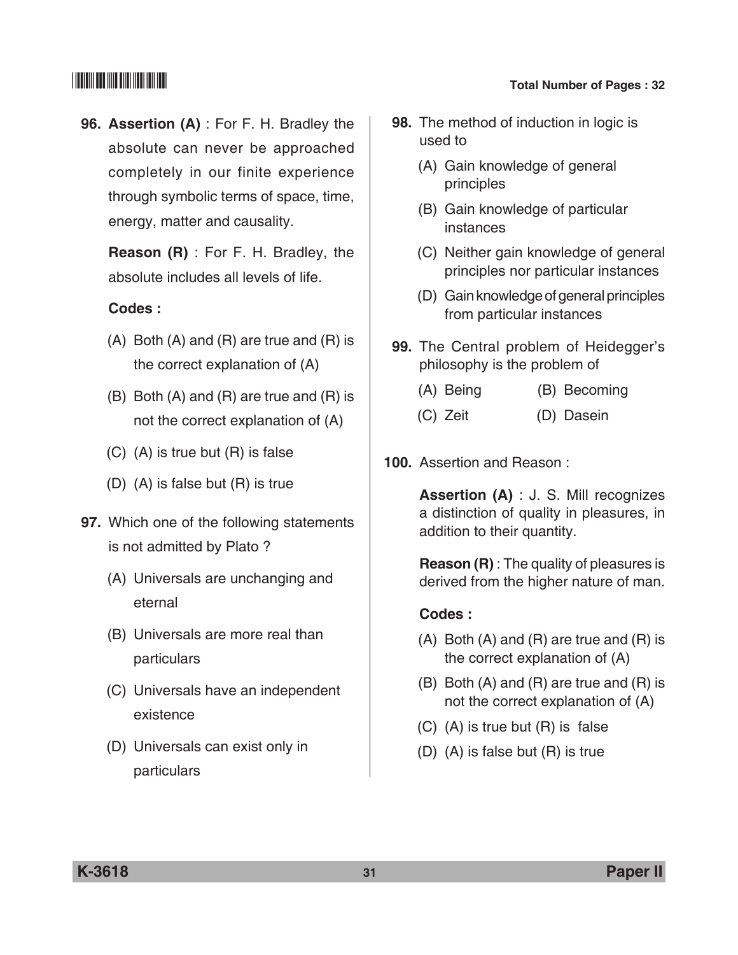**96. Assertion (A)** : For F. H. Bradley the absolute can never be approached completely in our finite experience through symbolic terms of space, time, energy, matter and causality.

 **Reason (R)** : For F. H. Bradley, the absolute includes all levels of life.

### **Codes :**

- (A) Both (A) and (R) are true and (R) is the correct explanation of (A)
- (B) Both (A) and (R) are true and (R) is not the correct explanation of (A)
- (C) (A) is true but (R) is false
- (D) (A) is false but (R) is true
- **97.** Which one of the following statements is not admitted by Plato ?
	- (A) Universals are unchanging and eternal
	- (B) Universals are more real than particulars
	- (C) Universals have an independent existence
	- (D) Universals can exist only in particulars
- **98.** The method of induction in logic is used to
	- (A) Gain knowledge of general principles
	- (B) Gain knowledge of particular instances
	- (C) Neither gain knowledge of general principles nor particular instances
	- (D) Gain knowledge of general principles from particular instances
- **99.** The Central problem of Heidegger's philosophy is the problem of
	- (A) Being (B) Becoming
	- (C) Zeit (D) Dasein
- **100.** Assertion and Reason :

 **Assertion (A)** : J. S. Mill recognizes a distinction of quality in pleasures, in addition to their quantity.

 **Reason (R)** : The quality of pleasures is derived from the higher nature of man.

### **Codes :**

- (A) Both (A) and (R) are true and (R) is the correct explanation of (A)
- (B) Both (A) and (R) are true and (R) is not the correct explanation of (A)
- (C) (A) is true but (R) is false
- (D) (A) is false but (R) is true

**K-3618 31 Paper II**

## \*K3618\* **Total Number of Pages : 32**